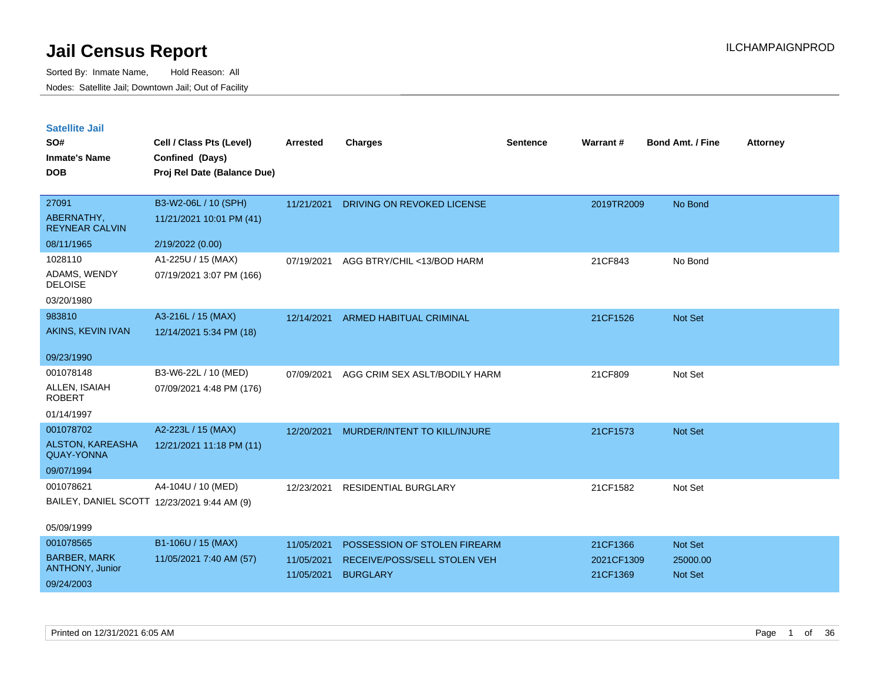| <b>Satellite Jail</b> |  |
|-----------------------|--|
|                       |  |

| SO#<br><b>Inmate's Name</b><br><b>DOB</b>    | Cell / Class Pts (Level)<br>Confined (Days)<br>Proj Rel Date (Balance Due) | <b>Arrested</b> | <b>Charges</b>                     | <b>Sentence</b> | Warrant#   | <b>Bond Amt. / Fine</b> | <b>Attorney</b> |
|----------------------------------------------|----------------------------------------------------------------------------|-----------------|------------------------------------|-----------------|------------|-------------------------|-----------------|
| 27091                                        | B3-W2-06L / 10 (SPH)                                                       | 11/21/2021      | DRIVING ON REVOKED LICENSE         |                 | 2019TR2009 | No Bond                 |                 |
| ABERNATHY,<br><b>REYNEAR CALVIN</b>          | 11/21/2021 10:01 PM (41)                                                   |                 |                                    |                 |            |                         |                 |
| 08/11/1965                                   | 2/19/2022 (0.00)                                                           |                 |                                    |                 |            |                         |                 |
| 1028110                                      | A1-225U / 15 (MAX)                                                         | 07/19/2021      | AGG BTRY/CHIL <13/BOD HARM         |                 | 21CF843    | No Bond                 |                 |
| ADAMS, WENDY<br><b>DELOISE</b>               | 07/19/2021 3:07 PM (166)                                                   |                 |                                    |                 |            |                         |                 |
| 03/20/1980                                   |                                                                            |                 |                                    |                 |            |                         |                 |
| 983810                                       | A3-216L / 15 (MAX)                                                         |                 | 12/14/2021 ARMED HABITUAL CRIMINAL |                 | 21CF1526   | Not Set                 |                 |
| <b>AKINS, KEVIN IVAN</b>                     | 12/14/2021 5:34 PM (18)                                                    |                 |                                    |                 |            |                         |                 |
| 09/23/1990                                   |                                                                            |                 |                                    |                 |            |                         |                 |
| 001078148                                    | B3-W6-22L / 10 (MED)                                                       | 07/09/2021      | AGG CRIM SEX ASLT/BODILY HARM      |                 | 21CF809    | Not Set                 |                 |
| ALLEN, ISAIAH<br><b>ROBERT</b>               | 07/09/2021 4:48 PM (176)                                                   |                 |                                    |                 |            |                         |                 |
| 01/14/1997                                   |                                                                            |                 |                                    |                 |            |                         |                 |
| 001078702                                    | A2-223L / 15 (MAX)                                                         | 12/20/2021      | MURDER/INTENT TO KILL/INJURE       |                 | 21CF1573   | Not Set                 |                 |
| <b>ALSTON, KAREASHA</b><br><b>QUAY-YONNA</b> | 12/21/2021 11:18 PM (11)                                                   |                 |                                    |                 |            |                         |                 |
| 09/07/1994                                   |                                                                            |                 |                                    |                 |            |                         |                 |
| 001078621                                    | A4-104U / 10 (MED)                                                         | 12/23/2021      | <b>RESIDENTIAL BURGLARY</b>        |                 | 21CF1582   | Not Set                 |                 |
|                                              | BAILEY, DANIEL SCOTT 12/23/2021 9:44 AM (9)                                |                 |                                    |                 |            |                         |                 |
| 05/09/1999                                   |                                                                            |                 |                                    |                 |            |                         |                 |
| 001078565                                    | B1-106U / 15 (MAX)                                                         | 11/05/2021      | POSSESSION OF STOLEN FIREARM       |                 | 21CF1366   | Not Set                 |                 |
| <b>BARBER, MARK</b><br>ANTHONY, Junior       | 11/05/2021 7:40 AM (57)                                                    | 11/05/2021      | RECEIVE/POSS/SELL STOLEN VEH       |                 | 2021CF1309 | 25000.00                |                 |
| 09/24/2003                                   |                                                                            | 11/05/2021      | <b>BURGLARY</b>                    |                 | 21CF1369   | Not Set                 |                 |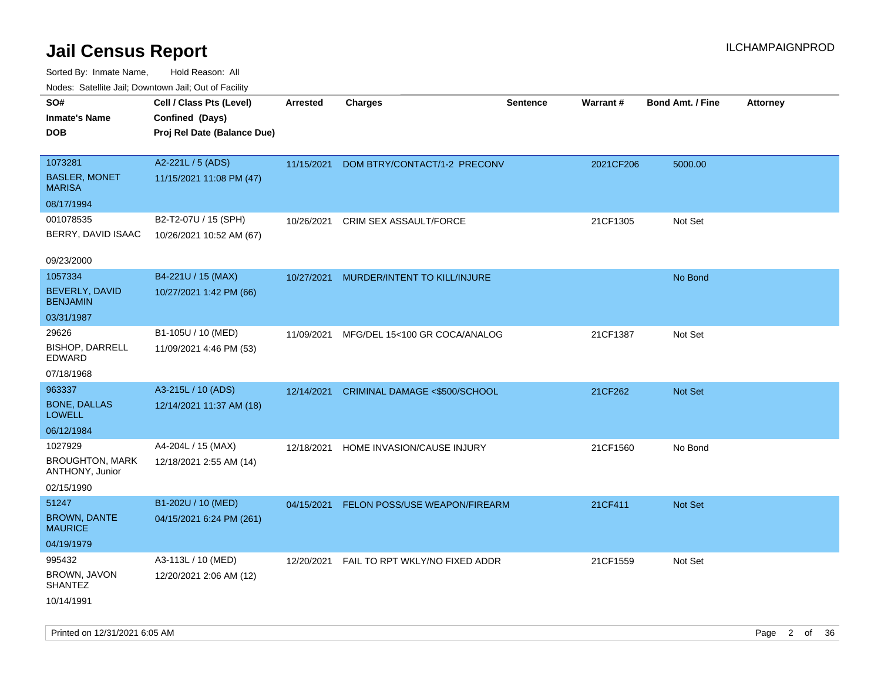Sorted By: Inmate Name, Hold Reason: All Nodes: Satellite Jail; Downtown Jail; Out of Facility

| ivouss. Satellite Jali, Downtown Jali, Out of Facility |                             |                 |                                |                 |           |                         |                 |
|--------------------------------------------------------|-----------------------------|-----------------|--------------------------------|-----------------|-----------|-------------------------|-----------------|
| SO#                                                    | Cell / Class Pts (Level)    | <b>Arrested</b> | <b>Charges</b>                 | <b>Sentence</b> | Warrant#  | <b>Bond Amt. / Fine</b> | <b>Attorney</b> |
| Inmate's Name                                          | Confined (Days)             |                 |                                |                 |           |                         |                 |
| <b>DOB</b>                                             | Proj Rel Date (Balance Due) |                 |                                |                 |           |                         |                 |
|                                                        |                             |                 |                                |                 |           |                         |                 |
| 1073281                                                | A2-221L / 5 (ADS)           | 11/15/2021      | DOM BTRY/CONTACT/1-2 PRECONV   |                 | 2021CF206 | 5000.00                 |                 |
| <b>BASLER, MONET</b><br>MARISA                         | 11/15/2021 11:08 PM (47)    |                 |                                |                 |           |                         |                 |
| 08/17/1994                                             |                             |                 |                                |                 |           |                         |                 |
| 001078535                                              | B2-T2-07U / 15 (SPH)        | 10/26/2021      | <b>CRIM SEX ASSAULT/FORCE</b>  |                 | 21CF1305  | Not Set                 |                 |
| BERRY, DAVID ISAAC                                     | 10/26/2021 10:52 AM (67)    |                 |                                |                 |           |                         |                 |
| 09/23/2000                                             |                             |                 |                                |                 |           |                         |                 |
| 1057334                                                | B4-221U / 15 (MAX)          | 10/27/2021      | MURDER/INTENT TO KILL/INJURE   |                 |           | No Bond                 |                 |
| <b>BEVERLY, DAVID</b><br><b>BENJAMIN</b>               | 10/27/2021 1:42 PM (66)     |                 |                                |                 |           |                         |                 |
| 03/31/1987                                             |                             |                 |                                |                 |           |                         |                 |
| 29626                                                  | B1-105U / 10 (MED)          | 11/09/2021      | MFG/DEL 15<100 GR COCA/ANALOG  |                 | 21CF1387  | Not Set                 |                 |
| <b>BISHOP, DARRELL</b><br>EDWARD                       | 11/09/2021 4:46 PM (53)     |                 |                                |                 |           |                         |                 |
| 07/18/1968                                             |                             |                 |                                |                 |           |                         |                 |
| 963337                                                 | A3-215L / 10 (ADS)          | 12/14/2021      | CRIMINAL DAMAGE <\$500/SCHOOL  |                 | 21CF262   | <b>Not Set</b>          |                 |
| <b>BONE, DALLAS</b><br>LOWELL                          | 12/14/2021 11:37 AM (18)    |                 |                                |                 |           |                         |                 |
| 06/12/1984                                             |                             |                 |                                |                 |           |                         |                 |
| 1027929                                                | A4-204L / 15 (MAX)          | 12/18/2021      | HOME INVASION/CAUSE INJURY     |                 | 21CF1560  | No Bond                 |                 |
| <b>BROUGHTON, MARK</b><br>ANTHONY, Junior              | 12/18/2021 2:55 AM (14)     |                 |                                |                 |           |                         |                 |
| 02/15/1990                                             |                             |                 |                                |                 |           |                         |                 |
| 51247                                                  | B1-202U / 10 (MED)          | 04/15/2021      | FELON POSS/USE WEAPON/FIREARM  |                 | 21CF411   | <b>Not Set</b>          |                 |
| <b>BROWN, DANTE</b><br>MAURICE                         | 04/15/2021 6:24 PM (261)    |                 |                                |                 |           |                         |                 |
| 04/19/1979                                             |                             |                 |                                |                 |           |                         |                 |
| 995432                                                 | A3-113L / 10 (MED)          | 12/20/2021      | FAIL TO RPT WKLY/NO FIXED ADDR |                 | 21CF1559  | Not Set                 |                 |
| BROWN, JAVON<br>SHANTEZ                                | 12/20/2021 2:06 AM (12)     |                 |                                |                 |           |                         |                 |
| 10/14/1991                                             |                             |                 |                                |                 |           |                         |                 |

Printed on 12/31/2021 6:05 AM Page 2 of 36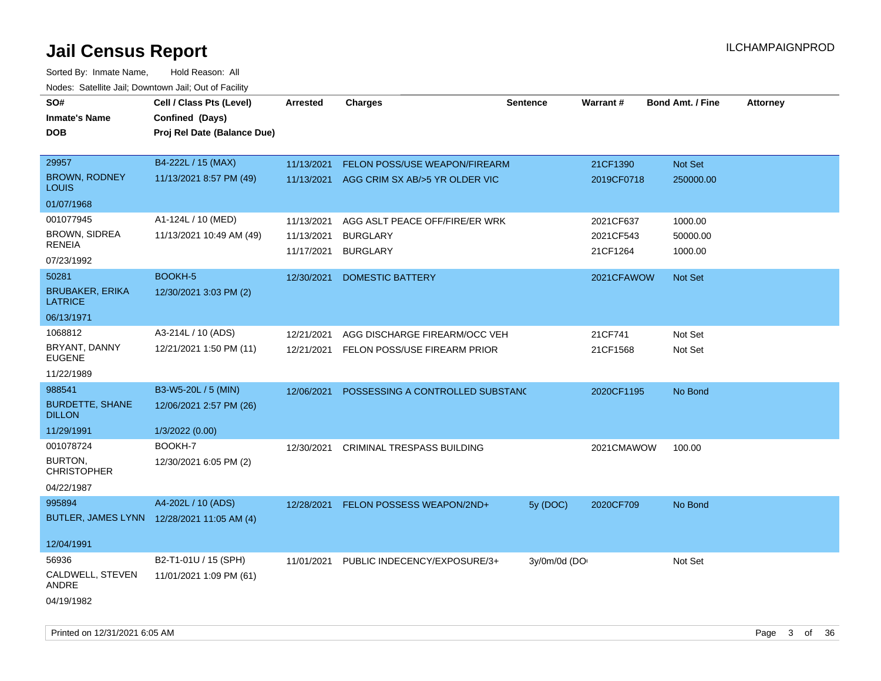| SO#                                        | Cell / Class Pts (Level)    | <b>Arrested</b> | <b>Charges</b>                    | Sentence     | Warrant#   | <b>Bond Amt. / Fine</b> | <b>Attorney</b> |
|--------------------------------------------|-----------------------------|-----------------|-----------------------------------|--------------|------------|-------------------------|-----------------|
| <b>Inmate's Name</b>                       | Confined (Days)             |                 |                                   |              |            |                         |                 |
| <b>DOB</b>                                 | Proj Rel Date (Balance Due) |                 |                                   |              |            |                         |                 |
|                                            |                             |                 |                                   |              |            |                         |                 |
| 29957                                      | B4-222L / 15 (MAX)          | 11/13/2021      | FELON POSS/USE WEAPON/FIREARM     |              | 21CF1390   | <b>Not Set</b>          |                 |
| <b>BROWN, RODNEY</b><br>LOUIS              | 11/13/2021 8:57 PM (49)     | 11/13/2021      | AGG CRIM SX AB/>5 YR OLDER VIC    |              | 2019CF0718 | 250000.00               |                 |
| 01/07/1968                                 |                             |                 |                                   |              |            |                         |                 |
| 001077945                                  | A1-124L / 10 (MED)          | 11/13/2021      | AGG ASLT PEACE OFF/FIRE/ER WRK    |              | 2021CF637  | 1000.00                 |                 |
| <b>BROWN, SIDREA</b>                       | 11/13/2021 10:49 AM (49)    | 11/13/2021      | <b>BURGLARY</b>                   |              | 2021CF543  | 50000.00                |                 |
| <b>RENEIA</b>                              |                             | 11/17/2021      | <b>BURGLARY</b>                   |              | 21CF1264   | 1000.00                 |                 |
| 07/23/1992                                 |                             |                 |                                   |              |            |                         |                 |
| 50281                                      | BOOKH-5                     | 12/30/2021      | <b>DOMESTIC BATTERY</b>           |              | 2021CFAWOW | <b>Not Set</b>          |                 |
| <b>BRUBAKER, ERIKA</b><br><b>LATRICE</b>   | 12/30/2021 3:03 PM (2)      |                 |                                   |              |            |                         |                 |
| 06/13/1971                                 |                             |                 |                                   |              |            |                         |                 |
| 1068812                                    | A3-214L / 10 (ADS)          | 12/21/2021      | AGG DISCHARGE FIREARM/OCC VEH     |              | 21CF741    | Not Set                 |                 |
| BRYANT, DANNY<br><b>EUGENE</b>             | 12/21/2021 1:50 PM (11)     | 12/21/2021      | FELON POSS/USE FIREARM PRIOR      |              | 21CF1568   | Not Set                 |                 |
| 11/22/1989                                 |                             |                 |                                   |              |            |                         |                 |
| 988541                                     | B3-W5-20L / 5 (MIN)         | 12/06/2021      | POSSESSING A CONTROLLED SUBSTANC  |              | 2020CF1195 | No Bond                 |                 |
| <b>BURDETTE, SHANE</b><br><b>DILLON</b>    | 12/06/2021 2:57 PM (26)     |                 |                                   |              |            |                         |                 |
| 11/29/1991                                 | 1/3/2022 (0.00)             |                 |                                   |              |            |                         |                 |
| 001078724                                  | BOOKH-7                     | 12/30/2021      | <b>CRIMINAL TRESPASS BUILDING</b> |              | 2021CMAWOW | 100.00                  |                 |
| BURTON,<br><b>CHRISTOPHER</b>              | 12/30/2021 6:05 PM (2)      |                 |                                   |              |            |                         |                 |
| 04/22/1987                                 |                             |                 |                                   |              |            |                         |                 |
| 995894                                     | A4-202L / 10 (ADS)          | 12/28/2021      | FELON POSSESS WEAPON/2ND+         | 5y(DOC)      | 2020CF709  | No Bond                 |                 |
| BUTLER, JAMES LYNN 12/28/2021 11:05 AM (4) |                             |                 |                                   |              |            |                         |                 |
|                                            |                             |                 |                                   |              |            |                         |                 |
| 12/04/1991                                 |                             |                 |                                   |              |            |                         |                 |
| 56936                                      | B2-T1-01U / 15 (SPH)        | 11/01/2021      | PUBLIC INDECENCY/EXPOSURE/3+      | 3y/0m/0d (DO |            | Not Set                 |                 |
| CALDWELL, STEVEN<br>ANDRE                  | 11/01/2021 1:09 PM (61)     |                 |                                   |              |            |                         |                 |
| 04/19/1982                                 |                             |                 |                                   |              |            |                         |                 |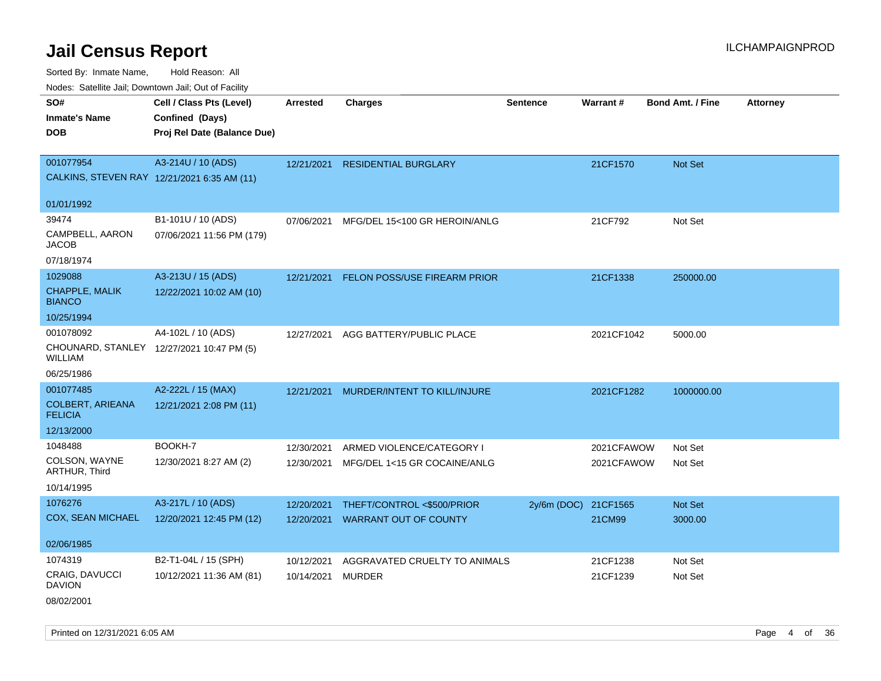Sorted By: Inmate Name, Hold Reason: All Nodes: Satellite Jail; Downtown Jail; Out of Facility

| Noues. Salenne Jan, Downlown Jan, Out of Facility |                                             |                 |                                     |                 |            |                         |                 |
|---------------------------------------------------|---------------------------------------------|-----------------|-------------------------------------|-----------------|------------|-------------------------|-----------------|
| SO#                                               | Cell / Class Pts (Level)                    | <b>Arrested</b> | <b>Charges</b>                      | <b>Sentence</b> | Warrant#   | <b>Bond Amt. / Fine</b> | <b>Attorney</b> |
| <b>Inmate's Name</b>                              | Confined (Days)                             |                 |                                     |                 |            |                         |                 |
| <b>DOB</b>                                        | Proj Rel Date (Balance Due)                 |                 |                                     |                 |            |                         |                 |
|                                                   |                                             |                 |                                     |                 |            |                         |                 |
| 001077954                                         | A3-214U / 10 (ADS)                          | 12/21/2021      | <b>RESIDENTIAL BURGLARY</b>         |                 | 21CF1570   | Not Set                 |                 |
|                                                   | CALKINS, STEVEN RAY 12/21/2021 6:35 AM (11) |                 |                                     |                 |            |                         |                 |
| 01/01/1992                                        |                                             |                 |                                     |                 |            |                         |                 |
| 39474                                             | B1-101U / 10 (ADS)                          | 07/06/2021      | MFG/DEL 15<100 GR HEROIN/ANLG       |                 | 21CF792    | Not Set                 |                 |
| CAMPBELL, AARON<br>JACOB                          | 07/06/2021 11:56 PM (179)                   |                 |                                     |                 |            |                         |                 |
| 07/18/1974                                        |                                             |                 |                                     |                 |            |                         |                 |
| 1029088                                           | A3-213U / 15 (ADS)                          | 12/21/2021      | <b>FELON POSS/USE FIREARM PRIOR</b> |                 | 21CF1338   | 250000.00               |                 |
| <b>CHAPPLE, MALIK</b><br><b>BIANCO</b>            | 12/22/2021 10:02 AM (10)                    |                 |                                     |                 |            |                         |                 |
| 10/25/1994                                        |                                             |                 |                                     |                 |            |                         |                 |
| 001078092                                         | A4-102L / 10 (ADS)                          | 12/27/2021      | AGG BATTERY/PUBLIC PLACE            |                 | 2021CF1042 | 5000.00                 |                 |
| WILLIAM                                           | CHOUNARD, STANLEY 12/27/2021 10:47 PM (5)   |                 |                                     |                 |            |                         |                 |
| 06/25/1986                                        |                                             |                 |                                     |                 |            |                         |                 |
| 001077485                                         | A2-222L / 15 (MAX)                          | 12/21/2021      | MURDER/INTENT TO KILL/INJURE        |                 | 2021CF1282 | 1000000.00              |                 |
| <b>COLBERT, ARIEANA</b><br><b>FELICIA</b>         | 12/21/2021 2:08 PM (11)                     |                 |                                     |                 |            |                         |                 |
| 12/13/2000                                        |                                             |                 |                                     |                 |            |                         |                 |
| 1048488                                           | BOOKH-7                                     | 12/30/2021      | ARMED VIOLENCE/CATEGORY I           |                 | 2021CFAWOW | Not Set                 |                 |
| COLSON, WAYNE<br>ARTHUR, Third                    | 12/30/2021 8:27 AM (2)                      | 12/30/2021      | MFG/DEL 1<15 GR COCAINE/ANLG        |                 | 2021CFAWOW | Not Set                 |                 |
| 10/14/1995                                        |                                             |                 |                                     |                 |            |                         |                 |
| 1076276                                           | A3-217L / 10 (ADS)                          | 12/20/2021      | THEFT/CONTROL <\$500/PRIOR          | 2y/6m (DOC)     | 21CF1565   | Not Set                 |                 |
| <b>COX, SEAN MICHAEL</b>                          | 12/20/2021 12:45 PM (12)                    | 12/20/2021      | <b>WARRANT OUT OF COUNTY</b>        |                 | 21CM99     | 3000.00                 |                 |
|                                                   |                                             |                 |                                     |                 |            |                         |                 |
| 02/06/1985                                        |                                             |                 |                                     |                 |            |                         |                 |
| 1074319                                           | B2-T1-04L / 15 (SPH)                        | 10/12/2021      | AGGRAVATED CRUELTY TO ANIMALS       |                 | 21CF1238   | Not Set                 |                 |
| CRAIG, DAVUCCI<br><b>DAVION</b>                   | 10/12/2021 11:36 AM (81)                    | 10/14/2021      | <b>MURDER</b>                       |                 | 21CF1239   | Not Set                 |                 |
|                                                   |                                             |                 |                                     |                 |            |                         |                 |

08/02/2001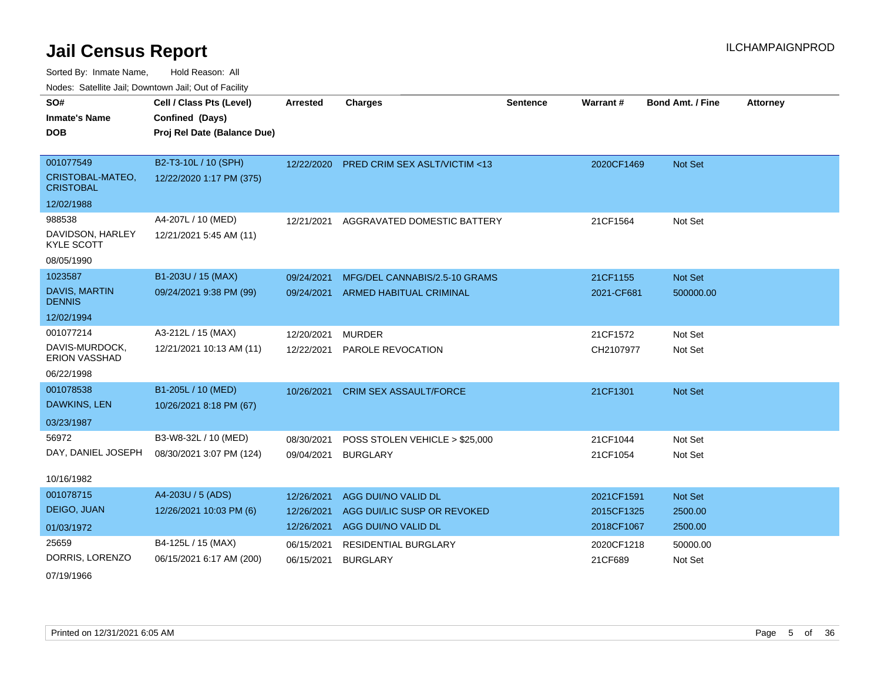Sorted By: Inmate Name, Hold Reason: All Nodes: Satellite Jail; Downtown Jail; Out of Facility

| <u>Houco. Catolino dall, Downtown dall, Out of Fabilit</u> |                             |                 |                                          |                 |            |                         |                 |
|------------------------------------------------------------|-----------------------------|-----------------|------------------------------------------|-----------------|------------|-------------------------|-----------------|
| SO#                                                        | Cell / Class Pts (Level)    | <b>Arrested</b> | <b>Charges</b>                           | <b>Sentence</b> | Warrant#   | <b>Bond Amt. / Fine</b> | <b>Attorney</b> |
| <b>Inmate's Name</b>                                       | Confined (Days)             |                 |                                          |                 |            |                         |                 |
| <b>DOB</b>                                                 | Proj Rel Date (Balance Due) |                 |                                          |                 |            |                         |                 |
|                                                            |                             |                 |                                          |                 |            |                         |                 |
| 001077549                                                  | B2-T3-10L / 10 (SPH)        |                 | 12/22/2020 PRED CRIM SEX ASLT/VICTIM <13 |                 | 2020CF1469 | Not Set                 |                 |
| CRISTOBAL-MATEO,<br><b>CRISTOBAL</b>                       | 12/22/2020 1:17 PM (375)    |                 |                                          |                 |            |                         |                 |
| 12/02/1988                                                 |                             |                 |                                          |                 |            |                         |                 |
| 988538                                                     | A4-207L / 10 (MED)          | 12/21/2021      | AGGRAVATED DOMESTIC BATTERY              |                 | 21CF1564   | Not Set                 |                 |
| DAVIDSON, HARLEY<br><b>KYLE SCOTT</b>                      | 12/21/2021 5:45 AM (11)     |                 |                                          |                 |            |                         |                 |
| 08/05/1990                                                 |                             |                 |                                          |                 |            |                         |                 |
| 1023587                                                    | B1-203U / 15 (MAX)          | 09/24/2021      | MFG/DEL CANNABIS/2.5-10 GRAMS            |                 | 21CF1155   | Not Set                 |                 |
| <b>DAVIS, MARTIN</b><br><b>DENNIS</b>                      | 09/24/2021 9:38 PM (99)     | 09/24/2021      | ARMED HABITUAL CRIMINAL                  |                 | 2021-CF681 | 500000.00               |                 |
| 12/02/1994                                                 |                             |                 |                                          |                 |            |                         |                 |
| 001077214                                                  | A3-212L / 15 (MAX)          | 12/20/2021      | <b>MURDER</b>                            |                 | 21CF1572   | Not Set                 |                 |
| DAVIS-MURDOCK,<br><b>ERION VASSHAD</b>                     | 12/21/2021 10:13 AM (11)    | 12/22/2021      | PAROLE REVOCATION                        |                 | CH2107977  | Not Set                 |                 |
| 06/22/1998                                                 |                             |                 |                                          |                 |            |                         |                 |
| 001078538                                                  | B1-205L / 10 (MED)          | 10/26/2021      | <b>CRIM SEX ASSAULT/FORCE</b>            |                 | 21CF1301   | Not Set                 |                 |
| DAWKINS, LEN                                               | 10/26/2021 8:18 PM (67)     |                 |                                          |                 |            |                         |                 |
| 03/23/1987                                                 |                             |                 |                                          |                 |            |                         |                 |
| 56972                                                      | B3-W8-32L / 10 (MED)        | 08/30/2021      | POSS STOLEN VEHICLE > \$25,000           |                 | 21CF1044   | Not Set                 |                 |
| DAY, DANIEL JOSEPH                                         | 08/30/2021 3:07 PM (124)    | 09/04/2021      | <b>BURGLARY</b>                          |                 | 21CF1054   | Not Set                 |                 |
| 10/16/1982                                                 |                             |                 |                                          |                 |            |                         |                 |
| 001078715                                                  | A4-203U / 5 (ADS)           |                 |                                          |                 |            |                         |                 |
| DEIGO, JUAN                                                |                             | 12/26/2021      | AGG DUI/NO VALID DL                      |                 | 2021CF1591 | <b>Not Set</b>          |                 |
|                                                            | 12/26/2021 10:03 PM (6)     | 12/26/2021      | AGG DUI/LIC SUSP OR REVOKED              |                 | 2015CF1325 | 2500.00                 |                 |
| 01/03/1972                                                 |                             | 12/26/2021      | AGG DUI/NO VALID DL                      |                 | 2018CF1067 | 2500.00                 |                 |
| 25659                                                      | B4-125L / 15 (MAX)          | 06/15/2021      | <b>RESIDENTIAL BURGLARY</b>              |                 | 2020CF1218 | 50000.00                |                 |
| DORRIS, LORENZO                                            | 06/15/2021 6:17 AM (200)    | 06/15/2021      | <b>BURGLARY</b>                          |                 | 21CF689    | Not Set                 |                 |

07/19/1966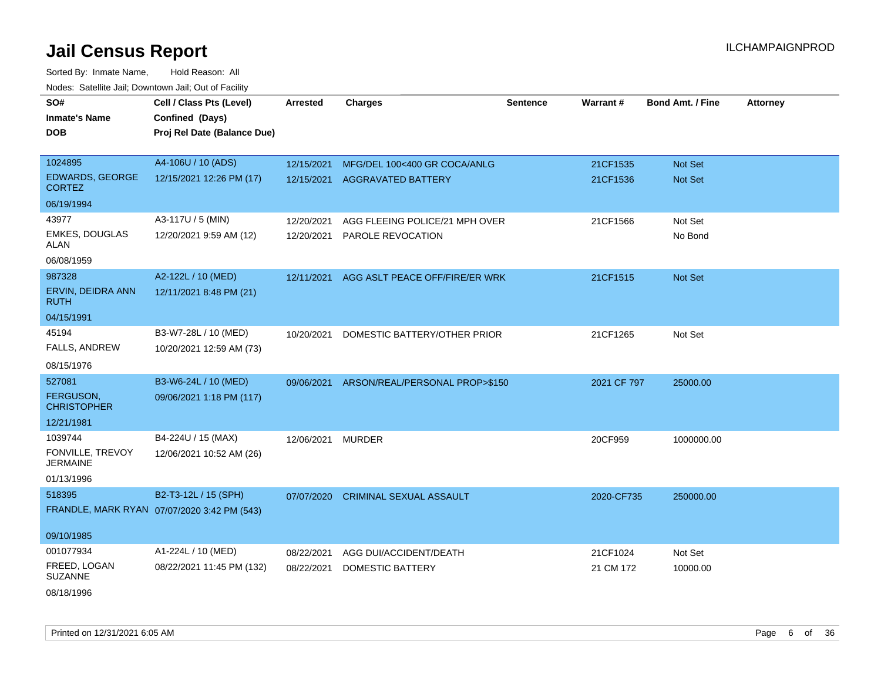| SO#                                     | Cell / Class Pts (Level)                    | <b>Arrested</b> | <b>Charges</b>                 | <b>Sentence</b> | Warrant#    | <b>Bond Amt. / Fine</b> | <b>Attorney</b> |
|-----------------------------------------|---------------------------------------------|-----------------|--------------------------------|-----------------|-------------|-------------------------|-----------------|
| <b>Inmate's Name</b>                    | Confined (Days)                             |                 |                                |                 |             |                         |                 |
| <b>DOB</b>                              | Proj Rel Date (Balance Due)                 |                 |                                |                 |             |                         |                 |
|                                         |                                             |                 |                                |                 |             |                         |                 |
| 1024895                                 | A4-106U / 10 (ADS)                          | 12/15/2021      | MFG/DEL 100<400 GR COCA/ANLG   |                 | 21CF1535    | Not Set                 |                 |
| <b>EDWARDS, GEORGE</b><br><b>CORTEZ</b> | 12/15/2021 12:26 PM (17)                    | 12/15/2021      | <b>AGGRAVATED BATTERY</b>      |                 | 21CF1536    | Not Set                 |                 |
| 06/19/1994                              |                                             |                 |                                |                 |             |                         |                 |
| 43977                                   | A3-117U / 5 (MIN)                           | 12/20/2021      | AGG FLEEING POLICE/21 MPH OVER |                 | 21CF1566    | Not Set                 |                 |
| EMKES, DOUGLAS<br>ALAN                  | 12/20/2021 9:59 AM (12)                     | 12/20/2021      | PAROLE REVOCATION              |                 |             | No Bond                 |                 |
| 06/08/1959                              |                                             |                 |                                |                 |             |                         |                 |
| 987328                                  | A2-122L / 10 (MED)                          | 12/11/2021      | AGG ASLT PEACE OFF/FIRE/ER WRK |                 | 21CF1515    | Not Set                 |                 |
| ERVIN, DEIDRA ANN<br>ruth               | 12/11/2021 8:48 PM (21)                     |                 |                                |                 |             |                         |                 |
| 04/15/1991                              |                                             |                 |                                |                 |             |                         |                 |
| 45194                                   | B3-W7-28L / 10 (MED)                        | 10/20/2021      | DOMESTIC BATTERY/OTHER PRIOR   |                 | 21CF1265    | Not Set                 |                 |
| FALLS, ANDREW                           | 10/20/2021 12:59 AM (73)                    |                 |                                |                 |             |                         |                 |
| 08/15/1976                              |                                             |                 |                                |                 |             |                         |                 |
| 527081                                  | B3-W6-24L / 10 (MED)                        | 09/06/2021      | ARSON/REAL/PERSONAL PROP>\$150 |                 | 2021 CF 797 | 25000.00                |                 |
| FERGUSON,<br><b>CHRISTOPHER</b>         | 09/06/2021 1:18 PM (117)                    |                 |                                |                 |             |                         |                 |
| 12/21/1981                              |                                             |                 |                                |                 |             |                         |                 |
| 1039744                                 | B4-224U / 15 (MAX)                          | 12/06/2021      | <b>MURDER</b>                  |                 | 20CF959     | 1000000.00              |                 |
| FONVILLE, TREVOY<br><b>JERMAINE</b>     | 12/06/2021 10:52 AM (26)                    |                 |                                |                 |             |                         |                 |
| 01/13/1996                              |                                             |                 |                                |                 |             |                         |                 |
| 518395                                  | B2-T3-12L / 15 (SPH)                        | 07/07/2020      | <b>CRIMINAL SEXUAL ASSAULT</b> |                 | 2020-CF735  | 250000.00               |                 |
|                                         | FRANDLE, MARK RYAN 07/07/2020 3:42 PM (543) |                 |                                |                 |             |                         |                 |
| 09/10/1985                              |                                             |                 |                                |                 |             |                         |                 |
| 001077934                               | A1-224L / 10 (MED)                          | 08/22/2021      | AGG DUI/ACCIDENT/DEATH         |                 | 21CF1024    | Not Set                 |                 |
| FREED, LOGAN<br><b>SUZANNE</b>          | 08/22/2021 11:45 PM (132)                   | 08/22/2021      | DOMESTIC BATTERY               |                 | 21 CM 172   | 10000.00                |                 |
| 08/18/1996                              |                                             |                 |                                |                 |             |                         |                 |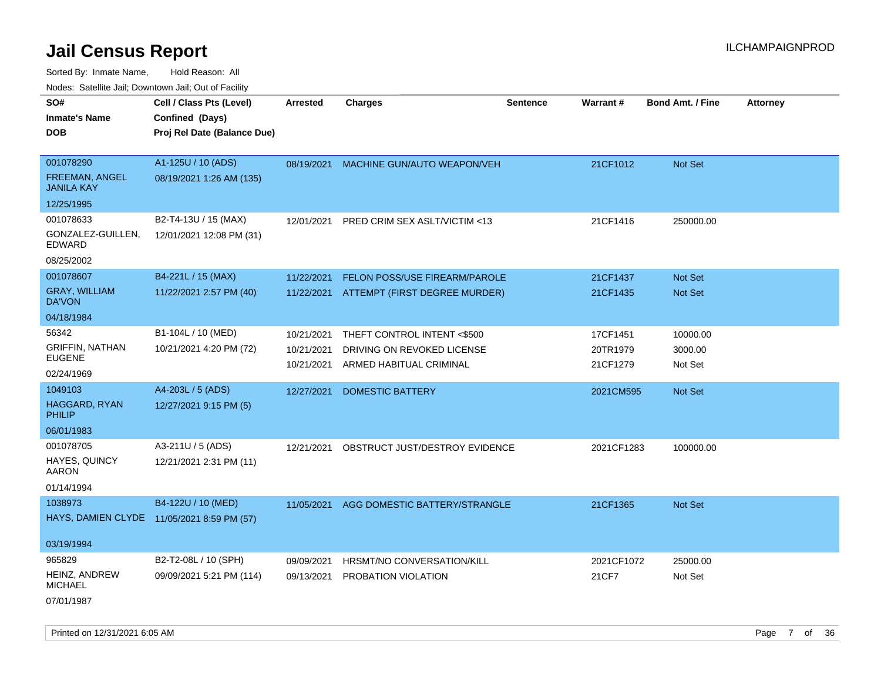Sorted By: Inmate Name, Hold Reason: All Nodes: Satellite Jail; Downtown Jail; Out of Facility

| rouce. Calcinic Jan, Downtown Jan, Out or Facility |                                            |                 |                                |                 |            |                         |                 |
|----------------------------------------------------|--------------------------------------------|-----------------|--------------------------------|-----------------|------------|-------------------------|-----------------|
| SO#                                                | Cell / Class Pts (Level)                   | <b>Arrested</b> | <b>Charges</b>                 | <b>Sentence</b> | Warrant#   | <b>Bond Amt. / Fine</b> | <b>Attorney</b> |
| <b>Inmate's Name</b>                               | Confined (Days)                            |                 |                                |                 |            |                         |                 |
| <b>DOB</b>                                         | Proj Rel Date (Balance Due)                |                 |                                |                 |            |                         |                 |
|                                                    |                                            |                 |                                |                 |            |                         |                 |
| 001078290                                          | A1-125U / 10 (ADS)                         | 08/19/2021      | MACHINE GUN/AUTO WEAPON/VEH    |                 | 21CF1012   | Not Set                 |                 |
| FREEMAN, ANGEL<br><b>JANILA KAY</b>                | 08/19/2021 1:26 AM (135)                   |                 |                                |                 |            |                         |                 |
| 12/25/1995                                         |                                            |                 |                                |                 |            |                         |                 |
| 001078633                                          | B2-T4-13U / 15 (MAX)                       | 12/01/2021      | PRED CRIM SEX ASLT/VICTIM <13  |                 | 21CF1416   | 250000.00               |                 |
| GONZALEZ-GUILLEN,<br><b>EDWARD</b>                 | 12/01/2021 12:08 PM (31)                   |                 |                                |                 |            |                         |                 |
| 08/25/2002                                         |                                            |                 |                                |                 |            |                         |                 |
| 001078607                                          | B4-221L / 15 (MAX)                         | 11/22/2021      | FELON POSS/USE FIREARM/PAROLE  |                 | 21CF1437   | Not Set                 |                 |
| <b>GRAY, WILLIAM</b><br>DA'VON                     | 11/22/2021 2:57 PM (40)                    | 11/22/2021      | ATTEMPT (FIRST DEGREE MURDER)  |                 | 21CF1435   | Not Set                 |                 |
| 04/18/1984                                         |                                            |                 |                                |                 |            |                         |                 |
| 56342                                              | B1-104L / 10 (MED)                         | 10/21/2021      | THEFT CONTROL INTENT <\$500    |                 | 17CF1451   | 10000.00                |                 |
| <b>GRIFFIN, NATHAN</b>                             | 10/21/2021 4:20 PM (72)                    | 10/21/2021      | DRIVING ON REVOKED LICENSE     |                 | 20TR1979   | 3000.00                 |                 |
| <b>EUGENE</b>                                      |                                            | 10/21/2021      | ARMED HABITUAL CRIMINAL        |                 | 21CF1279   | Not Set                 |                 |
| 02/24/1969                                         |                                            |                 |                                |                 |            |                         |                 |
| 1049103                                            | A4-203L / 5 (ADS)                          | 12/27/2021      | <b>DOMESTIC BATTERY</b>        |                 | 2021CM595  | <b>Not Set</b>          |                 |
| <b>HAGGARD, RYAN</b><br><b>PHILIP</b>              | 12/27/2021 9:15 PM (5)                     |                 |                                |                 |            |                         |                 |
| 06/01/1983                                         |                                            |                 |                                |                 |            |                         |                 |
| 001078705                                          | A3-211U / 5 (ADS)                          | 12/21/2021      | OBSTRUCT JUST/DESTROY EVIDENCE |                 | 2021CF1283 | 100000.00               |                 |
| HAYES, QUINCY<br>AARON                             | 12/21/2021 2:31 PM (11)                    |                 |                                |                 |            |                         |                 |
| 01/14/1994                                         |                                            |                 |                                |                 |            |                         |                 |
| 1038973                                            | B4-122U / 10 (MED)                         | 11/05/2021      | AGG DOMESTIC BATTERY/STRANGLE  |                 | 21CF1365   | Not Set                 |                 |
|                                                    | HAYS, DAMIEN CLYDE 11/05/2021 8:59 PM (57) |                 |                                |                 |            |                         |                 |
| 03/19/1994                                         |                                            |                 |                                |                 |            |                         |                 |
| 965829                                             | B2-T2-08L / 10 (SPH)                       | 09/09/2021      | HRSMT/NO CONVERSATION/KILL     |                 | 2021CF1072 | 25000.00                |                 |
| HEINZ, ANDREW<br><b>MICHAEL</b>                    | 09/09/2021 5:21 PM (114)                   | 09/13/2021      | PROBATION VIOLATION            |                 | 21CF7      | Not Set                 |                 |
| 07/01/1987                                         |                                            |                 |                                |                 |            |                         |                 |

Printed on 12/31/2021 6:05 AM **Page 7** of 36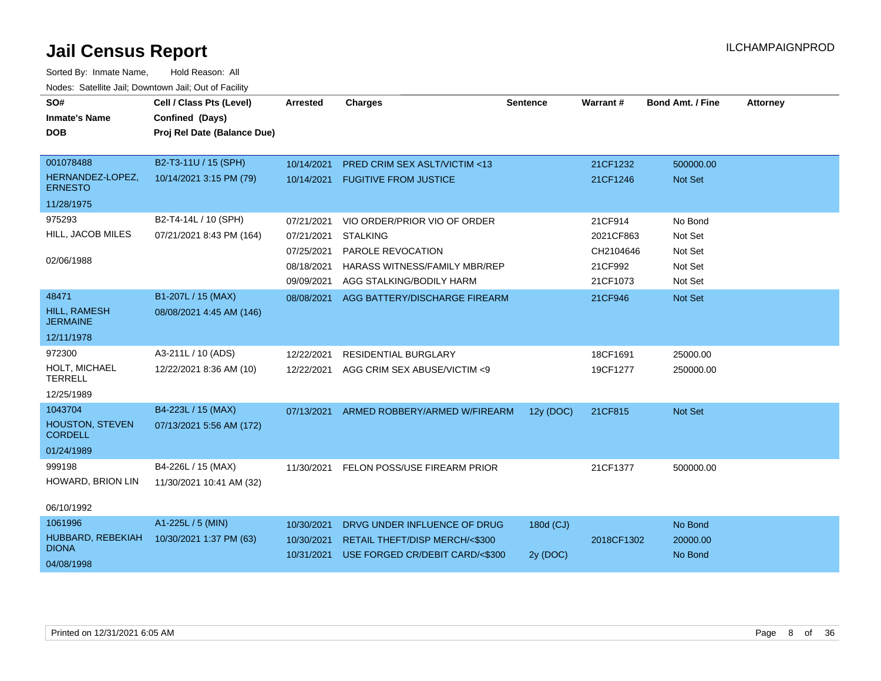| SO#<br><b>Inmate's Name</b><br><b>DOB</b> | Cell / Class Pts (Level)<br>Confined (Days)<br>Proj Rel Date (Balance Due) | <b>Arrested</b> | <b>Charges</b>                       | <b>Sentence</b> | Warrant#   | <b>Bond Amt. / Fine</b> | <b>Attorney</b> |
|-------------------------------------------|----------------------------------------------------------------------------|-----------------|--------------------------------------|-----------------|------------|-------------------------|-----------------|
| 001078488                                 | B2-T3-11U / 15 (SPH)                                                       | 10/14/2021      | PRED CRIM SEX ASLT/VICTIM <13        |                 | 21CF1232   | 500000.00               |                 |
| HERNANDEZ-LOPEZ,<br><b>ERNESTO</b>        | 10/14/2021 3:15 PM (79)                                                    | 10/14/2021      | <b>FUGITIVE FROM JUSTICE</b>         |                 | 21CF1246   | Not Set                 |                 |
| 11/28/1975                                |                                                                            |                 |                                      |                 |            |                         |                 |
| 975293                                    | B2-T4-14L / 10 (SPH)                                                       | 07/21/2021      | VIO ORDER/PRIOR VIO OF ORDER         |                 | 21CF914    | No Bond                 |                 |
| HILL, JACOB MILES                         | 07/21/2021 8:43 PM (164)                                                   | 07/21/2021      | <b>STALKING</b>                      |                 | 2021CF863  | Not Set                 |                 |
|                                           |                                                                            | 07/25/2021      | PAROLE REVOCATION                    |                 | CH2104646  | Not Set                 |                 |
| 02/06/1988                                |                                                                            | 08/18/2021      | <b>HARASS WITNESS/FAMILY MBR/REP</b> |                 | 21CF992    | Not Set                 |                 |
|                                           |                                                                            | 09/09/2021      | AGG STALKING/BODILY HARM             |                 | 21CF1073   | Not Set                 |                 |
| 48471                                     | B1-207L / 15 (MAX)                                                         | 08/08/2021      | AGG BATTERY/DISCHARGE FIREARM        |                 | 21CF946    | Not Set                 |                 |
| HILL, RAMESH<br><b>JERMAINE</b>           | 08/08/2021 4:45 AM (146)                                                   |                 |                                      |                 |            |                         |                 |
| 12/11/1978                                |                                                                            |                 |                                      |                 |            |                         |                 |
| 972300                                    | A3-211L / 10 (ADS)                                                         | 12/22/2021      | <b>RESIDENTIAL BURGLARY</b>          |                 | 18CF1691   | 25000.00                |                 |
| HOLT, MICHAEL<br><b>TERRELL</b>           | 12/22/2021 8:36 AM (10)                                                    | 12/22/2021      | AGG CRIM SEX ABUSE/VICTIM <9         |                 | 19CF1277   | 250000.00               |                 |
| 12/25/1989                                |                                                                            |                 |                                      |                 |            |                         |                 |
| 1043704                                   | B4-223L / 15 (MAX)                                                         | 07/13/2021      | ARMED ROBBERY/ARMED W/FIREARM        | 12y (DOC)       | 21CF815    | Not Set                 |                 |
| <b>HOUSTON, STEVEN</b><br><b>CORDELL</b>  | 07/13/2021 5:56 AM (172)                                                   |                 |                                      |                 |            |                         |                 |
| 01/24/1989                                |                                                                            |                 |                                      |                 |            |                         |                 |
| 999198                                    | B4-226L / 15 (MAX)                                                         | 11/30/2021      | FELON POSS/USE FIREARM PRIOR         |                 | 21CF1377   | 500000.00               |                 |
| HOWARD, BRION LIN                         | 11/30/2021 10:41 AM (32)                                                   |                 |                                      |                 |            |                         |                 |
| 06/10/1992                                |                                                                            |                 |                                      |                 |            |                         |                 |
| 1061996                                   | A1-225L / 5 (MIN)                                                          | 10/30/2021      | DRVG UNDER INFLUENCE OF DRUG         | 180d (CJ)       |            | No Bond                 |                 |
| HUBBARD, REBEKIAH                         | 10/30/2021 1:37 PM (63)                                                    | 10/30/2021      | RETAIL THEFT/DISP MERCH/<\$300       |                 | 2018CF1302 | 20000.00                |                 |
| <b>DIONA</b>                              |                                                                            | 10/31/2021      | USE FORGED CR/DEBIT CARD/<\$300      | 2y (DOC)        |            | No Bond                 |                 |
| 04/08/1998                                |                                                                            |                 |                                      |                 |            |                         |                 |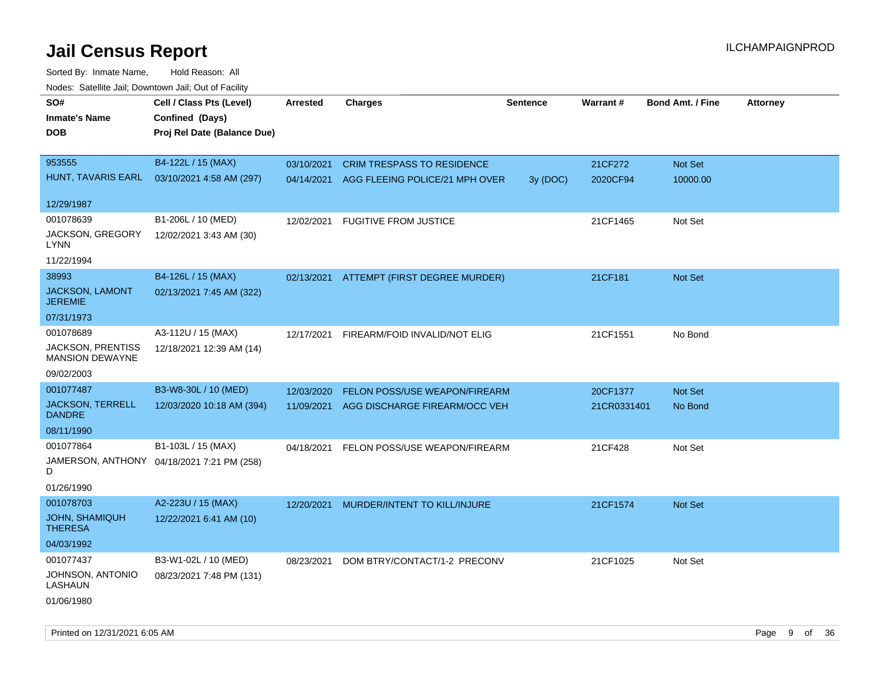| roaco. Oatomto dan, Downtown dan, Oat or Fability  |                                            |                 |                                           |                 |             |                         |                 |
|----------------------------------------------------|--------------------------------------------|-----------------|-------------------------------------------|-----------------|-------------|-------------------------|-----------------|
| SO#                                                | Cell / Class Pts (Level)                   | <b>Arrested</b> | <b>Charges</b>                            | <b>Sentence</b> | Warrant#    | <b>Bond Amt. / Fine</b> | <b>Attorney</b> |
| <b>Inmate's Name</b>                               | Confined (Days)                            |                 |                                           |                 |             |                         |                 |
| <b>DOB</b>                                         | Proj Rel Date (Balance Due)                |                 |                                           |                 |             |                         |                 |
|                                                    |                                            |                 |                                           |                 |             |                         |                 |
| 953555                                             | B4-122L / 15 (MAX)                         | 03/10/2021      | <b>CRIM TRESPASS TO RESIDENCE</b>         |                 | 21CF272     | Not Set                 |                 |
| HUNT, TAVARIS EARL                                 | 03/10/2021 4:58 AM (297)                   |                 | 04/14/2021 AGG FLEEING POLICE/21 MPH OVER | 3y (DOC)        | 2020CF94    | 10000.00                |                 |
|                                                    |                                            |                 |                                           |                 |             |                         |                 |
| 12/29/1987                                         |                                            |                 |                                           |                 |             |                         |                 |
| 001078639                                          | B1-206L / 10 (MED)                         | 12/02/2021      | <b>FUGITIVE FROM JUSTICE</b>              |                 | 21CF1465    | Not Set                 |                 |
| JACKSON, GREGORY<br>LYNN                           | 12/02/2021 3:43 AM (30)                    |                 |                                           |                 |             |                         |                 |
| 11/22/1994                                         |                                            |                 |                                           |                 |             |                         |                 |
| 38993                                              | B4-126L / 15 (MAX)                         |                 | 02/13/2021 ATTEMPT (FIRST DEGREE MURDER)  |                 | 21CF181     | Not Set                 |                 |
| JACKSON, LAMONT<br><b>JEREMIE</b>                  | 02/13/2021 7:45 AM (322)                   |                 |                                           |                 |             |                         |                 |
| 07/31/1973                                         |                                            |                 |                                           |                 |             |                         |                 |
| 001078689                                          | A3-112U / 15 (MAX)                         | 12/17/2021      | FIREARM/FOID INVALID/NOT ELIG             |                 | 21CF1551    | No Bond                 |                 |
| <b>JACKSON, PRENTISS</b><br><b>MANSION DEWAYNE</b> | 12/18/2021 12:39 AM (14)                   |                 |                                           |                 |             |                         |                 |
| 09/02/2003                                         |                                            |                 |                                           |                 |             |                         |                 |
| 001077487                                          | B3-W8-30L / 10 (MED)                       | 12/03/2020      | <b>FELON POSS/USE WEAPON/FIREARM</b>      |                 | 20CF1377    | Not Set                 |                 |
| <b>JACKSON, TERRELL</b><br><b>DANDRE</b>           | 12/03/2020 10:18 AM (394)                  | 11/09/2021      | AGG DISCHARGE FIREARM/OCC VEH             |                 | 21CR0331401 | No Bond                 |                 |
| 08/11/1990                                         |                                            |                 |                                           |                 |             |                         |                 |
| 001077864                                          | B1-103L / 15 (MAX)                         | 04/18/2021      | FELON POSS/USE WEAPON/FIREARM             |                 | 21CF428     | Not Set                 |                 |
| D                                                  | JAMERSON, ANTHONY 04/18/2021 7:21 PM (258) |                 |                                           |                 |             |                         |                 |
| 01/26/1990                                         |                                            |                 |                                           |                 |             |                         |                 |
| 001078703                                          | A2-223U / 15 (MAX)                         | 12/20/2021      | MURDER/INTENT TO KILL/INJURE              |                 | 21CF1574    | Not Set                 |                 |
| <b>JOHN, SHAMIQUH</b><br><b>THERESA</b>            | 12/22/2021 6:41 AM (10)                    |                 |                                           |                 |             |                         |                 |
| 04/03/1992                                         |                                            |                 |                                           |                 |             |                         |                 |
| 001077437                                          | B3-W1-02L / 10 (MED)                       | 08/23/2021      | DOM BTRY/CONTACT/1-2 PRECONV              |                 | 21CF1025    | Not Set                 |                 |
| JOHNSON, ANTONIO<br>LASHAUN                        | 08/23/2021 7:48 PM (131)                   |                 |                                           |                 |             |                         |                 |
| 01/06/1980                                         |                                            |                 |                                           |                 |             |                         |                 |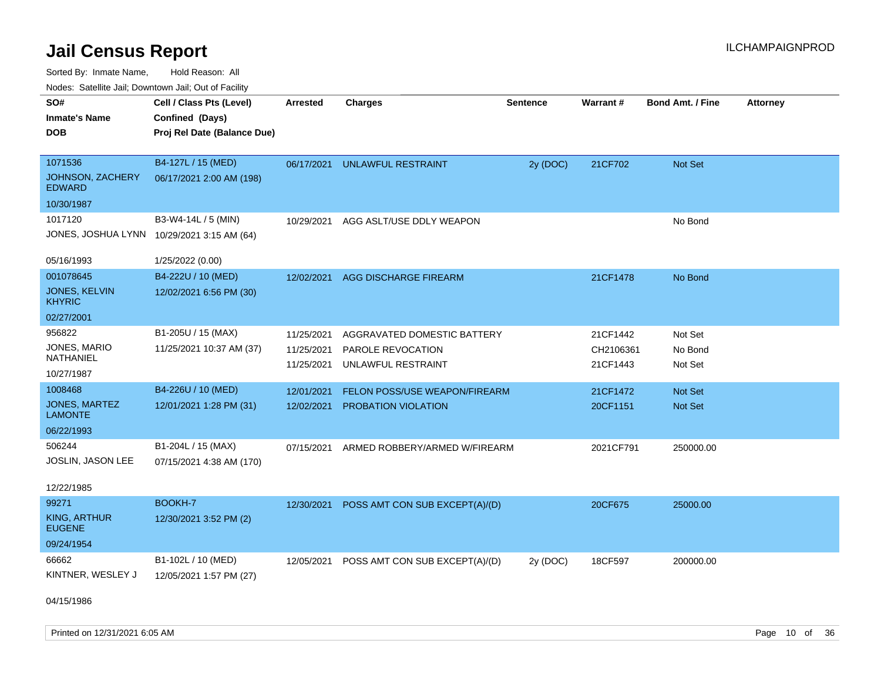Sorted By: Inmate Name, Hold Reason: All Nodes: Satellite Jail; Downtown Jail; Out of Facility

| Noues. Salenne Jan, Downtown Jan, Out of Facility |                                            |                 |                                |                 |           |                         |                 |
|---------------------------------------------------|--------------------------------------------|-----------------|--------------------------------|-----------------|-----------|-------------------------|-----------------|
| SO#                                               | Cell / Class Pts (Level)                   | <b>Arrested</b> | <b>Charges</b>                 | <b>Sentence</b> | Warrant#  | <b>Bond Amt. / Fine</b> | <b>Attorney</b> |
| <b>Inmate's Name</b>                              | Confined (Days)                            |                 |                                |                 |           |                         |                 |
| <b>DOB</b>                                        | Proj Rel Date (Balance Due)                |                 |                                |                 |           |                         |                 |
|                                                   |                                            |                 |                                |                 |           |                         |                 |
| 1071536                                           | B4-127L / 15 (MED)                         | 06/17/2021      | UNLAWFUL RESTRAINT             | 2y (DOC)        | 21CF702   | <b>Not Set</b>          |                 |
| <b>JOHNSON, ZACHERY</b><br><b>EDWARD</b>          | 06/17/2021 2:00 AM (198)                   |                 |                                |                 |           |                         |                 |
| 10/30/1987                                        |                                            |                 |                                |                 |           |                         |                 |
| 1017120                                           | B3-W4-14L / 5 (MIN)                        | 10/29/2021      | AGG ASLT/USE DDLY WEAPON       |                 |           | No Bond                 |                 |
|                                                   | JONES, JOSHUA LYNN 10/29/2021 3:15 AM (64) |                 |                                |                 |           |                         |                 |
|                                                   |                                            |                 |                                |                 |           |                         |                 |
| 05/16/1993                                        | 1/25/2022 (0.00)                           |                 |                                |                 |           |                         |                 |
| 001078645                                         | B4-222U / 10 (MED)                         | 12/02/2021      | AGG DISCHARGE FIREARM          |                 | 21CF1478  | No Bond                 |                 |
| <b>JONES, KELVIN</b><br><b>KHYRIC</b>             | 12/02/2021 6:56 PM (30)                    |                 |                                |                 |           |                         |                 |
| 02/27/2001                                        |                                            |                 |                                |                 |           |                         |                 |
| 956822                                            | B1-205U / 15 (MAX)                         | 11/25/2021      | AGGRAVATED DOMESTIC BATTERY    |                 | 21CF1442  | Not Set                 |                 |
| JONES, MARIO                                      | 11/25/2021 10:37 AM (37)                   | 11/25/2021      | PAROLE REVOCATION              |                 | CH2106361 | No Bond                 |                 |
| NATHANIEL                                         |                                            | 11/25/2021      | UNLAWFUL RESTRAINT             |                 | 21CF1443  | Not Set                 |                 |
| 10/27/1987                                        |                                            |                 |                                |                 |           |                         |                 |
| 1008468                                           | B4-226U / 10 (MED)                         | 12/01/2021      | FELON POSS/USE WEAPON/FIREARM  |                 | 21CF1472  | <b>Not Set</b>          |                 |
| JONES, MARTEZ<br><b>LAMONTE</b>                   | 12/01/2021 1:28 PM (31)                    | 12/02/2021      | PROBATION VIOLATION            |                 | 20CF1151  | Not Set                 |                 |
| 06/22/1993                                        |                                            |                 |                                |                 |           |                         |                 |
| 506244                                            | B1-204L / 15 (MAX)                         | 07/15/2021      | ARMED ROBBERY/ARMED W/FIREARM  |                 | 2021CF791 | 250000.00               |                 |
| JOSLIN, JASON LEE                                 | 07/15/2021 4:38 AM (170)                   |                 |                                |                 |           |                         |                 |
|                                                   |                                            |                 |                                |                 |           |                         |                 |
| 12/22/1985                                        |                                            |                 |                                |                 |           |                         |                 |
| 99271                                             | <b>BOOKH-7</b>                             | 12/30/2021      | POSS AMT CON SUB EXCEPT(A)/(D) |                 | 20CF675   | 25000.00                |                 |
| <b>KING, ARTHUR</b><br><b>EUGENE</b>              | 12/30/2021 3:52 PM (2)                     |                 |                                |                 |           |                         |                 |
| 09/24/1954                                        |                                            |                 |                                |                 |           |                         |                 |
| 66662                                             | B1-102L / 10 (MED)                         | 12/05/2021      | POSS AMT CON SUB EXCEPT(A)/(D) | 2y (DOC)        | 18CF597   | 200000.00               |                 |
| KINTNER, WESLEY J                                 | 12/05/2021 1:57 PM (27)                    |                 |                                |                 |           |                         |                 |
|                                                   |                                            |                 |                                |                 |           |                         |                 |

04/15/1986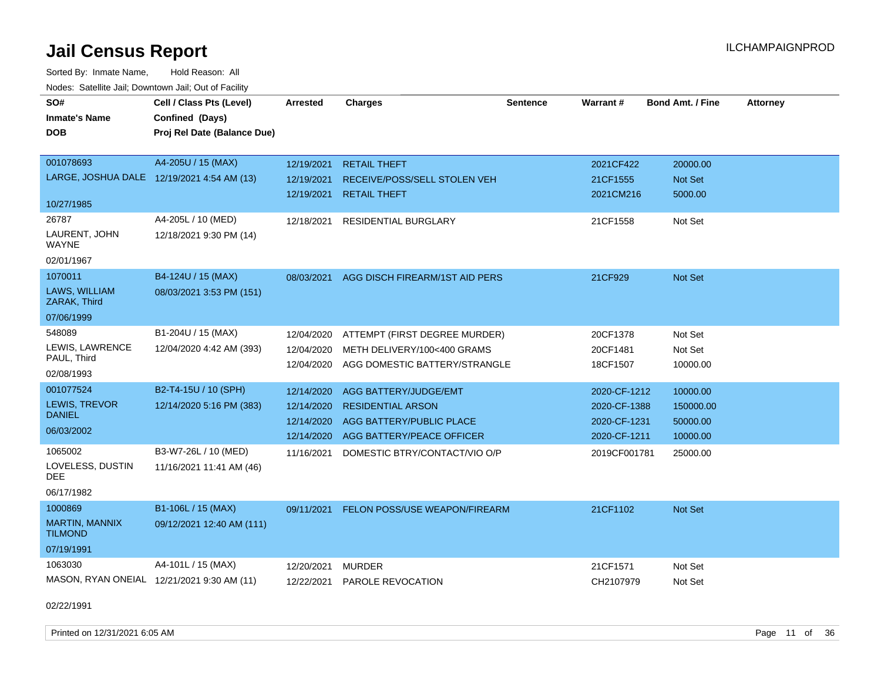Sorted By: Inmate Name, Hold Reason: All Nodes: Satellite Jail; Downtown Jail; Out of Facility

| SO#<br><b>Inmate's Name</b><br><b>DOB</b>                             | Cell / Class Pts (Level)<br>Confined (Days)<br>Proj Rel Date (Balance Due) | Arrested                                             | <b>Charges</b>                                                                                             | <b>Sentence</b> | Warrant#                                                     | <b>Bond Amt. / Fine</b>                       | <b>Attorney</b> |
|-----------------------------------------------------------------------|----------------------------------------------------------------------------|------------------------------------------------------|------------------------------------------------------------------------------------------------------------|-----------------|--------------------------------------------------------------|-----------------------------------------------|-----------------|
| 001078693<br>LARGE, JOSHUA DALE 12/19/2021 4:54 AM (13)<br>10/27/1985 | A4-205U / 15 (MAX)                                                         | 12/19/2021<br>12/19/2021<br>12/19/2021               | <b>RETAIL THEFT</b><br>RECEIVE/POSS/SELL STOLEN VEH<br><b>RETAIL THEFT</b>                                 |                 | 2021CF422<br>21CF1555<br>2021CM216                           | 20000.00<br>Not Set<br>5000.00                |                 |
| 26787<br>LAURENT, JOHN<br>WAYNE<br>02/01/1967                         | A4-205L / 10 (MED)<br>12/18/2021 9:30 PM (14)                              | 12/18/2021                                           | RESIDENTIAL BURGLARY                                                                                       |                 | 21CF1558                                                     | Not Set                                       |                 |
| 1070011<br>LAWS, WILLIAM<br>ZARAK, Third                              | B4-124U / 15 (MAX)<br>08/03/2021 3:53 PM (151)                             | 08/03/2021                                           | AGG DISCH FIREARM/1ST AID PERS                                                                             |                 | 21CF929                                                      | Not Set                                       |                 |
| 07/06/1999<br>548089<br>LEWIS, LAWRENCE<br>PAUL, Third<br>02/08/1993  | B1-204U / 15 (MAX)<br>12/04/2020 4:42 AM (393)                             | 12/04/2020<br>12/04/2020<br>12/04/2020               | ATTEMPT (FIRST DEGREE MURDER)<br>METH DELIVERY/100<400 GRAMS<br>AGG DOMESTIC BATTERY/STRANGLE              |                 | 20CF1378<br>20CF1481<br>18CF1507                             | Not Set<br>Not Set<br>10000.00                |                 |
| 001077524<br>LEWIS, TREVOR<br><b>DANIEL</b><br>06/03/2002             | B2-T4-15U / 10 (SPH)<br>12/14/2020 5:16 PM (383)                           | 12/14/2020<br>12/14/2020<br>12/14/2020<br>12/14/2020 | AGG BATTERY/JUDGE/EMT<br><b>RESIDENTIAL ARSON</b><br>AGG BATTERY/PUBLIC PLACE<br>AGG BATTERY/PEACE OFFICER |                 | 2020-CF-1212<br>2020-CF-1388<br>2020-CF-1231<br>2020-CF-1211 | 10000.00<br>150000.00<br>50000.00<br>10000.00 |                 |
| 1065002<br>LOVELESS, DUSTIN<br>DEE<br>06/17/1982                      | B3-W7-26L / 10 (MED)<br>11/16/2021 11:41 AM (46)                           | 11/16/2021                                           | DOMESTIC BTRY/CONTACT/VIO O/P                                                                              |                 | 2019CF001781                                                 | 25000.00                                      |                 |
| 1000869<br><b>MARTIN, MANNIX</b><br><b>TILMOND</b><br>07/19/1991      | B1-106L / 15 (MAX)<br>09/12/2021 12:40 AM (111)                            | 09/11/2021                                           | FELON POSS/USE WEAPON/FIREARM                                                                              |                 | 21CF1102                                                     | Not Set                                       |                 |
| 1063030<br>02/22/1991                                                 | A4-101L / 15 (MAX)<br>MASON, RYAN ONEIAL 12/21/2021 9:30 AM (11)           | 12/20/2021<br>12/22/2021                             | <b>MURDER</b><br>PAROLE REVOCATION                                                                         |                 | 21CF1571<br>CH2107979                                        | Not Set<br>Not Set                            |                 |

Printed on 12/31/2021 6:05 AM Page 11 of 36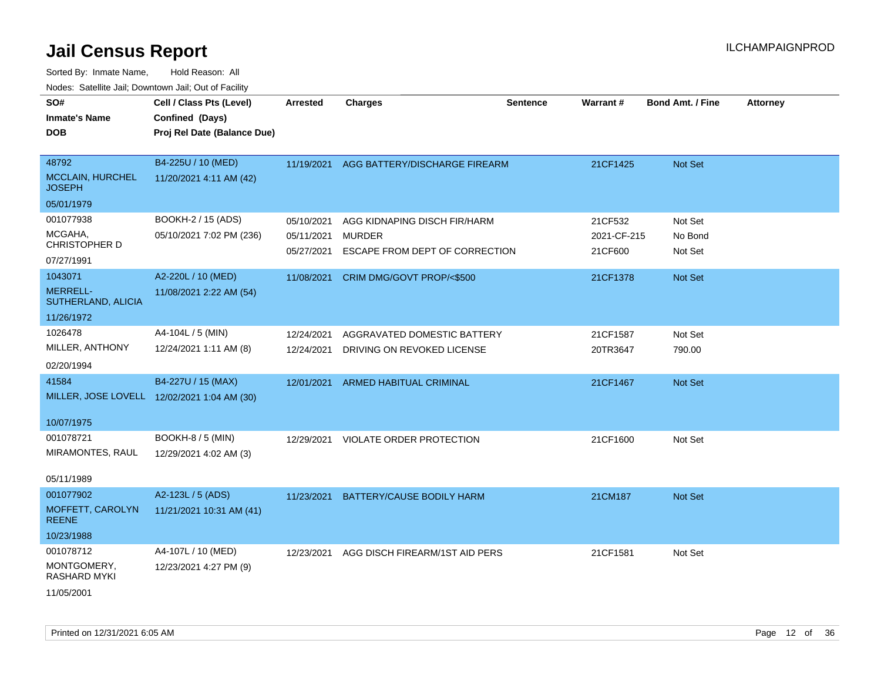| SO#<br><b>Inmate's Name</b><br><b>DOB</b>                       | Cell / Class Pts (Level)<br>Confined (Days)<br>Proj Rel Date (Balance Due) | <b>Arrested</b>                        | <b>Charges</b>                                                                  | <b>Sentence</b> | <b>Warrant#</b>                   | <b>Bond Amt. / Fine</b>       | <b>Attorney</b> |
|-----------------------------------------------------------------|----------------------------------------------------------------------------|----------------------------------------|---------------------------------------------------------------------------------|-----------------|-----------------------------------|-------------------------------|-----------------|
| 48792<br><b>MCCLAIN, HURCHEL</b><br><b>JOSEPH</b><br>05/01/1979 | B4-225U / 10 (MED)<br>11/20/2021 4:11 AM (42)                              |                                        | 11/19/2021 AGG BATTERY/DISCHARGE FIREARM                                        |                 | 21CF1425                          | Not Set                       |                 |
| 001077938<br>MCGAHA,<br><b>CHRISTOPHER D</b><br>07/27/1991      | BOOKH-2 / 15 (ADS)<br>05/10/2021 7:02 PM (236)                             | 05/10/2021<br>05/11/2021<br>05/27/2021 | AGG KIDNAPING DISCH FIR/HARM<br><b>MURDER</b><br>ESCAPE FROM DEPT OF CORRECTION |                 | 21CF532<br>2021-CF-215<br>21CF600 | Not Set<br>No Bond<br>Not Set |                 |
| 1043071<br><b>MERRELL-</b><br>SUTHERLAND, ALICIA<br>11/26/1972  | A2-220L / 10 (MED)<br>11/08/2021 2:22 AM (54)                              | 11/08/2021                             | CRIM DMG/GOVT PROP/<\$500                                                       |                 | 21CF1378                          | Not Set                       |                 |
| 1026478<br>MILLER, ANTHONY<br>02/20/1994                        | A4-104L / 5 (MIN)<br>12/24/2021 1:11 AM (8)                                | 12/24/2021<br>12/24/2021               | AGGRAVATED DOMESTIC BATTERY<br>DRIVING ON REVOKED LICENSE                       |                 | 21CF1587<br>20TR3647              | Not Set<br>790.00             |                 |
| 41584<br>10/07/1975                                             | B4-227U / 15 (MAX)<br>MILLER, JOSE LOVELL 12/02/2021 1:04 AM (30)          | 12/01/2021                             | ARMED HABITUAL CRIMINAL                                                         |                 | 21CF1467                          | Not Set                       |                 |
| 001078721<br>MIRAMONTES, RAUL<br>05/11/1989                     | <b>BOOKH-8 / 5 (MIN)</b><br>12/29/2021 4:02 AM (3)                         | 12/29/2021                             | VIOLATE ORDER PROTECTION                                                        |                 | 21CF1600                          | Not Set                       |                 |
| 001077902<br>MOFFETT, CAROLYN<br><b>REENE</b><br>10/23/1988     | A2-123L / 5 (ADS)<br>11/21/2021 10:31 AM (41)                              | 11/23/2021                             | BATTERY/CAUSE BODILY HARM                                                       |                 | 21CM187                           | Not Set                       |                 |
| 001078712<br>MONTGOMERY,<br>RASHARD MYKI<br>11/05/2001          | A4-107L / 10 (MED)<br>12/23/2021 4:27 PM (9)                               | 12/23/2021                             | AGG DISCH FIREARM/1ST AID PERS                                                  |                 | 21CF1581                          | Not Set                       |                 |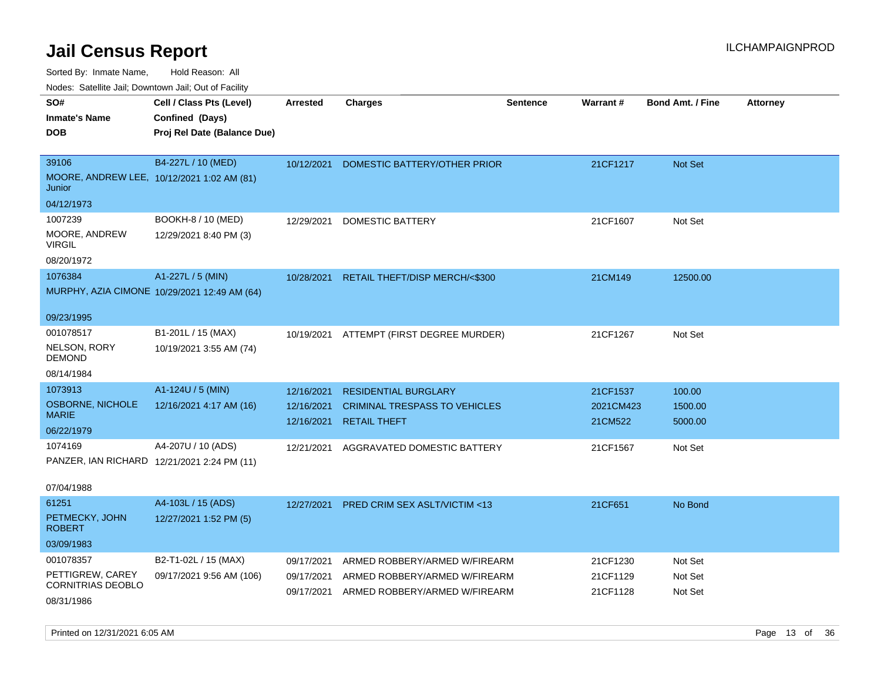Sorted By: Inmate Name, Hold Reason: All

Nodes: Satellite Jail; Downtown Jail; Out of Facility

| SO#                                         | Cell / Class Pts (Level)                     | <b>Arrested</b> | <b>Charges</b>                          | <b>Sentence</b> | Warrant#  | <b>Bond Amt. / Fine</b> | <b>Attorney</b> |
|---------------------------------------------|----------------------------------------------|-----------------|-----------------------------------------|-----------------|-----------|-------------------------|-----------------|
| <b>Inmate's Name</b>                        | Confined (Days)                              |                 |                                         |                 |           |                         |                 |
| <b>DOB</b>                                  |                                              |                 |                                         |                 |           |                         |                 |
|                                             | Proj Rel Date (Balance Due)                  |                 |                                         |                 |           |                         |                 |
| 39106                                       | B4-227L / 10 (MED)                           |                 |                                         |                 |           |                         |                 |
| MOORE, ANDREW LEE, 10/12/2021 1:02 AM (81)  |                                              | 10/12/2021      | DOMESTIC BATTERY/OTHER PRIOR            |                 | 21CF1217  | Not Set                 |                 |
| Junior                                      |                                              |                 |                                         |                 |           |                         |                 |
| 04/12/1973                                  |                                              |                 |                                         |                 |           |                         |                 |
| 1007239                                     | BOOKH-8 / 10 (MED)                           | 12/29/2021      | <b>DOMESTIC BATTERY</b>                 |                 | 21CF1607  | Not Set                 |                 |
| MOORE, ANDREW<br><b>VIRGIL</b>              | 12/29/2021 8:40 PM (3)                       |                 |                                         |                 |           |                         |                 |
| 08/20/1972                                  |                                              |                 |                                         |                 |           |                         |                 |
| 1076384                                     | A1-227L / 5 (MIN)                            | 10/28/2021      | RETAIL THEFT/DISP MERCH/<\$300          |                 | 21CM149   | 12500.00                |                 |
|                                             | MURPHY, AZIA CIMONE 10/29/2021 12:49 AM (64) |                 |                                         |                 |           |                         |                 |
| 09/23/1995                                  |                                              |                 |                                         |                 |           |                         |                 |
| 001078517                                   | B1-201L / 15 (MAX)                           | 10/19/2021      | ATTEMPT (FIRST DEGREE MURDER)           |                 | 21CF1267  | Not Set                 |                 |
| NELSON, RORY<br><b>DEMOND</b>               | 10/19/2021 3:55 AM (74)                      |                 |                                         |                 |           |                         |                 |
| 08/14/1984                                  |                                              |                 |                                         |                 |           |                         |                 |
| 1073913                                     | A1-124U / 5 (MIN)                            | 12/16/2021      | <b>RESIDENTIAL BURGLARY</b>             |                 | 21CF1537  | 100.00                  |                 |
| <b>OSBORNE, NICHOLE</b>                     | 12/16/2021 4:17 AM (16)                      | 12/16/2021      | <b>CRIMINAL TRESPASS TO VEHICLES</b>    |                 | 2021CM423 | 1500.00                 |                 |
| <b>MARIE</b>                                |                                              | 12/16/2021      | <b>RETAIL THEFT</b>                     |                 | 21CM522   | 5000.00                 |                 |
| 06/22/1979                                  |                                              |                 |                                         |                 |           |                         |                 |
| 1074169                                     | A4-207U / 10 (ADS)                           | 12/21/2021      | AGGRAVATED DOMESTIC BATTERY             |                 | 21CF1567  | Not Set                 |                 |
| PANZER, IAN RICHARD 12/21/2021 2:24 PM (11) |                                              |                 |                                         |                 |           |                         |                 |
| 07/04/1988                                  |                                              |                 |                                         |                 |           |                         |                 |
| 61251                                       | A4-103L / 15 (ADS)                           | 12/27/2021      | <b>PRED CRIM SEX ASLT/VICTIM &lt;13</b> |                 | 21CF651   | No Bond                 |                 |
| PETMECKY, JOHN<br><b>ROBERT</b>             | 12/27/2021 1:52 PM (5)                       |                 |                                         |                 |           |                         |                 |
| 03/09/1983                                  |                                              |                 |                                         |                 |           |                         |                 |
| 001078357                                   | B2-T1-02L / 15 (MAX)                         | 09/17/2021      | ARMED ROBBERY/ARMED W/FIREARM           |                 | 21CF1230  | Not Set                 |                 |
| PETTIGREW, CAREY                            | 09/17/2021 9:56 AM (106)                     | 09/17/2021      | ARMED ROBBERY/ARMED W/FIREARM           |                 | 21CF1129  | Not Set                 |                 |
| <b>CORNITRIAS DEOBLO</b>                    |                                              | 09/17/2021      | ARMED ROBBERY/ARMED W/FIREARM           |                 | 21CF1128  | Not Set                 |                 |
| 08/31/1986                                  |                                              |                 |                                         |                 |           |                         |                 |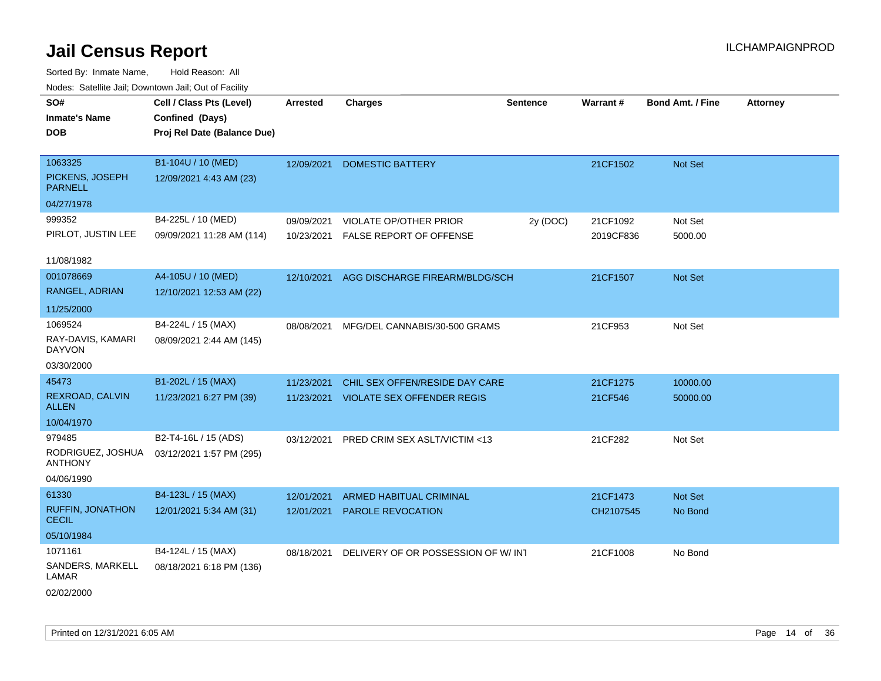| wacs. Calcinic Jan, Downtown Jan, Out of Facility |                             |                 |                                    |                 |           |                         |                 |
|---------------------------------------------------|-----------------------------|-----------------|------------------------------------|-----------------|-----------|-------------------------|-----------------|
| SO#                                               | Cell / Class Pts (Level)    | <b>Arrested</b> | <b>Charges</b>                     | <b>Sentence</b> | Warrant#  | <b>Bond Amt. / Fine</b> | <b>Attorney</b> |
| <b>Inmate's Name</b>                              | Confined (Days)             |                 |                                    |                 |           |                         |                 |
| <b>DOB</b>                                        | Proj Rel Date (Balance Due) |                 |                                    |                 |           |                         |                 |
|                                                   |                             |                 |                                    |                 |           |                         |                 |
| 1063325                                           | B1-104U / 10 (MED)          | 12/09/2021      | <b>DOMESTIC BATTERY</b>            |                 | 21CF1502  | Not Set                 |                 |
| PICKENS, JOSEPH<br><b>PARNELL</b>                 | 12/09/2021 4:43 AM (23)     |                 |                                    |                 |           |                         |                 |
| 04/27/1978                                        |                             |                 |                                    |                 |           |                         |                 |
| 999352                                            | B4-225L / 10 (MED)          | 09/09/2021      | <b>VIOLATE OP/OTHER PRIOR</b>      | 2y (DOC)        | 21CF1092  | Not Set                 |                 |
| PIRLOT, JUSTIN LEE                                | 09/09/2021 11:28 AM (114)   | 10/23/2021      | FALSE REPORT OF OFFENSE            |                 | 2019CF836 | 5000.00                 |                 |
| 11/08/1982                                        |                             |                 |                                    |                 |           |                         |                 |
| 001078669                                         | A4-105U / 10 (MED)          | 12/10/2021      | AGG DISCHARGE FIREARM/BLDG/SCH     |                 | 21CF1507  | Not Set                 |                 |
| RANGEL, ADRIAN                                    | 12/10/2021 12:53 AM (22)    |                 |                                    |                 |           |                         |                 |
| 11/25/2000                                        |                             |                 |                                    |                 |           |                         |                 |
| 1069524                                           | B4-224L / 15 (MAX)          | 08/08/2021      | MFG/DEL CANNABIS/30-500 GRAMS      |                 | 21CF953   | Not Set                 |                 |
| RAY-DAVIS, KAMARI<br><b>DAYVON</b>                | 08/09/2021 2:44 AM (145)    |                 |                                    |                 |           |                         |                 |
| 03/30/2000                                        |                             |                 |                                    |                 |           |                         |                 |
| 45473                                             | B1-202L / 15 (MAX)          | 11/23/2021      | CHIL SEX OFFEN/RESIDE DAY CARE     |                 | 21CF1275  | 10000.00                |                 |
| REXROAD, CALVIN<br><b>ALLEN</b>                   | 11/23/2021 6:27 PM (39)     | 11/23/2021      | <b>VIOLATE SEX OFFENDER REGIS</b>  |                 | 21CF546   | 50000.00                |                 |
| 10/04/1970                                        |                             |                 |                                    |                 |           |                         |                 |
| 979485                                            | B2-T4-16L / 15 (ADS)        | 03/12/2021      | PRED CRIM SEX ASLT/VICTIM <13      |                 | 21CF282   | Not Set                 |                 |
| RODRIGUEZ, JOSHUA<br><b>ANTHONY</b>               | 03/12/2021 1:57 PM (295)    |                 |                                    |                 |           |                         |                 |
| 04/06/1990                                        |                             |                 |                                    |                 |           |                         |                 |
| 61330                                             | B4-123L / 15 (MAX)          | 12/01/2021      | <b>ARMED HABITUAL CRIMINAL</b>     |                 | 21CF1473  | Not Set                 |                 |
| RUFFIN, JONATHON<br><b>CECIL</b>                  | 12/01/2021 5:34 AM (31)     | 12/01/2021      | PAROLE REVOCATION                  |                 | CH2107545 | No Bond                 |                 |
| 05/10/1984                                        |                             |                 |                                    |                 |           |                         |                 |
| 1071161                                           | B4-124L / 15 (MAX)          | 08/18/2021      | DELIVERY OF OR POSSESSION OF W/INT |                 | 21CF1008  | No Bond                 |                 |
| SANDERS, MARKELL<br>LAMAR                         | 08/18/2021 6:18 PM (136)    |                 |                                    |                 |           |                         |                 |
| 02/02/2000                                        |                             |                 |                                    |                 |           |                         |                 |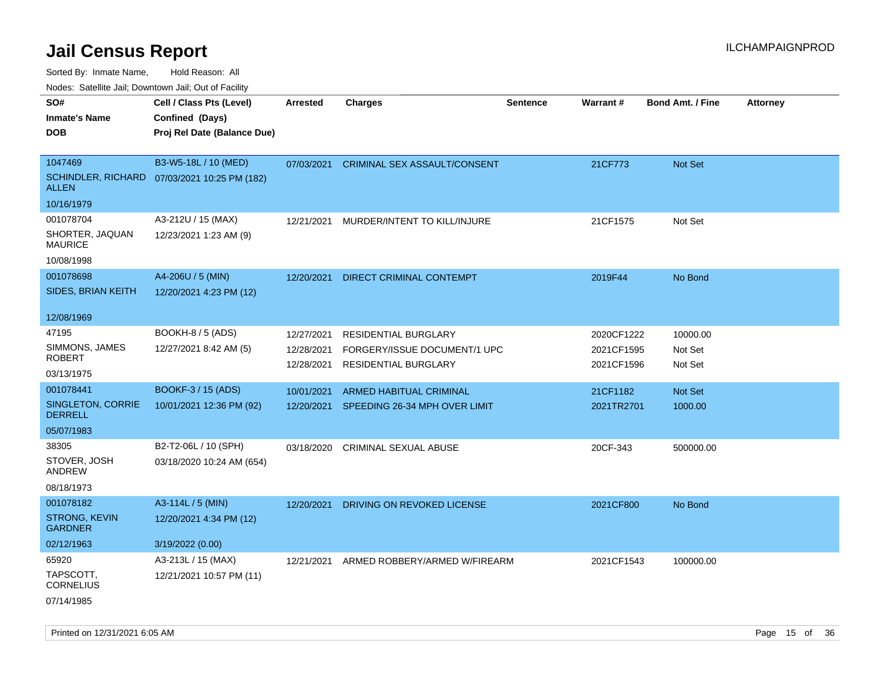Sorted By: Inmate Name, Hold Reason: All

Nodes: Satellite Jail; Downtown Jail; Out of Facility

| roaco. Catolino dall, Downtown dall, Out of Fability |                                              |                 |                                          |                 |            |                         |                 |
|------------------------------------------------------|----------------------------------------------|-----------------|------------------------------------------|-----------------|------------|-------------------------|-----------------|
| SO#                                                  | Cell / Class Pts (Level)                     | <b>Arrested</b> | <b>Charges</b>                           | <b>Sentence</b> | Warrant#   | <b>Bond Amt. / Fine</b> | <b>Attorney</b> |
| <b>Inmate's Name</b>                                 | Confined (Days)                              |                 |                                          |                 |            |                         |                 |
| <b>DOB</b>                                           | Proj Rel Date (Balance Due)                  |                 |                                          |                 |            |                         |                 |
|                                                      |                                              |                 |                                          |                 |            |                         |                 |
| 1047469                                              | B3-W5-18L / 10 (MED)                         |                 | 07/03/2021 CRIMINAL SEX ASSAULT/CONSENT  |                 | 21CF773    | Not Set                 |                 |
| <b>ALLEN</b>                                         | SCHINDLER, RICHARD 07/03/2021 10:25 PM (182) |                 |                                          |                 |            |                         |                 |
| 10/16/1979                                           |                                              |                 |                                          |                 |            |                         |                 |
| 001078704                                            | A3-212U / 15 (MAX)                           | 12/21/2021      | MURDER/INTENT TO KILL/INJURE             |                 | 21CF1575   | Not Set                 |                 |
| SHORTER, JAQUAN<br><b>MAURICE</b>                    | 12/23/2021 1:23 AM (9)                       |                 |                                          |                 |            |                         |                 |
| 10/08/1998                                           |                                              |                 |                                          |                 |            |                         |                 |
| 001078698                                            | A4-206U / 5 (MIN)                            | 12/20/2021      | DIRECT CRIMINAL CONTEMPT                 |                 | 2019F44    | No Bond                 |                 |
| <b>SIDES, BRIAN KEITH</b>                            | 12/20/2021 4:23 PM (12)                      |                 |                                          |                 |            |                         |                 |
|                                                      |                                              |                 |                                          |                 |            |                         |                 |
| 12/08/1969                                           |                                              |                 |                                          |                 |            |                         |                 |
| 47195                                                | <b>BOOKH-8 / 5 (ADS)</b>                     | 12/27/2021      | RESIDENTIAL BURGLARY                     |                 | 2020CF1222 | 10000.00                |                 |
| SIMMONS, JAMES                                       | 12/27/2021 8:42 AM (5)                       | 12/28/2021      | FORGERY/ISSUE DOCUMENT/1 UPC             |                 | 2021CF1595 | Not Set                 |                 |
| <b>ROBERT</b>                                        |                                              | 12/28/2021      | <b>RESIDENTIAL BURGLARY</b>              |                 | 2021CF1596 | Not Set                 |                 |
| 03/13/1975                                           |                                              |                 |                                          |                 |            |                         |                 |
| 001078441                                            | BOOKF-3 / 15 (ADS)                           | 10/01/2021      | <b>ARMED HABITUAL CRIMINAL</b>           |                 | 21CF1182   | <b>Not Set</b>          |                 |
| SINGLETON, CORRIE<br><b>DERRELL</b>                  | 10/01/2021 12:36 PM (92)                     |                 | 12/20/2021 SPEEDING 26-34 MPH OVER LIMIT |                 | 2021TR2701 | 1000.00                 |                 |
| 05/07/1983                                           |                                              |                 |                                          |                 |            |                         |                 |
| 38305                                                | B2-T2-06L / 10 (SPH)                         | 03/18/2020      | CRIMINAL SEXUAL ABUSE                    |                 | 20CF-343   | 500000.00               |                 |
| STOVER, JOSH<br>ANDREW                               | 03/18/2020 10:24 AM (654)                    |                 |                                          |                 |            |                         |                 |
| 08/18/1973                                           |                                              |                 |                                          |                 |            |                         |                 |
| 001078182                                            | A3-114L / 5 (MIN)                            | 12/20/2021      | DRIVING ON REVOKED LICENSE               |                 | 2021CF800  | No Bond                 |                 |
| <b>STRONG, KEVIN</b><br><b>GARDNER</b>               | 12/20/2021 4:34 PM (12)                      |                 |                                          |                 |            |                         |                 |
| 02/12/1963                                           | 3/19/2022 (0.00)                             |                 |                                          |                 |            |                         |                 |
| 65920                                                | A3-213L / 15 (MAX)                           | 12/21/2021      | ARMED ROBBERY/ARMED W/FIREARM            |                 | 2021CF1543 | 100000.00               |                 |
| TAPSCOTT,<br><b>CORNELIUS</b>                        | 12/21/2021 10:57 PM (11)                     |                 |                                          |                 |            |                         |                 |
| 07/14/1985                                           |                                              |                 |                                          |                 |            |                         |                 |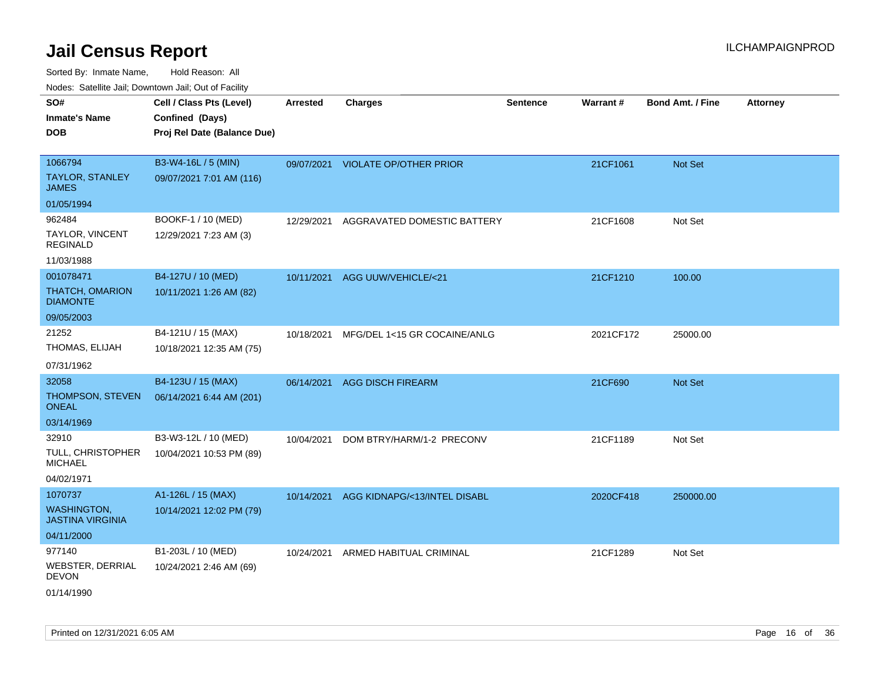| roaco. Catolino dall, Downtown dall, Out of Fability |                             |                 |                                    |                 |           |                         |                 |
|------------------------------------------------------|-----------------------------|-----------------|------------------------------------|-----------------|-----------|-------------------------|-----------------|
| SO#                                                  | Cell / Class Pts (Level)    | <b>Arrested</b> | <b>Charges</b>                     | <b>Sentence</b> | Warrant#  | <b>Bond Amt. / Fine</b> | <b>Attorney</b> |
| <b>Inmate's Name</b>                                 | Confined (Days)             |                 |                                    |                 |           |                         |                 |
| <b>DOB</b>                                           | Proj Rel Date (Balance Due) |                 |                                    |                 |           |                         |                 |
|                                                      |                             |                 |                                    |                 |           |                         |                 |
| 1066794                                              | B3-W4-16L / 5 (MIN)         |                 | 09/07/2021 VIOLATE OP/OTHER PRIOR  |                 | 21CF1061  | <b>Not Set</b>          |                 |
| <b>TAYLOR, STANLEY</b><br><b>JAMES</b>               | 09/07/2021 7:01 AM (116)    |                 |                                    |                 |           |                         |                 |
| 01/05/1994                                           |                             |                 |                                    |                 |           |                         |                 |
| 962484                                               | BOOKF-1 / 10 (MED)          | 12/29/2021      | AGGRAVATED DOMESTIC BATTERY        |                 | 21CF1608  | Not Set                 |                 |
| <b>TAYLOR, VINCENT</b><br><b>REGINALD</b>            | 12/29/2021 7:23 AM (3)      |                 |                                    |                 |           |                         |                 |
| 11/03/1988                                           |                             |                 |                                    |                 |           |                         |                 |
| 001078471                                            | B4-127U / 10 (MED)          |                 | 10/11/2021 AGG UUW/VEHICLE/<21     |                 | 21CF1210  | 100.00                  |                 |
| <b>THATCH, OMARION</b><br><b>DIAMONTE</b>            | 10/11/2021 1:26 AM (82)     |                 |                                    |                 |           |                         |                 |
| 09/05/2003                                           |                             |                 |                                    |                 |           |                         |                 |
| 21252                                                | B4-121U / 15 (MAX)          | 10/18/2021      | MFG/DEL 1<15 GR COCAINE/ANLG       |                 | 2021CF172 | 25000.00                |                 |
| THOMAS, ELIJAH                                       | 10/18/2021 12:35 AM (75)    |                 |                                    |                 |           |                         |                 |
| 07/31/1962                                           |                             |                 |                                    |                 |           |                         |                 |
| 32058                                                | B4-123U / 15 (MAX)          | 06/14/2021      | <b>AGG DISCH FIREARM</b>           |                 | 21CF690   | <b>Not Set</b>          |                 |
| <b>THOMPSON, STEVEN</b><br>ONEAL                     | 06/14/2021 6:44 AM (201)    |                 |                                    |                 |           |                         |                 |
| 03/14/1969                                           |                             |                 |                                    |                 |           |                         |                 |
| 32910                                                | B3-W3-12L / 10 (MED)        | 10/04/2021      | DOM BTRY/HARM/1-2 PRECONV          |                 | 21CF1189  | Not Set                 |                 |
| TULL, CHRISTOPHER<br><b>MICHAEL</b>                  | 10/04/2021 10:53 PM (89)    |                 |                                    |                 |           |                         |                 |
| 04/02/1971                                           |                             |                 |                                    |                 |           |                         |                 |
| 1070737                                              | A1-126L / 15 (MAX)          | 10/14/2021      | AGG KIDNAPG/<13/INTEL DISABL       |                 | 2020CF418 | 250000.00               |                 |
| <b>WASHINGTON,</b><br><b>JASTINA VIRGINIA</b>        | 10/14/2021 12:02 PM (79)    |                 |                                    |                 |           |                         |                 |
| 04/11/2000                                           |                             |                 |                                    |                 |           |                         |                 |
| 977140                                               | B1-203L / 10 (MED)          |                 | 10/24/2021 ARMED HABITUAL CRIMINAL |                 | 21CF1289  | Not Set                 |                 |
| WEBSTER, DERRIAL<br><b>DEVON</b>                     | 10/24/2021 2:46 AM (69)     |                 |                                    |                 |           |                         |                 |
| 01/14/1990                                           |                             |                 |                                    |                 |           |                         |                 |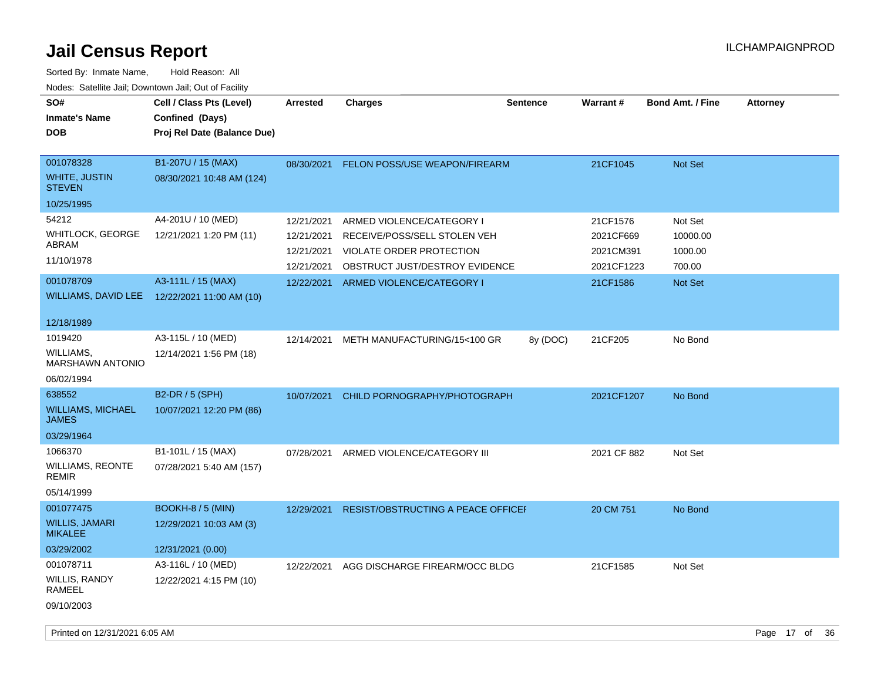| SO#<br><b>Inmate's Name</b><br><b>DOB</b>                                                          | Cell / Class Pts (Level)<br>Confined (Days)<br>Proj Rel Date (Balance Due)                      | Arrested                                                           | <b>Charges</b>                                                                                                                                       | <b>Sentence</b> | Warrant#                                                     | <b>Bond Amt. / Fine</b>                             | <b>Attorney</b> |
|----------------------------------------------------------------------------------------------------|-------------------------------------------------------------------------------------------------|--------------------------------------------------------------------|------------------------------------------------------------------------------------------------------------------------------------------------------|-----------------|--------------------------------------------------------------|-----------------------------------------------------|-----------------|
| 001078328<br>WHITE, JUSTIN<br><b>STEVEN</b><br>10/25/1995                                          | B1-207U / 15 (MAX)<br>08/30/2021 10:48 AM (124)                                                 |                                                                    | 08/30/2021 FELON POSS/USE WEAPON/FIREARM                                                                                                             |                 | 21CF1045                                                     | Not Set                                             |                 |
| 54212<br>WHITLOCK, GEORGE<br>ABRAM<br>11/10/1978<br>001078709<br>WILLIAMS, DAVID LEE<br>12/18/1989 | A4-201U / 10 (MED)<br>12/21/2021 1:20 PM (11)<br>A3-111L / 15 (MAX)<br>12/22/2021 11:00 AM (10) | 12/21/2021<br>12/21/2021<br>12/21/2021<br>12/21/2021<br>12/22/2021 | ARMED VIOLENCE/CATEGORY I<br>RECEIVE/POSS/SELL STOLEN VEH<br>VIOLATE ORDER PROTECTION<br>OBSTRUCT JUST/DESTROY EVIDENCE<br>ARMED VIOLENCE/CATEGORY I |                 | 21CF1576<br>2021CF669<br>2021CM391<br>2021CF1223<br>21CF1586 | Not Set<br>10000.00<br>1000.00<br>700.00<br>Not Set |                 |
| 1019420<br><b>WILLIAMS.</b><br><b>MARSHAWN ANTONIO</b><br>06/02/1994                               | A3-115L / 10 (MED)<br>12/14/2021 1:56 PM (18)                                                   | 12/14/2021                                                         | METH MANUFACTURING/15<100 GR                                                                                                                         | 8y (DOC)        | 21CF205                                                      | No Bond                                             |                 |
| 638552<br><b>WILLIAMS, MICHAEL</b><br><b>JAMES</b><br>03/29/1964                                   | <b>B2-DR / 5 (SPH)</b><br>10/07/2021 12:20 PM (86)                                              | 10/07/2021                                                         | CHILD PORNOGRAPHY/PHOTOGRAPH                                                                                                                         |                 | 2021CF1207                                                   | No Bond                                             |                 |
| 1066370<br>WILLIAMS, REONTE<br><b>REMIR</b><br>05/14/1999                                          | B1-101L / 15 (MAX)<br>07/28/2021 5:40 AM (157)                                                  | 07/28/2021                                                         | ARMED VIOLENCE/CATEGORY III                                                                                                                          |                 | 2021 CF 882                                                  | Not Set                                             |                 |
| 001077475<br><b>WILLIS, JAMARI</b><br><b>MIKALEE</b><br>03/29/2002                                 | BOOKH-8 / 5 (MIN)<br>12/29/2021 10:03 AM (3)<br>12/31/2021 (0.00)                               | 12/29/2021                                                         | <b>RESIST/OBSTRUCTING A PEACE OFFICEF</b>                                                                                                            |                 | 20 CM 751                                                    | No Bond                                             |                 |
| 001078711<br>WILLIS, RANDY<br>RAMEEL<br>09/10/2003                                                 | A3-116L / 10 (MED)<br>12/22/2021 4:15 PM (10)                                                   | 12/22/2021                                                         | AGG DISCHARGE FIREARM/OCC BLDG                                                                                                                       |                 | 21CF1585                                                     | Not Set                                             |                 |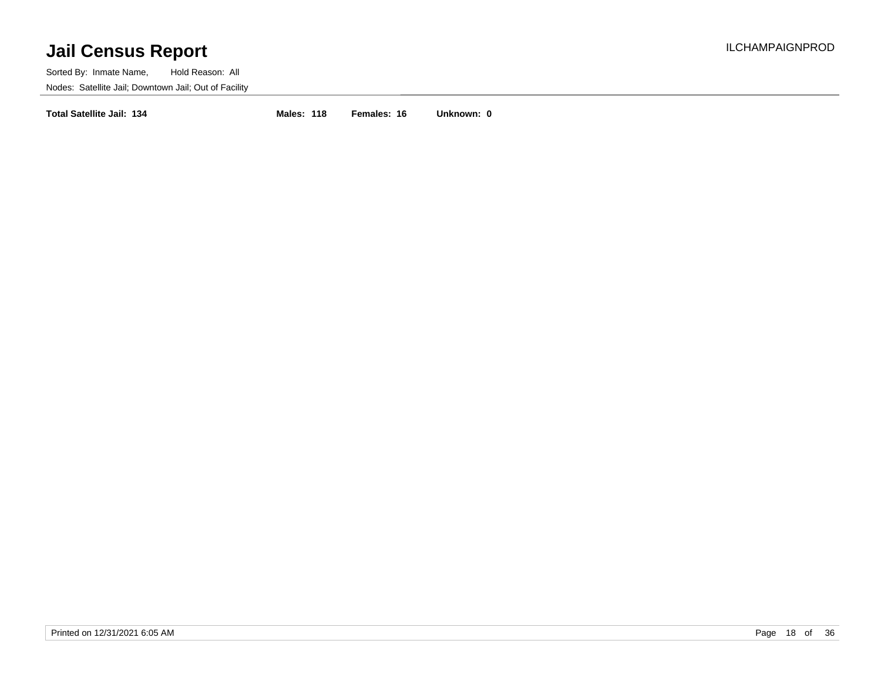Sorted By: Inmate Name, Hold Reason: All Nodes: Satellite Jail; Downtown Jail; Out of Facility

**Total Satellite Jail: 134 Males: 118 Females: 16 Unknown: 0**

Printed on 12/31/2021 6:05 AM Page 18 of 36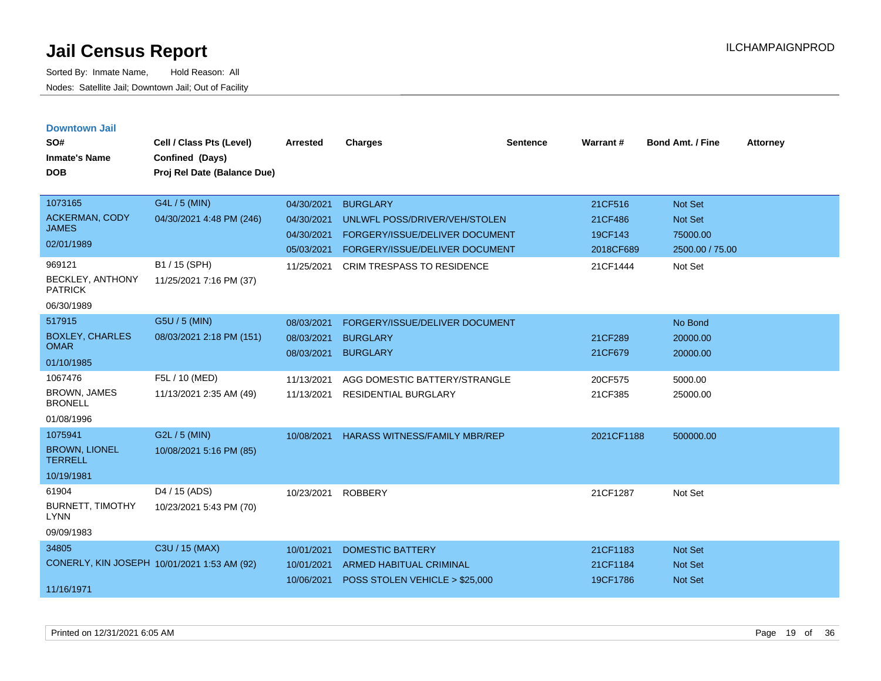| <b>Downtown Jail</b><br>SO#<br><b>Inmate's Name</b><br><b>DOB</b> | Cell / Class Pts (Level)<br>Confined (Days)<br>Proj Rel Date (Balance Due) | <b>Arrested</b>                        | <b>Charges</b>                                                       | <b>Sentence</b> | Warrant#             | <b>Bond Amt. / Fine</b>          | <b>Attorney</b> |
|-------------------------------------------------------------------|----------------------------------------------------------------------------|----------------------------------------|----------------------------------------------------------------------|-----------------|----------------------|----------------------------------|-----------------|
| 1073165                                                           | G4L / 5 (MIN)                                                              | 04/30/2021                             | <b>BURGLARY</b>                                                      |                 | 21CF516              | Not Set                          |                 |
| <b>ACKERMAN, CODY</b><br><b>JAMES</b>                             | 04/30/2021 4:48 PM (246)                                                   | 04/30/2021                             | UNLWFL POSS/DRIVER/VEH/STOLEN                                        |                 | 21CF486              | <b>Not Set</b>                   |                 |
| 02/01/1989                                                        |                                                                            | 04/30/2021<br>05/03/2021               | FORGERY/ISSUE/DELIVER DOCUMENT<br>FORGERY/ISSUE/DELIVER DOCUMENT     |                 | 19CF143<br>2018CF689 | 75000.00<br>2500.00 / 75.00      |                 |
| 969121<br>BECKLEY, ANTHONY<br><b>PATRICK</b>                      | B1 / 15 (SPH)<br>11/25/2021 7:16 PM (37)                                   | 11/25/2021                             | <b>CRIM TRESPASS TO RESIDENCE</b>                                    |                 | 21CF1444             | Not Set                          |                 |
| 06/30/1989<br>517915                                              |                                                                            |                                        |                                                                      |                 |                      |                                  |                 |
| <b>BOXLEY, CHARLES</b><br><b>OMAR</b>                             | G5U / 5 (MIN)<br>08/03/2021 2:18 PM (151)                                  | 08/03/2021<br>08/03/2021<br>08/03/2021 | FORGERY/ISSUE/DELIVER DOCUMENT<br><b>BURGLARY</b><br><b>BURGLARY</b> |                 | 21CF289<br>21CF679   | No Bond<br>20000.00<br>20000.00  |                 |
| 01/10/1985                                                        |                                                                            |                                        |                                                                      |                 |                      |                                  |                 |
| 1067476<br><b>BROWN, JAMES</b><br><b>BRONELL</b><br>01/08/1996    | F5L / 10 (MED)<br>11/13/2021 2:35 AM (49)                                  | 11/13/2021<br>11/13/2021               | AGG DOMESTIC BATTERY/STRANGLE<br><b>RESIDENTIAL BURGLARY</b>         |                 | 20CF575<br>21CF385   | 5000.00<br>25000.00              |                 |
| 1075941<br><b>BROWN, LIONEL</b><br><b>TERRELL</b><br>10/19/1981   | G2L / 5 (MIN)<br>10/08/2021 5:16 PM (85)                                   | 10/08/2021                             | <b>HARASS WITNESS/FAMILY MBR/REP</b>                                 |                 | 2021CF1188           | 500000.00                        |                 |
| 61904<br><b>BURNETT, TIMOTHY</b><br><b>LYNN</b><br>09/09/1983     | D4 / 15 (ADS)<br>10/23/2021 5:43 PM (70)                                   | 10/23/2021                             | <b>ROBBERY</b>                                                       |                 | 21CF1287             | Not Set                          |                 |
| 34805                                                             | C3U / 15 (MAX)                                                             | 10/01/2021                             | <b>DOMESTIC BATTERY</b>                                              |                 | 21CF1183             | <b>Not Set</b>                   |                 |
| 11/16/1971                                                        | CONERLY, KIN JOSEPH 10/01/2021 1:53 AM (92)                                | 10/01/2021<br>10/06/2021               | ARMED HABITUAL CRIMINAL<br>POSS STOLEN VEHICLE > \$25,000            |                 | 21CF1184<br>19CF1786 | <b>Not Set</b><br><b>Not Set</b> |                 |
|                                                                   |                                                                            |                                        |                                                                      |                 |                      |                                  |                 |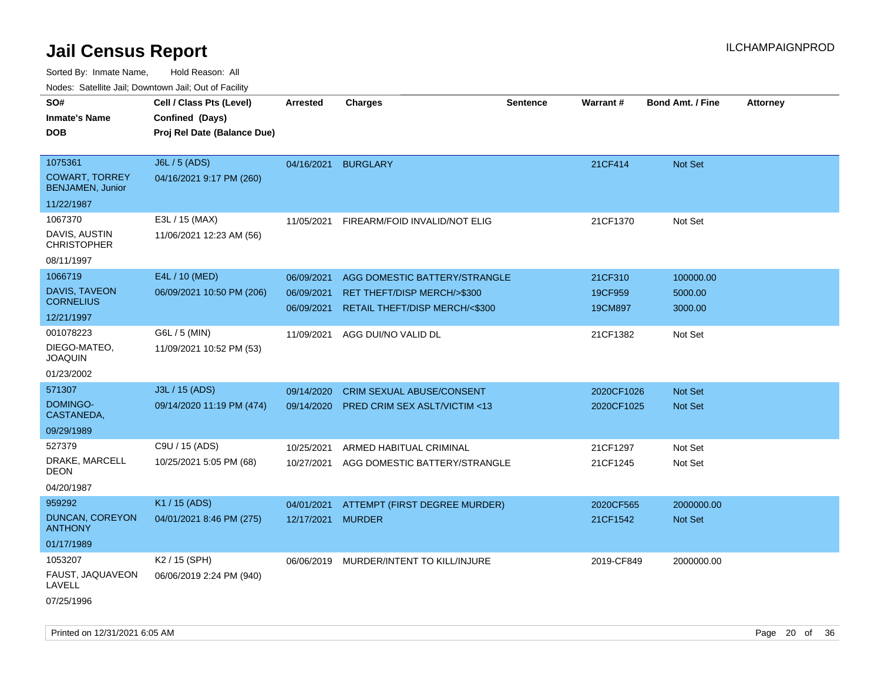|                                                  | Noues. Salenne Jan, Downtown Jan, Out of Facility |            |                                  |                 |                 |                         |                 |
|--------------------------------------------------|---------------------------------------------------|------------|----------------------------------|-----------------|-----------------|-------------------------|-----------------|
| SO#                                              | Cell / Class Pts (Level)                          | Arrested   | <b>Charges</b>                   | <b>Sentence</b> | <b>Warrant#</b> | <b>Bond Amt. / Fine</b> | <b>Attorney</b> |
| <b>Inmate's Name</b>                             | Confined (Days)                                   |            |                                  |                 |                 |                         |                 |
| <b>DOB</b>                                       | Proj Rel Date (Balance Due)                       |            |                                  |                 |                 |                         |                 |
|                                                  |                                                   |            |                                  |                 |                 |                         |                 |
| 1075361                                          | J6L / 5 (ADS)                                     | 04/16/2021 | <b>BURGLARY</b>                  |                 | 21CF414         | <b>Not Set</b>          |                 |
| <b>COWART, TORREY</b><br><b>BENJAMEN, Junior</b> | 04/16/2021 9:17 PM (260)                          |            |                                  |                 |                 |                         |                 |
| 11/22/1987                                       |                                                   |            |                                  |                 |                 |                         |                 |
| 1067370                                          | E3L / 15 (MAX)                                    | 11/05/2021 | FIREARM/FOID INVALID/NOT ELIG    |                 | 21CF1370        | Not Set                 |                 |
| DAVIS, AUSTIN<br><b>CHRISTOPHER</b>              | 11/06/2021 12:23 AM (56)                          |            |                                  |                 |                 |                         |                 |
| 08/11/1997                                       |                                                   |            |                                  |                 |                 |                         |                 |
| 1066719                                          | E4L / 10 (MED)                                    | 06/09/2021 | AGG DOMESTIC BATTERY/STRANGLE    |                 | 21CF310         | 100000.00               |                 |
| DAVIS, TAVEON                                    | 06/09/2021 10:50 PM (206)                         | 06/09/2021 | RET THEFT/DISP MERCH/>\$300      |                 | 19CF959         | 5000.00                 |                 |
| <b>CORNELIUS</b>                                 |                                                   | 06/09/2021 | RETAIL THEFT/DISP MERCH/<\$300   |                 | 19CM897         | 3000.00                 |                 |
| 12/21/1997                                       |                                                   |            |                                  |                 |                 |                         |                 |
| 001078223                                        | G6L / 5 (MIN)                                     | 11/09/2021 | AGG DUI/NO VALID DL              |                 | 21CF1382        | Not Set                 |                 |
| DIEGO-MATEO.<br><b>JOAQUIN</b>                   | 11/09/2021 10:52 PM (53)                          |            |                                  |                 |                 |                         |                 |
| 01/23/2002                                       |                                                   |            |                                  |                 |                 |                         |                 |
| 571307                                           | J3L / 15 (ADS)                                    | 09/14/2020 | <b>CRIM SEXUAL ABUSE/CONSENT</b> |                 | 2020CF1026      | <b>Not Set</b>          |                 |
| DOMINGO-<br>CASTANEDA,                           | 09/14/2020 11:19 PM (474)                         | 09/14/2020 | PRED CRIM SEX ASLT/VICTIM <13    |                 | 2020CF1025      | <b>Not Set</b>          |                 |
| 09/29/1989                                       |                                                   |            |                                  |                 |                 |                         |                 |
| 527379                                           | C9U / 15 (ADS)                                    | 10/25/2021 | ARMED HABITUAL CRIMINAL          |                 | 21CF1297        | Not Set                 |                 |
| DRAKE, MARCELL<br>DEON                           | 10/25/2021 5:05 PM (68)                           | 10/27/2021 | AGG DOMESTIC BATTERY/STRANGLE    |                 | 21CF1245        | Not Set                 |                 |
| 04/20/1987                                       |                                                   |            |                                  |                 |                 |                         |                 |
| 959292                                           | K1 / 15 (ADS)                                     | 04/01/2021 | ATTEMPT (FIRST DEGREE MURDER)    |                 | 2020CF565       | 2000000.00              |                 |
| DUNCAN, COREYON<br><b>ANTHONY</b>                | 04/01/2021 8:46 PM (275)                          | 12/17/2021 | <b>MURDER</b>                    |                 | 21CF1542        | Not Set                 |                 |
| 01/17/1989                                       |                                                   |            |                                  |                 |                 |                         |                 |
| 1053207                                          | K2 / 15 (SPH)                                     | 06/06/2019 | MURDER/INTENT TO KILL/INJURE     |                 | 2019-CF849      | 2000000.00              |                 |
| FAUST, JAQUAVEON<br>LAVELL                       | 06/06/2019 2:24 PM (940)                          |            |                                  |                 |                 |                         |                 |
| 07/25/1996                                       |                                                   |            |                                  |                 |                 |                         |                 |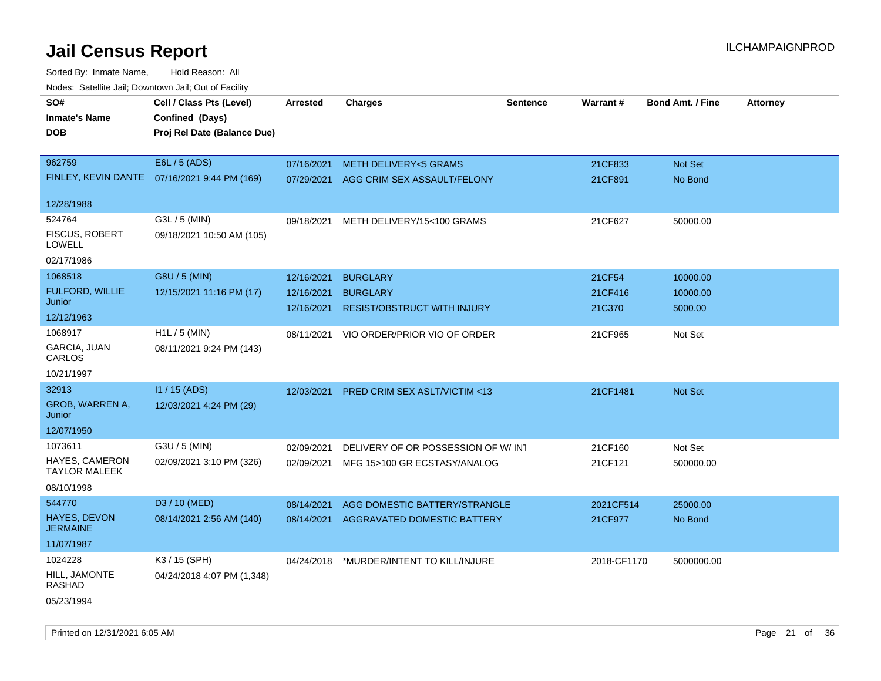| roaco. Catolino dall, Downtown dall, Out of Fability |                                              |                 |                                          |                 |             |                         |                 |
|------------------------------------------------------|----------------------------------------------|-----------------|------------------------------------------|-----------------|-------------|-------------------------|-----------------|
| SO#<br><b>Inmate's Name</b>                          | Cell / Class Pts (Level)<br>Confined (Days)  | <b>Arrested</b> | <b>Charges</b>                           | <b>Sentence</b> | Warrant#    | <b>Bond Amt. / Fine</b> | <b>Attorney</b> |
| <b>DOB</b>                                           | Proj Rel Date (Balance Due)                  |                 |                                          |                 |             |                         |                 |
| 962759                                               | E6L / 5 (ADS)                                | 07/16/2021      | METH DELIVERY<5 GRAMS                    |                 | 21CF833     | Not Set                 |                 |
|                                                      | FINLEY, KEVIN DANTE 07/16/2021 9:44 PM (169) | 07/29/2021      | AGG CRIM SEX ASSAULT/FELONY              |                 | 21CF891     | No Bond                 |                 |
| 12/28/1988                                           |                                              |                 |                                          |                 |             |                         |                 |
| 524764<br><b>FISCUS, ROBERT</b><br>LOWELL            | G3L / 5 (MIN)<br>09/18/2021 10:50 AM (105)   | 09/18/2021      | METH DELIVERY/15<100 GRAMS               |                 | 21CF627     | 50000.00                |                 |
| 02/17/1986                                           |                                              |                 |                                          |                 |             |                         |                 |
| 1068518                                              | G8U / 5 (MIN)                                | 12/16/2021      | <b>BURGLARY</b>                          |                 | 21CF54      | 10000.00                |                 |
| <b>FULFORD, WILLIE</b><br>Junior                     | 12/15/2021 11:16 PM (17)                     | 12/16/2021      | <b>BURGLARY</b>                          |                 | 21CF416     | 10000.00                |                 |
| 12/12/1963                                           |                                              | 12/16/2021      | <b>RESIST/OBSTRUCT WITH INJURY</b>       |                 | 21C370      | 5000.00                 |                 |
| 1068917<br>GARCIA, JUAN                              | H1L / 5 (MIN)<br>08/11/2021 9:24 PM (143)    | 08/11/2021      | VIO ORDER/PRIOR VIO OF ORDER             |                 | 21CF965     | Not Set                 |                 |
| CARLOS                                               |                                              |                 |                                          |                 |             |                         |                 |
| 10/21/1997                                           |                                              |                 |                                          |                 |             |                         |                 |
| 32913                                                | I1 / 15 (ADS)                                | 12/03/2021      | PRED CRIM SEX ASLT/VICTIM <13            |                 | 21CF1481    | <b>Not Set</b>          |                 |
| <b>GROB, WARREN A,</b><br>Junior                     | 12/03/2021 4:24 PM (29)                      |                 |                                          |                 |             |                         |                 |
| 12/07/1950                                           |                                              |                 |                                          |                 |             |                         |                 |
| 1073611                                              | G3U / 5 (MIN)                                | 02/09/2021      | DELIVERY OF OR POSSESSION OF W/INT       |                 | 21CF160     | Not Set                 |                 |
| HAYES, CAMERON<br><b>TAYLOR MALEEK</b>               | 02/09/2021 3:10 PM (326)                     | 02/09/2021      | MFG 15>100 GR ECSTASY/ANALOG             |                 | 21CF121     | 500000.00               |                 |
| 08/10/1998                                           |                                              |                 |                                          |                 |             |                         |                 |
| 544770                                               | D3 / 10 (MED)                                | 08/14/2021      | AGG DOMESTIC BATTERY/STRANGLE            |                 | 2021CF514   | 25000.00                |                 |
| HAYES, DEVON<br><b>JERMAINE</b>                      | 08/14/2021 2:56 AM (140)                     | 08/14/2021      | AGGRAVATED DOMESTIC BATTERY              |                 | 21CF977     | No Bond                 |                 |
| 11/07/1987                                           |                                              |                 |                                          |                 |             |                         |                 |
| 1024228                                              | K3 / 15 (SPH)                                |                 | 04/24/2018 *MURDER/INTENT TO KILL/INJURE |                 | 2018-CF1170 | 5000000.00              |                 |
| HILL, JAMONTE<br>RASHAD                              | 04/24/2018 4:07 PM (1,348)                   |                 |                                          |                 |             |                         |                 |
| 05/23/1994                                           |                                              |                 |                                          |                 |             |                         |                 |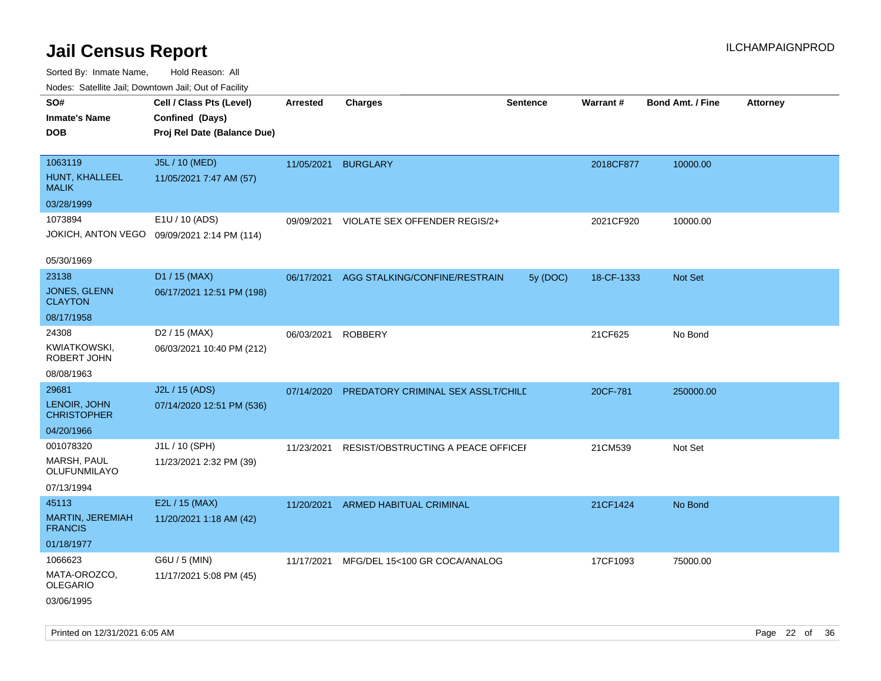| ivuutos. Saltiilit Jall, Duwilluwii Jall, Oul of Facility |                                             |                 |                                    |                 |            |                         |                 |
|-----------------------------------------------------------|---------------------------------------------|-----------------|------------------------------------|-----------------|------------|-------------------------|-----------------|
| SO#                                                       | Cell / Class Pts (Level)                    | <b>Arrested</b> | <b>Charges</b>                     | <b>Sentence</b> | Warrant#   | <b>Bond Amt. / Fine</b> | <b>Attorney</b> |
| <b>Inmate's Name</b>                                      | Confined (Days)                             |                 |                                    |                 |            |                         |                 |
| <b>DOB</b>                                                | Proj Rel Date (Balance Due)                 |                 |                                    |                 |            |                         |                 |
|                                                           |                                             |                 |                                    |                 |            |                         |                 |
| 1063119                                                   | J5L / 10 (MED)                              | 11/05/2021      | <b>BURGLARY</b>                    |                 | 2018CF877  | 10000.00                |                 |
| HUNT, KHALLEEL<br><b>MALIK</b>                            | 11/05/2021 7:47 AM (57)                     |                 |                                    |                 |            |                         |                 |
| 03/28/1999                                                |                                             |                 |                                    |                 |            |                         |                 |
| 1073894                                                   | E1U / 10 (ADS)                              | 09/09/2021      | VIOLATE SEX OFFENDER REGIS/2+      |                 | 2021CF920  | 10000.00                |                 |
|                                                           | JOKICH, ANTON VEGO 09/09/2021 2:14 PM (114) |                 |                                    |                 |            |                         |                 |
|                                                           |                                             |                 |                                    |                 |            |                         |                 |
| 05/30/1969                                                |                                             |                 |                                    |                 |            |                         |                 |
| 23138                                                     | D1 / 15 (MAX)                               | 06/17/2021      | AGG STALKING/CONFINE/RESTRAIN      | 5y (DOC)        | 18-CF-1333 | Not Set                 |                 |
| JONES, GLENN<br><b>CLAYTON</b>                            | 06/17/2021 12:51 PM (198)                   |                 |                                    |                 |            |                         |                 |
| 08/17/1958                                                |                                             |                 |                                    |                 |            |                         |                 |
| 24308                                                     | D <sub>2</sub> / 15 (MAX)                   | 06/03/2021      | <b>ROBBERY</b>                     |                 | 21CF625    | No Bond                 |                 |
| KWIATKOWSKI,<br>ROBERT JOHN                               | 06/03/2021 10:40 PM (212)                   |                 |                                    |                 |            |                         |                 |
| 08/08/1963                                                |                                             |                 |                                    |                 |            |                         |                 |
| 29681                                                     | J2L / 15 (ADS)                              | 07/14/2020      | PREDATORY CRIMINAL SEX ASSLT/CHILD |                 | 20CF-781   | 250000.00               |                 |
| LENOIR, JOHN<br><b>CHRISTOPHER</b>                        | 07/14/2020 12:51 PM (536)                   |                 |                                    |                 |            |                         |                 |
| 04/20/1966                                                |                                             |                 |                                    |                 |            |                         |                 |
| 001078320                                                 | J1L / 10 (SPH)                              | 11/23/2021      | RESIST/OBSTRUCTING A PEACE OFFICEI |                 | 21CM539    | Not Set                 |                 |
| <b>MARSH, PAUL</b><br>OLUFUNMILAYO                        | 11/23/2021 2:32 PM (39)                     |                 |                                    |                 |            |                         |                 |
| 07/13/1994                                                |                                             |                 |                                    |                 |            |                         |                 |
| 45113                                                     | E2L / 15 (MAX)                              | 11/20/2021      | ARMED HABITUAL CRIMINAL            |                 | 21CF1424   | No Bond                 |                 |
| <b>MARTIN, JEREMIAH</b><br><b>FRANCIS</b>                 | 11/20/2021 1:18 AM (42)                     |                 |                                    |                 |            |                         |                 |
| 01/18/1977                                                |                                             |                 |                                    |                 |            |                         |                 |
| 1066623                                                   | G6U / 5 (MIN)                               | 11/17/2021      | MFG/DEL 15<100 GR COCA/ANALOG      |                 | 17CF1093   | 75000.00                |                 |
| MATA-OROZCO,<br><b>OLEGARIO</b>                           | 11/17/2021 5:08 PM (45)                     |                 |                                    |                 |            |                         |                 |
| 03/06/1995                                                |                                             |                 |                                    |                 |            |                         |                 |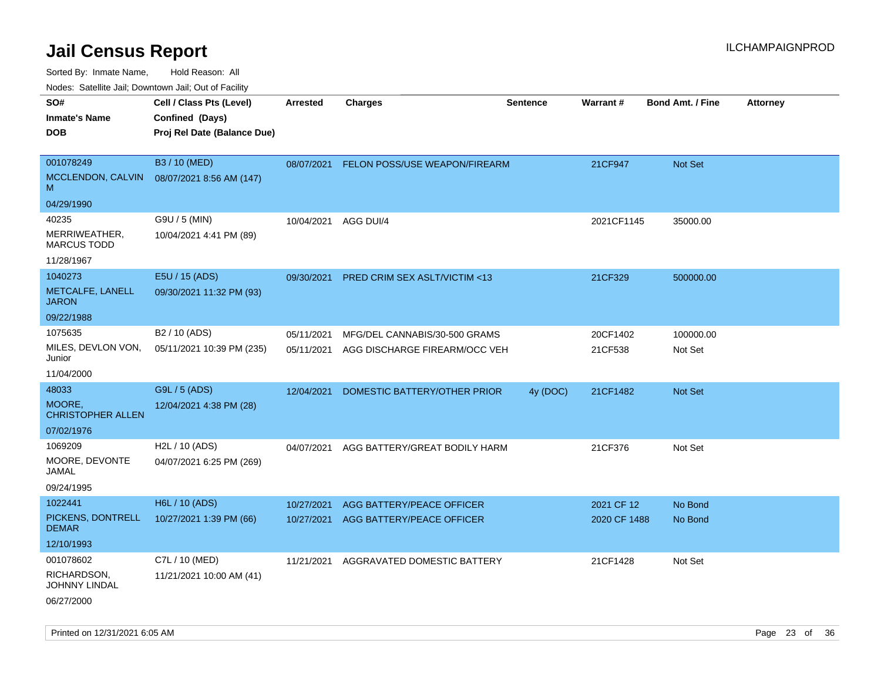Sorted By: Inmate Name, Hold Reason: All

Nodes: Satellite Jail; Downtown Jail; Out of Facility

| SO#<br><b>Inmate's Name</b><br><b>DOB</b>                                | Cell / Class Pts (Level)<br>Confined (Days)<br>Proj Rel Date (Balance Due) | <b>Arrested</b>          | <b>Charges</b>                                                 | <b>Sentence</b> | Warrant#                   | <b>Bond Amt. / Fine</b> | <b>Attorney</b> |
|--------------------------------------------------------------------------|----------------------------------------------------------------------------|--------------------------|----------------------------------------------------------------|-----------------|----------------------------|-------------------------|-----------------|
| 001078249<br>MCCLENDON, CALVIN<br>M                                      | B3 / 10 (MED)<br>08/07/2021 8:56 AM (147)                                  | 08/07/2021               | FELON POSS/USE WEAPON/FIREARM                                  |                 | 21CF947                    | Not Set                 |                 |
| 04/29/1990<br>40235<br>MERRIWEATHER,<br><b>MARCUS TODD</b><br>11/28/1967 | G9U / 5 (MIN)<br>10/04/2021 4:41 PM (89)                                   | 10/04/2021               | AGG DUI/4                                                      |                 | 2021CF1145                 | 35000.00                |                 |
| 1040273<br>METCALFE, LANELL<br><b>JARON</b>                              | E5U / 15 (ADS)<br>09/30/2021 11:32 PM (93)                                 | 09/30/2021               | PRED CRIM SEX ASLT/VICTIM <13                                  |                 | 21CF329                    | 500000.00               |                 |
| 09/22/1988<br>1075635<br>MILES, DEVLON VON,<br>Junior<br>11/04/2000      | B <sub>2</sub> / 10 (ADS)<br>05/11/2021 10:39 PM (235)                     | 05/11/2021<br>05/11/2021 | MFG/DEL CANNABIS/30-500 GRAMS<br>AGG DISCHARGE FIREARM/OCC VEH |                 | 20CF1402<br>21CF538        | 100000.00<br>Not Set    |                 |
| 48033<br>MOORE,<br><b>CHRISTOPHER ALLEN</b><br>07/02/1976                | G9L / 5 (ADS)<br>12/04/2021 4:38 PM (28)                                   | 12/04/2021               | DOMESTIC BATTERY/OTHER PRIOR                                   | 4y (DOC)        | 21CF1482                   | <b>Not Set</b>          |                 |
| 1069209<br>MOORE, DEVONTE<br>JAMAL<br>09/24/1995                         | H2L / 10 (ADS)<br>04/07/2021 6:25 PM (269)                                 | 04/07/2021               | AGG BATTERY/GREAT BODILY HARM                                  |                 | 21CF376                    | Not Set                 |                 |
| 1022441<br>PICKENS, DONTRELL<br><b>DEMAR</b><br>12/10/1993               | H6L / 10 (ADS)<br>10/27/2021 1:39 PM (66)                                  | 10/27/2021<br>10/27/2021 | AGG BATTERY/PEACE OFFICER<br>AGG BATTERY/PEACE OFFICER         |                 | 2021 CF 12<br>2020 CF 1488 | No Bond<br>No Bond      |                 |
| 001078602<br>RICHARDSON,<br>JOHNNY LINDAL<br>06/27/2000                  | C7L / 10 (MED)<br>11/21/2021 10:00 AM (41)                                 | 11/21/2021               | AGGRAVATED DOMESTIC BATTERY                                    |                 | 21CF1428                   | Not Set                 |                 |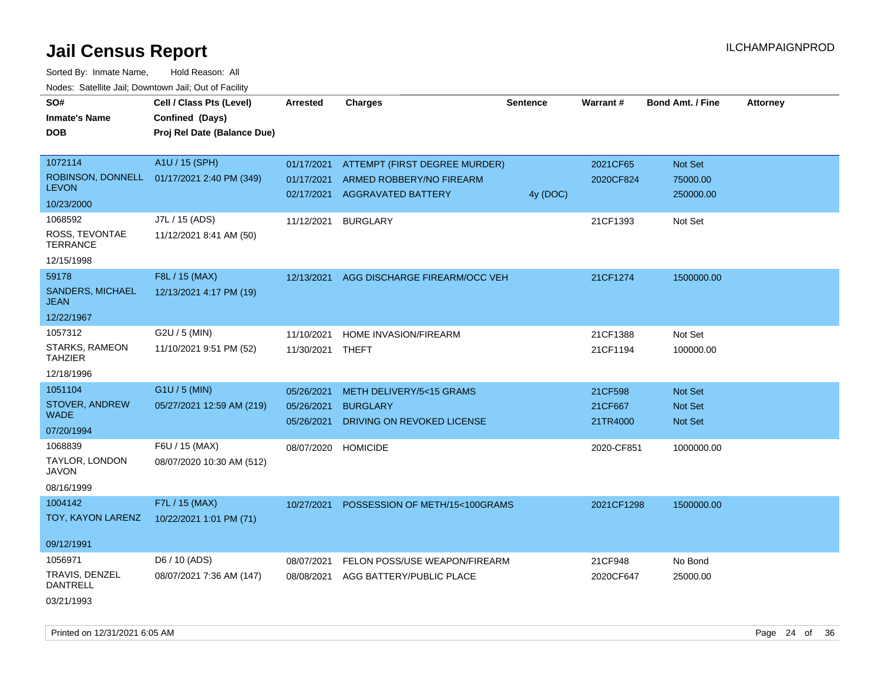Sorted By: Inmate Name, Hold Reason: All Nodes: Satellite Jail; Downtown Jail; Out of Facility

| SO#                                    | Cell / Class Pts (Level)    | <b>Arrested</b> | <b>Charges</b>                 | <b>Sentence</b> | <b>Warrant#</b> | <b>Bond Amt. / Fine</b> | <b>Attorney</b> |
|----------------------------------------|-----------------------------|-----------------|--------------------------------|-----------------|-----------------|-------------------------|-----------------|
| <b>Inmate's Name</b>                   | Confined (Days)             |                 |                                |                 |                 |                         |                 |
| <b>DOB</b>                             | Proj Rel Date (Balance Due) |                 |                                |                 |                 |                         |                 |
|                                        |                             |                 |                                |                 |                 |                         |                 |
| 1072114                                | A1U / 15 (SPH)              | 01/17/2021      | ATTEMPT (FIRST DEGREE MURDER)  |                 | 2021CF65        | Not Set                 |                 |
| ROBINSON, DONNELL                      | 01/17/2021 2:40 PM (349)    | 01/17/2021      | ARMED ROBBERY/NO FIREARM       |                 | 2020CF824       | 75000.00                |                 |
| <b>LEVON</b>                           |                             | 02/17/2021      | <b>AGGRAVATED BATTERY</b>      | 4y (DOC)        |                 | 250000.00               |                 |
| 10/23/2000                             |                             |                 |                                |                 |                 |                         |                 |
| 1068592                                | J7L / 15 (ADS)              | 11/12/2021      | <b>BURGLARY</b>                |                 | 21CF1393        | Not Set                 |                 |
| ROSS, TEVONTAE<br><b>TERRANCE</b>      | 11/12/2021 8:41 AM (50)     |                 |                                |                 |                 |                         |                 |
| 12/15/1998                             |                             |                 |                                |                 |                 |                         |                 |
| 59178                                  | F8L / 15 (MAX)              | 12/13/2021      | AGG DISCHARGE FIREARM/OCC VEH  |                 | 21CF1274        | 1500000.00              |                 |
| <b>SANDERS, MICHAEL</b><br><b>JEAN</b> | 12/13/2021 4:17 PM (19)     |                 |                                |                 |                 |                         |                 |
| 12/22/1967                             |                             |                 |                                |                 |                 |                         |                 |
| 1057312                                | G2U / 5 (MIN)               | 11/10/2021      | HOME INVASION/FIREARM          |                 | 21CF1388        | Not Set                 |                 |
| STARKS, RAMEON<br><b>TAHZIER</b>       | 11/10/2021 9:51 PM (52)     | 11/30/2021      | THEFT                          |                 | 21CF1194        | 100000.00               |                 |
| 12/18/1996                             |                             |                 |                                |                 |                 |                         |                 |
| 1051104                                | G1U / 5 (MIN)               | 05/26/2021      | METH DELIVERY/5<15 GRAMS       |                 | 21CF598         | <b>Not Set</b>          |                 |
| STOVER, ANDREW                         | 05/27/2021 12:59 AM (219)   | 05/26/2021      | <b>BURGLARY</b>                |                 | 21CF667         | Not Set                 |                 |
| <b>WADE</b>                            |                             | 05/26/2021      | DRIVING ON REVOKED LICENSE     |                 | 21TR4000        | Not Set                 |                 |
| 07/20/1994                             |                             |                 |                                |                 |                 |                         |                 |
| 1068839                                | F6U / 15 (MAX)              | 08/07/2020      | <b>HOMICIDE</b>                |                 | 2020-CF851      | 1000000.00              |                 |
| TAYLOR, LONDON<br><b>JAVON</b>         | 08/07/2020 10:30 AM (512)   |                 |                                |                 |                 |                         |                 |
| 08/16/1999                             |                             |                 |                                |                 |                 |                         |                 |
| 1004142                                | F7L / 15 (MAX)              | 10/27/2021      | POSSESSION OF METH/15<100GRAMS |                 | 2021CF1298      | 1500000.00              |                 |
| TOY, KAYON LARENZ                      | 10/22/2021 1:01 PM (71)     |                 |                                |                 |                 |                         |                 |
| 09/12/1991                             |                             |                 |                                |                 |                 |                         |                 |
| 1056971                                | D6 / 10 (ADS)               | 08/07/2021      | FELON POSS/USE WEAPON/FIREARM  |                 | 21CF948         | No Bond                 |                 |
| TRAVIS, DENZEL<br><b>DANTRELL</b>      | 08/07/2021 7:36 AM (147)    | 08/08/2021      | AGG BATTERY/PUBLIC PLACE       |                 | 2020CF647       | 25000.00                |                 |
| 03/21/1993                             |                             |                 |                                |                 |                 |                         |                 |

Printed on 12/31/2021 6:05 AM Page 24 of 36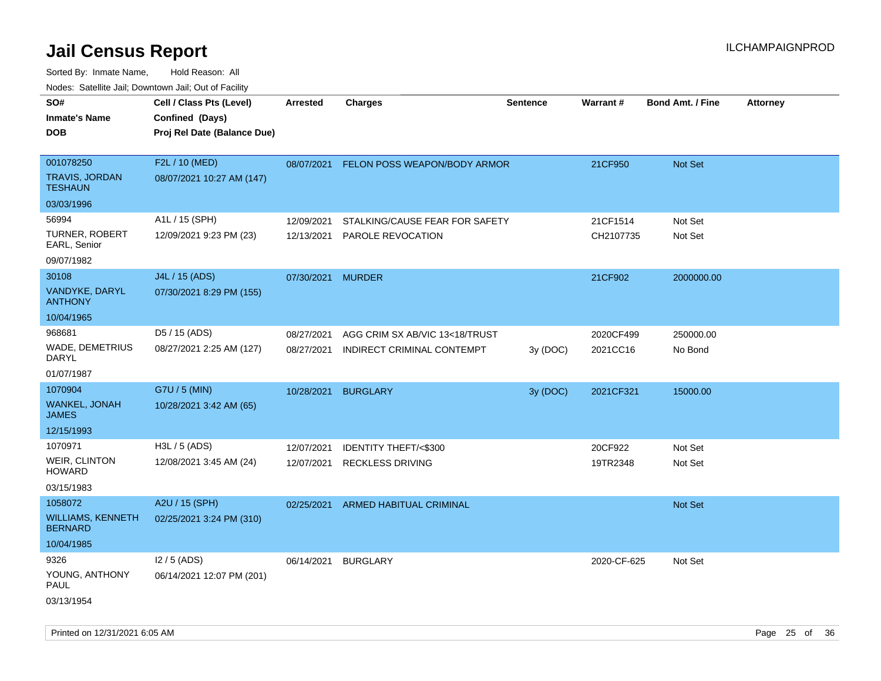| Todoo. Catolino can, Bowritown can, Oat or I domt<br>SO#<br><b>Inmate's Name</b><br><b>DOB</b> | Cell / Class Pts (Level)<br>Confined (Days)<br>Proj Rel Date (Balance Due) | <b>Arrested</b>          | <b>Charges</b>                                               | <b>Sentence</b> | Warrant#              | <b>Bond Amt. / Fine</b> | <b>Attorney</b> |
|------------------------------------------------------------------------------------------------|----------------------------------------------------------------------------|--------------------------|--------------------------------------------------------------|-----------------|-----------------------|-------------------------|-----------------|
| 001078250<br><b>TRAVIS, JORDAN</b><br><b>TESHAUN</b>                                           | F2L / 10 (MED)<br>08/07/2021 10:27 AM (147)                                | 08/07/2021               | FELON POSS WEAPON/BODY ARMOR                                 |                 | 21CF950               | Not Set                 |                 |
| 03/03/1996                                                                                     |                                                                            |                          |                                                              |                 |                       |                         |                 |
| 56994<br><b>TURNER, ROBERT</b><br>EARL, Senior<br>09/07/1982                                   | A1L / 15 (SPH)<br>12/09/2021 9:23 PM (23)                                  | 12/09/2021<br>12/13/2021 | STALKING/CAUSE FEAR FOR SAFETY<br>PAROLE REVOCATION          |                 | 21CF1514<br>CH2107735 | Not Set<br>Not Set      |                 |
| 30108<br>VANDYKE, DARYL<br><b>ANTHONY</b>                                                      | J4L / 15 (ADS)<br>07/30/2021 8:29 PM (155)                                 | 07/30/2021               | <b>MURDER</b>                                                |                 | 21CF902               | 2000000.00              |                 |
| 10/04/1965                                                                                     |                                                                            |                          |                                                              |                 |                       |                         |                 |
| 968681<br><b>WADE, DEMETRIUS</b><br>DARYL                                                      | D5 / 15 (ADS)<br>08/27/2021 2:25 AM (127)                                  | 08/27/2021<br>08/27/2021 | AGG CRIM SX AB/VIC 13<18/TRUST<br>INDIRECT CRIMINAL CONTEMPT | 3y (DOC)        | 2020CF499<br>2021CC16 | 250000.00<br>No Bond    |                 |
| 01/07/1987                                                                                     |                                                                            |                          |                                                              |                 |                       |                         |                 |
| 1070904<br><b>WANKEL, JONAH</b><br><b>JAMES</b>                                                | G7U / 5 (MIN)<br>10/28/2021 3:42 AM (65)                                   | 10/28/2021               | <b>BURGLARY</b>                                              | 3y (DOC)        | 2021CF321             | 15000.00                |                 |
| 12/15/1993                                                                                     |                                                                            |                          |                                                              |                 |                       |                         |                 |
| 1070971<br><b>WEIR, CLINTON</b><br><b>HOWARD</b><br>03/15/1983                                 | H3L / 5 (ADS)<br>12/08/2021 3:45 AM (24)                                   | 12/07/2021<br>12/07/2021 | <b>IDENTITY THEFT/&lt;\$300</b><br><b>RECKLESS DRIVING</b>   |                 | 20CF922<br>19TR2348   | Not Set<br>Not Set      |                 |
| 1058072<br><b>WILLIAMS, KENNETH</b><br><b>BERNARD</b><br>10/04/1985                            | A2U / 15 (SPH)<br>02/25/2021 3:24 PM (310)                                 | 02/25/2021               | <b>ARMED HABITUAL CRIMINAL</b>                               |                 |                       | Not Set                 |                 |
| 9326<br>YOUNG, ANTHONY<br>PAUL<br>03/13/1954                                                   | $12/5$ (ADS)<br>06/14/2021 12:07 PM (201)                                  | 06/14/2021               | <b>BURGLARY</b>                                              |                 | 2020-CF-625           | Not Set                 |                 |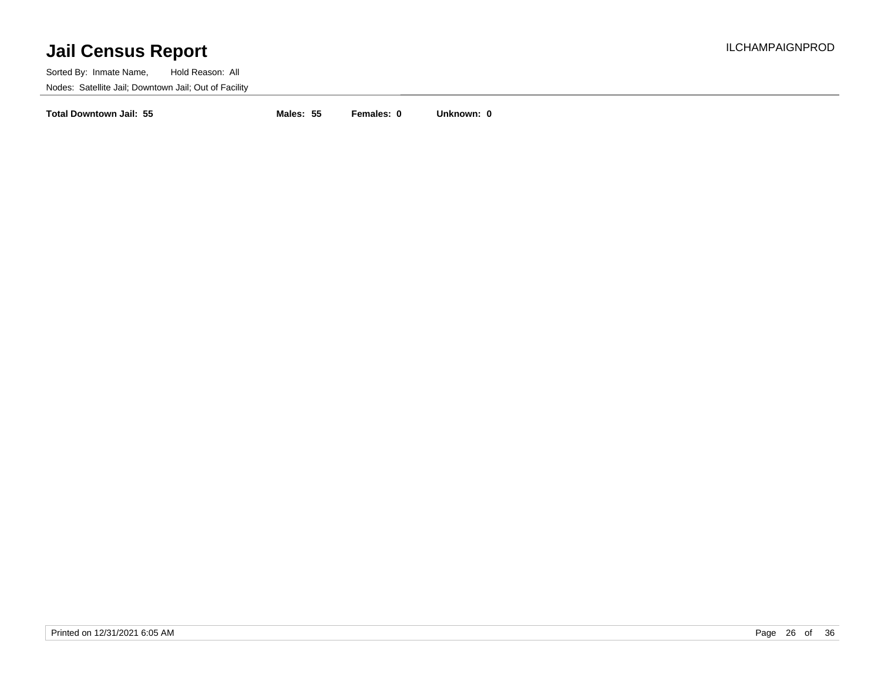Sorted By: Inmate Name, Hold Reason: All Nodes: Satellite Jail; Downtown Jail; Out of Facility

**Total Downtown Jail: 55 Males: 55 Females: 0 Unknown: 0**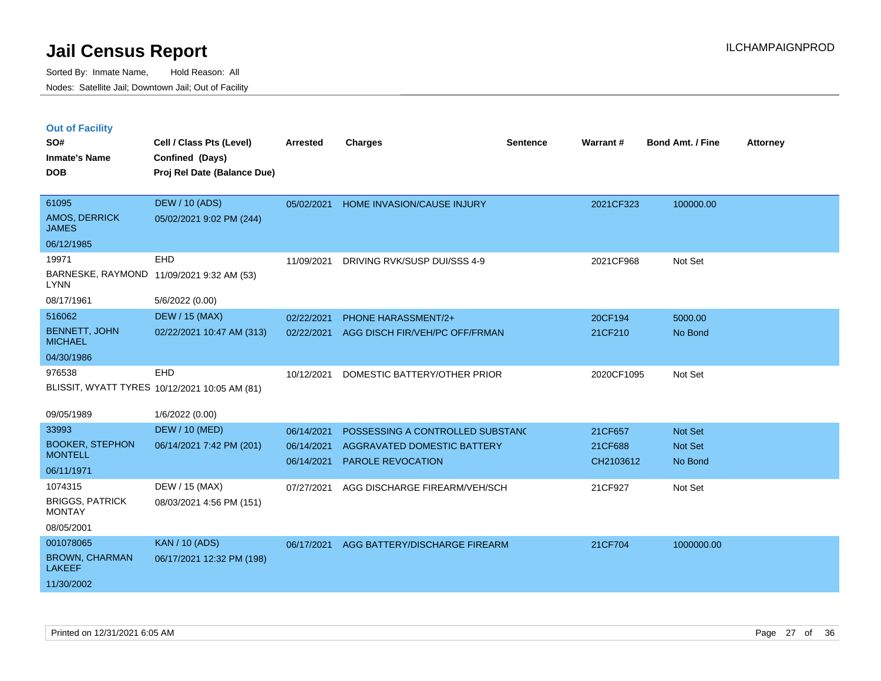| <b>Out of Facility</b> |  |  |
|------------------------|--|--|
|                        |  |  |

| SO#<br><b>Inmate's Name</b><br><b>DOB</b>                         | Cell / Class Pts (Level)<br>Confined (Days)<br>Proj Rel Date (Balance Due) | Arrested                 | <b>Charges</b>                                          | <b>Sentence</b> | Warrant#             | Bond Amt. / Fine   | <b>Attorney</b> |
|-------------------------------------------------------------------|----------------------------------------------------------------------------|--------------------------|---------------------------------------------------------|-----------------|----------------------|--------------------|-----------------|
| 61095<br>AMOS, DERRICK<br><b>JAMES</b>                            | <b>DEW / 10 (ADS)</b><br>05/02/2021 9:02 PM (244)                          | 05/02/2021               | HOME INVASION/CAUSE INJURY                              |                 | 2021CF323            | 100000.00          |                 |
| 06/12/1985                                                        |                                                                            |                          |                                                         |                 |                      |                    |                 |
| 19971<br><b>LYNN</b>                                              | <b>EHD</b><br>BARNESKE, RAYMOND 11/09/2021 9:32 AM (53)                    | 11/09/2021               | DRIVING RVK/SUSP DUI/SSS 4-9                            |                 | 2021CF968            | Not Set            |                 |
| 08/17/1961                                                        | 5/6/2022 (0.00)                                                            |                          |                                                         |                 |                      |                    |                 |
| 516062                                                            | <b>DEW / 15 (MAX)</b>                                                      | 02/22/2021               | <b>PHONE HARASSMENT/2+</b>                              |                 | 20CF194              | 5000.00            |                 |
| <b>BENNETT, JOHN</b><br><b>MICHAEL</b>                            | 02/22/2021 10:47 AM (313)                                                  | 02/22/2021               | AGG DISCH FIR/VEH/PC OFF/FRMAN                          |                 | 21CF210              | No Bond            |                 |
| 04/30/1986                                                        |                                                                            |                          |                                                         |                 |                      |                    |                 |
| 976538                                                            | EHD<br>BLISSIT, WYATT TYRES 10/12/2021 10:05 AM (81)                       | 10/12/2021               | DOMESTIC BATTERY/OTHER PRIOR                            |                 | 2020CF1095           | Not Set            |                 |
| 09/05/1989                                                        | 1/6/2022 (0.00)                                                            |                          |                                                         |                 |                      |                    |                 |
| 33993                                                             | <b>DEW / 10 (MED)</b>                                                      | 06/14/2021               | POSSESSING A CONTROLLED SUBSTANC                        |                 | 21CF657              | Not Set            |                 |
| <b>BOOKER, STEPHON</b><br><b>MONTELL</b>                          | 06/14/2021 7:42 PM (201)                                                   | 06/14/2021<br>06/14/2021 | AGGRAVATED DOMESTIC BATTERY<br><b>PAROLE REVOCATION</b> |                 | 21CF688<br>CH2103612 | Not Set<br>No Bond |                 |
| 06/11/1971                                                        |                                                                            |                          |                                                         |                 |                      |                    |                 |
| 1074315<br><b>BRIGGS, PATRICK</b><br><b>MONTAY</b><br>08/05/2001  | DEW / 15 (MAX)<br>08/03/2021 4:56 PM (151)                                 | 07/27/2021               | AGG DISCHARGE FIREARM/VEH/SCH                           |                 | 21CF927              | Not Set            |                 |
| 001078065<br><b>BROWN, CHARMAN</b><br><b>LAKEEF</b><br>11/30/2002 | <b>KAN / 10 (ADS)</b><br>06/17/2021 12:32 PM (198)                         | 06/17/2021               | AGG BATTERY/DISCHARGE FIREARM                           |                 | 21CF704              | 1000000.00         |                 |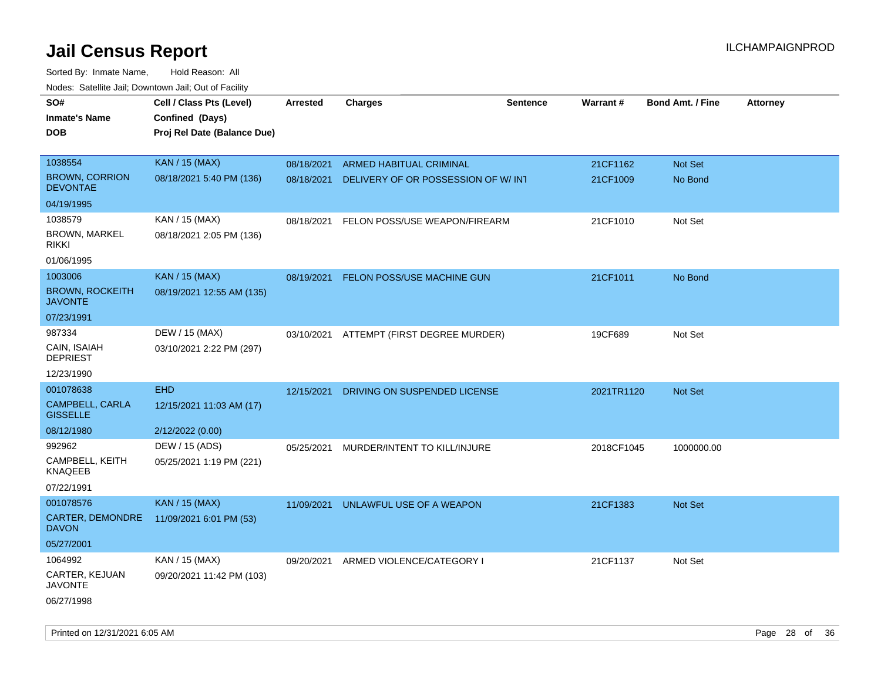| noaco. Catomto can, Domntonn can, Cat or I domt<br>SO#<br><b>Inmate's Name</b><br><b>DOB</b> | Cell / Class Pts (Level)<br>Confined (Days)<br>Proj Rel Date (Balance Due) | Arrested   | <b>Charges</b>                     | <b>Sentence</b> | Warrant#   | <b>Bond Amt. / Fine</b> | <b>Attorney</b> |
|----------------------------------------------------------------------------------------------|----------------------------------------------------------------------------|------------|------------------------------------|-----------------|------------|-------------------------|-----------------|
|                                                                                              |                                                                            |            |                                    |                 |            |                         |                 |
| 1038554                                                                                      | <b>KAN / 15 (MAX)</b>                                                      | 08/18/2021 | <b>ARMED HABITUAL CRIMINAL</b>     |                 | 21CF1162   | Not Set                 |                 |
| <b>BROWN, CORRION</b><br><b>DEVONTAE</b>                                                     | 08/18/2021 5:40 PM (136)                                                   | 08/18/2021 | DELIVERY OF OR POSSESSION OF W/INT |                 | 21CF1009   | No Bond                 |                 |
| 04/19/1995                                                                                   |                                                                            |            |                                    |                 |            |                         |                 |
| 1038579                                                                                      | KAN / 15 (MAX)                                                             | 08/18/2021 | FELON POSS/USE WEAPON/FIREARM      |                 | 21CF1010   | Not Set                 |                 |
| <b>BROWN, MARKEL</b><br><b>RIKKI</b>                                                         | 08/18/2021 2:05 PM (136)                                                   |            |                                    |                 |            |                         |                 |
| 01/06/1995                                                                                   |                                                                            |            |                                    |                 |            |                         |                 |
| 1003006                                                                                      | <b>KAN / 15 (MAX)</b>                                                      | 08/19/2021 | FELON POSS/USE MACHINE GUN         |                 | 21CF1011   | No Bond                 |                 |
| <b>BROWN, ROCKEITH</b><br><b>JAVONTE</b>                                                     | 08/19/2021 12:55 AM (135)                                                  |            |                                    |                 |            |                         |                 |
| 07/23/1991                                                                                   |                                                                            |            |                                    |                 |            |                         |                 |
| 987334                                                                                       | DEW / 15 (MAX)                                                             | 03/10/2021 | ATTEMPT (FIRST DEGREE MURDER)      |                 | 19CF689    | Not Set                 |                 |
| CAIN, ISAIAH<br><b>DEPRIEST</b>                                                              | 03/10/2021 2:22 PM (297)                                                   |            |                                    |                 |            |                         |                 |
| 12/23/1990                                                                                   |                                                                            |            |                                    |                 |            |                         |                 |
| 001078638                                                                                    | <b>EHD</b>                                                                 | 12/15/2021 | DRIVING ON SUSPENDED LICENSE       |                 | 2021TR1120 | Not Set                 |                 |
| <b>CAMPBELL, CARLA</b><br><b>GISSELLE</b>                                                    | 12/15/2021 11:03 AM (17)                                                   |            |                                    |                 |            |                         |                 |
| 08/12/1980                                                                                   | 2/12/2022 (0.00)                                                           |            |                                    |                 |            |                         |                 |
| 992962                                                                                       | DEW / 15 (ADS)                                                             | 05/25/2021 | MURDER/INTENT TO KILL/INJURE       |                 | 2018CF1045 | 1000000.00              |                 |
| CAMPBELL, KEITH<br><b>KNAQEEB</b>                                                            | 05/25/2021 1:19 PM (221)                                                   |            |                                    |                 |            |                         |                 |
| 07/22/1991                                                                                   |                                                                            |            |                                    |                 |            |                         |                 |
| 001078576                                                                                    | <b>KAN / 15 (MAX)</b>                                                      | 11/09/2021 | UNLAWFUL USE OF A WEAPON           |                 | 21CF1383   | <b>Not Set</b>          |                 |
| CARTER, DEMONDRE<br><b>DAVON</b>                                                             | 11/09/2021 6:01 PM (53)                                                    |            |                                    |                 |            |                         |                 |
| 05/27/2001                                                                                   |                                                                            |            |                                    |                 |            |                         |                 |
| 1064992                                                                                      | KAN / 15 (MAX)                                                             | 09/20/2021 | ARMED VIOLENCE/CATEGORY I          |                 | 21CF1137   | Not Set                 |                 |
| CARTER, KEJUAN<br><b>JAVONTE</b>                                                             | 09/20/2021 11:42 PM (103)                                                  |            |                                    |                 |            |                         |                 |
| 06/27/1998                                                                                   |                                                                            |            |                                    |                 |            |                         |                 |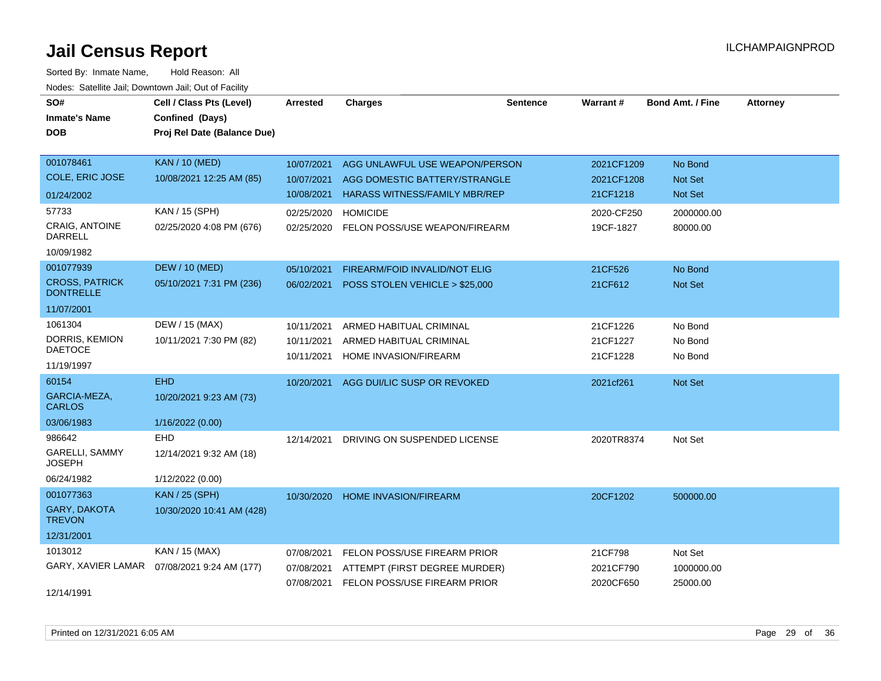| SO#                                       | Cell / Class Pts (Level)    | <b>Arrested</b> | <b>Charges</b>                       | <b>Sentence</b> | <b>Warrant#</b> | <b>Bond Amt. / Fine</b> | <b>Attorney</b> |
|-------------------------------------------|-----------------------------|-----------------|--------------------------------------|-----------------|-----------------|-------------------------|-----------------|
| <b>Inmate's Name</b>                      | Confined (Days)             |                 |                                      |                 |                 |                         |                 |
| <b>DOB</b>                                | Proj Rel Date (Balance Due) |                 |                                      |                 |                 |                         |                 |
|                                           |                             |                 |                                      |                 |                 |                         |                 |
| 001078461                                 | <b>KAN / 10 (MED)</b>       | 10/07/2021      | AGG UNLAWFUL USE WEAPON/PERSON       |                 | 2021CF1209      | No Bond                 |                 |
| <b>COLE, ERIC JOSE</b>                    | 10/08/2021 12:25 AM (85)    | 10/07/2021      | AGG DOMESTIC BATTERY/STRANGLE        |                 | 2021CF1208      | Not Set                 |                 |
| 01/24/2002                                |                             | 10/08/2021      | <b>HARASS WITNESS/FAMILY MBR/REP</b> |                 | 21CF1218        | Not Set                 |                 |
| 57733                                     | KAN / 15 (SPH)              | 02/25/2020      | <b>HOMICIDE</b>                      |                 | 2020-CF250      | 2000000.00              |                 |
| <b>CRAIG, ANTOINE</b><br><b>DARRELL</b>   | 02/25/2020 4:08 PM (676)    | 02/25/2020      | FELON POSS/USE WEAPON/FIREARM        |                 | 19CF-1827       | 80000.00                |                 |
| 10/09/1982                                |                             |                 |                                      |                 |                 |                         |                 |
| 001077939                                 | <b>DEW / 10 (MED)</b>       | 05/10/2021      | FIREARM/FOID INVALID/NOT ELIG        |                 | 21CF526         | No Bond                 |                 |
| <b>CROSS, PATRICK</b><br><b>DONTRELLE</b> | 05/10/2021 7:31 PM (236)    | 06/02/2021      | POSS STOLEN VEHICLE > \$25,000       |                 | 21CF612         | Not Set                 |                 |
| 11/07/2001                                |                             |                 |                                      |                 |                 |                         |                 |
| 1061304                                   | DEW / 15 (MAX)              | 10/11/2021      | ARMED HABITUAL CRIMINAL              |                 | 21CF1226        | No Bond                 |                 |
| DORRIS, KEMION                            | 10/11/2021 7:30 PM (82)     | 10/11/2021      | ARMED HABITUAL CRIMINAL              |                 | 21CF1227        | No Bond                 |                 |
| <b>DAETOCE</b>                            |                             | 10/11/2021      | HOME INVASION/FIREARM                |                 | 21CF1228        | No Bond                 |                 |
| 11/19/1997                                |                             |                 |                                      |                 |                 |                         |                 |
| 60154                                     | <b>EHD</b>                  | 10/20/2021      | AGG DUI/LIC SUSP OR REVOKED          |                 | 2021cf261       | Not Set                 |                 |
| GARCIA-MEZA,<br><b>CARLOS</b>             | 10/20/2021 9:23 AM (73)     |                 |                                      |                 |                 |                         |                 |
| 03/06/1983                                | 1/16/2022 (0.00)            |                 |                                      |                 |                 |                         |                 |
| 986642                                    | <b>EHD</b>                  | 12/14/2021      | DRIVING ON SUSPENDED LICENSE         |                 | 2020TR8374      | Not Set                 |                 |
| <b>GARELLI, SAMMY</b><br><b>JOSEPH</b>    | 12/14/2021 9:32 AM (18)     |                 |                                      |                 |                 |                         |                 |
| 06/24/1982                                | 1/12/2022 (0.00)            |                 |                                      |                 |                 |                         |                 |
| 001077363                                 | <b>KAN / 25 (SPH)</b>       | 10/30/2020      | <b>HOME INVASION/FIREARM</b>         |                 | 20CF1202        | 500000.00               |                 |
| GARY, DAKOTA<br><b>TREVON</b>             | 10/30/2020 10:41 AM (428)   |                 |                                      |                 |                 |                         |                 |
| 12/31/2001                                |                             |                 |                                      |                 |                 |                         |                 |
| 1013012                                   | KAN / 15 (MAX)              | 07/08/2021      | FELON POSS/USE FIREARM PRIOR         |                 | 21CF798         | Not Set                 |                 |
| GARY, XAVIER LAMAR                        | 07/08/2021 9:24 AM (177)    | 07/08/2021      | ATTEMPT (FIRST DEGREE MURDER)        |                 | 2021CF790       | 1000000.00              |                 |
|                                           |                             | 07/08/2021      | FELON POSS/USE FIREARM PRIOR         |                 | 2020CF650       | 25000.00                |                 |
| 12/14/1991                                |                             |                 |                                      |                 |                 |                         |                 |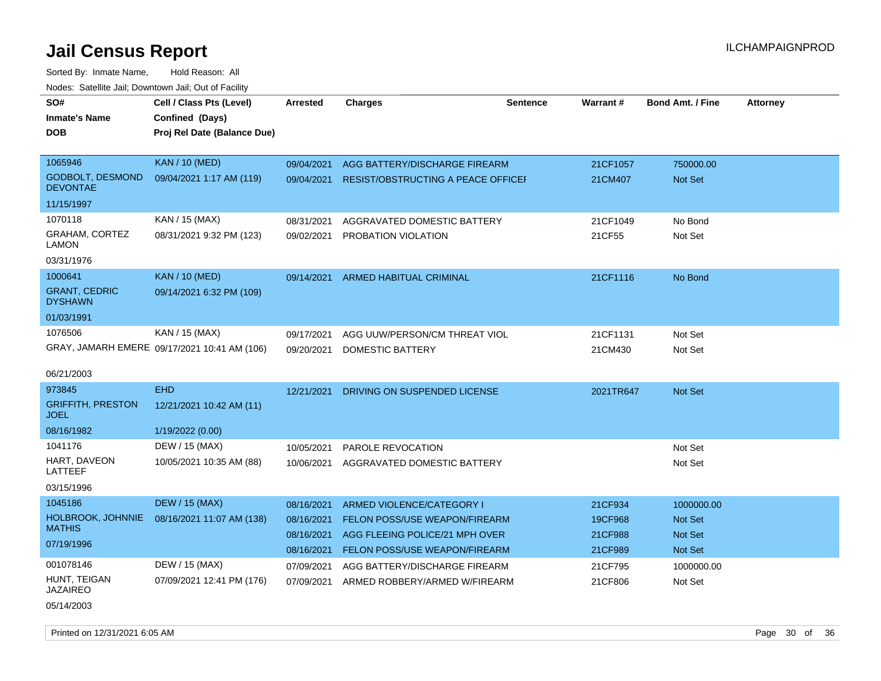| SO#<br><b>Inmate's Name</b><br><b>DOB</b> | Cell / Class Pts (Level)<br>Confined (Days)<br>Proj Rel Date (Balance Due) | Arrested   | <b>Charges</b>                            | <b>Sentence</b> | Warrant#  | <b>Bond Amt. / Fine</b> | <b>Attorney</b> |
|-------------------------------------------|----------------------------------------------------------------------------|------------|-------------------------------------------|-----------------|-----------|-------------------------|-----------------|
| 1065946                                   | <b>KAN / 10 (MED)</b>                                                      | 09/04/2021 | AGG BATTERY/DISCHARGE FIREARM             |                 | 21CF1057  | 750000.00               |                 |
| GODBOLT, DESMOND<br><b>DEVONTAE</b>       | 09/04/2021 1:17 AM (119)                                                   | 09/04/2021 | <b>RESIST/OBSTRUCTING A PEACE OFFICEF</b> |                 | 21CM407   | <b>Not Set</b>          |                 |
| 11/15/1997                                |                                                                            |            |                                           |                 |           |                         |                 |
| 1070118                                   | KAN / 15 (MAX)                                                             | 08/31/2021 | AGGRAVATED DOMESTIC BATTERY               |                 | 21CF1049  | No Bond                 |                 |
| <b>GRAHAM, CORTEZ</b><br>LAMON            | 08/31/2021 9:32 PM (123)                                                   | 09/02/2021 | <b>PROBATION VIOLATION</b>                |                 | 21CF55    | Not Set                 |                 |
| 03/31/1976                                |                                                                            |            |                                           |                 |           |                         |                 |
| 1000641                                   | <b>KAN / 10 (MED)</b>                                                      | 09/14/2021 | ARMED HABITUAL CRIMINAL                   |                 | 21CF1116  | No Bond                 |                 |
| <b>GRANT, CEDRIC</b><br><b>DYSHAWN</b>    | 09/14/2021 6:32 PM (109)                                                   |            |                                           |                 |           |                         |                 |
| 01/03/1991                                |                                                                            |            |                                           |                 |           |                         |                 |
| 1076506                                   | KAN / 15 (MAX)                                                             | 09/17/2021 | AGG UUW/PERSON/CM THREAT VIOL             |                 | 21CF1131  | Not Set                 |                 |
|                                           | GRAY, JAMARH EMERE 09/17/2021 10:41 AM (106)                               | 09/20/2021 | DOMESTIC BATTERY                          |                 | 21CM430   | Not Set                 |                 |
| 06/21/2003                                |                                                                            |            |                                           |                 |           |                         |                 |
| 973845                                    | <b>EHD</b>                                                                 | 12/21/2021 | DRIVING ON SUSPENDED LICENSE              |                 | 2021TR647 | <b>Not Set</b>          |                 |
| <b>GRIFFITH, PRESTON</b><br><b>JOEL</b>   | 12/21/2021 10:42 AM (11)                                                   |            |                                           |                 |           |                         |                 |
| 08/16/1982                                | 1/19/2022 (0.00)                                                           |            |                                           |                 |           |                         |                 |
| 1041176                                   | DEW / 15 (MAX)                                                             | 10/05/2021 | PAROLE REVOCATION                         |                 |           | Not Set                 |                 |
| HART, DAVEON<br>LATTEEF                   | 10/05/2021 10:35 AM (88)                                                   | 10/06/2021 | AGGRAVATED DOMESTIC BATTERY               |                 |           | Not Set                 |                 |
| 03/15/1996                                |                                                                            |            |                                           |                 |           |                         |                 |
| 1045186                                   | <b>DEW / 15 (MAX)</b>                                                      | 08/16/2021 | ARMED VIOLENCE/CATEGORY I                 |                 | 21CF934   | 1000000.00              |                 |
| HOLBROOK, JOHNNIE                         | 08/16/2021 11:07 AM (138)                                                  | 08/16/2021 | FELON POSS/USE WEAPON/FIREARM             |                 | 19CF968   | <b>Not Set</b>          |                 |
| <b>MATHIS</b>                             |                                                                            | 08/16/2021 | AGG FLEEING POLICE/21 MPH OVER            |                 | 21CF988   | <b>Not Set</b>          |                 |
| 07/19/1996                                |                                                                            | 08/16/2021 | FELON POSS/USE WEAPON/FIREARM             |                 | 21CF989   | Not Set                 |                 |
| 001078146                                 | DEW / 15 (MAX)                                                             | 07/09/2021 | AGG BATTERY/DISCHARGE FIREARM             |                 | 21CF795   | 1000000.00              |                 |
| HUNT, TEIGAN<br><b>JAZAIREO</b>           | 07/09/2021 12:41 PM (176)                                                  | 07/09/2021 | ARMED ROBBERY/ARMED W/FIREARM             |                 | 21CF806   | Not Set                 |                 |
| 05/14/2003                                |                                                                            |            |                                           |                 |           |                         |                 |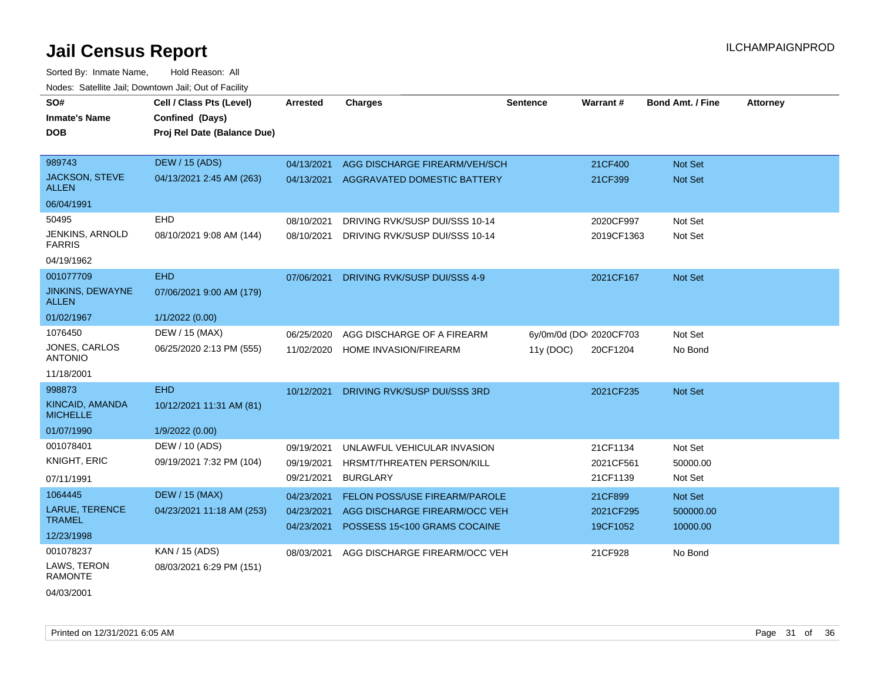Sorted By: Inmate Name, Hold Reason: All Nodes: Satellite Jail; Downtown Jail; Out of Facility

| SO#                                     | Cell / Class Pts (Level)    | <b>Arrested</b> | <b>Charges</b>                 | <b>Sentence</b> | Warrant#                | <b>Bond Amt. / Fine</b> | <b>Attorney</b> |
|-----------------------------------------|-----------------------------|-----------------|--------------------------------|-----------------|-------------------------|-------------------------|-----------------|
| <b>Inmate's Name</b>                    | Confined (Days)             |                 |                                |                 |                         |                         |                 |
| <b>DOB</b>                              | Proj Rel Date (Balance Due) |                 |                                |                 |                         |                         |                 |
|                                         |                             |                 |                                |                 |                         |                         |                 |
| 989743                                  | <b>DEW / 15 (ADS)</b>       | 04/13/2021      | AGG DISCHARGE FIREARM/VEH/SCH  |                 | 21CF400                 | <b>Not Set</b>          |                 |
| <b>JACKSON, STEVE</b><br><b>ALLEN</b>   | 04/13/2021 2:45 AM (263)    | 04/13/2021      | AGGRAVATED DOMESTIC BATTERY    |                 | 21CF399                 | Not Set                 |                 |
| 06/04/1991                              |                             |                 |                                |                 |                         |                         |                 |
| 50495                                   | EHD                         | 08/10/2021      | DRIVING RVK/SUSP DUI/SSS 10-14 |                 | 2020CF997               | Not Set                 |                 |
| <b>JENKINS, ARNOLD</b><br><b>FARRIS</b> | 08/10/2021 9:08 AM (144)    | 08/10/2021      | DRIVING RVK/SUSP DUI/SSS 10-14 |                 | 2019CF1363              | Not Set                 |                 |
| 04/19/1962                              |                             |                 |                                |                 |                         |                         |                 |
| 001077709                               | <b>EHD</b>                  | 07/06/2021      | DRIVING RVK/SUSP DUI/SSS 4-9   |                 | 2021CF167               | <b>Not Set</b>          |                 |
| <b>JINKINS, DEWAYNE</b><br><b>ALLEN</b> | 07/06/2021 9:00 AM (179)    |                 |                                |                 |                         |                         |                 |
| 01/02/1967                              | 1/1/2022 (0.00)             |                 |                                |                 |                         |                         |                 |
| 1076450                                 | DEW / 15 (MAX)              | 06/25/2020      | AGG DISCHARGE OF A FIREARM     |                 | 6y/0m/0d (DOI 2020CF703 | Not Set                 |                 |
| <b>JONES, CARLOS</b><br><b>ANTONIO</b>  | 06/25/2020 2:13 PM (555)    | 11/02/2020      | HOME INVASION/FIREARM          | 11y (DOC)       | 20CF1204                | No Bond                 |                 |
| 11/18/2001                              |                             |                 |                                |                 |                         |                         |                 |
| 998873                                  | <b>EHD</b>                  | 10/12/2021      | DRIVING RVK/SUSP DUI/SSS 3RD   |                 | 2021CF235               | Not Set                 |                 |
| KINCAID, AMANDA<br><b>MICHELLE</b>      | 10/12/2021 11:31 AM (81)    |                 |                                |                 |                         |                         |                 |
| 01/07/1990                              | 1/9/2022 (0.00)             |                 |                                |                 |                         |                         |                 |
| 001078401                               | DEW / 10 (ADS)              | 09/19/2021      | UNLAWFUL VEHICULAR INVASION    |                 | 21CF1134                | Not Set                 |                 |
| <b>KNIGHT, ERIC</b>                     | 09/19/2021 7:32 PM (104)    | 09/19/2021      | HRSMT/THREATEN PERSON/KILL     |                 | 2021CF561               | 50000.00                |                 |
| 07/11/1991                              |                             | 09/21/2021      | <b>BURGLARY</b>                |                 | 21CF1139                | Not Set                 |                 |
| 1064445                                 | <b>DEW / 15 (MAX)</b>       | 04/23/2021      | FELON POSS/USE FIREARM/PAROLE  |                 | 21CF899                 | Not Set                 |                 |
| LARUE, TERENCE                          | 04/23/2021 11:18 AM (253)   | 04/23/2021      | AGG DISCHARGE FIREARM/OCC VEH  |                 | 2021CF295               | 500000.00               |                 |
| <b>TRAMEL</b>                           |                             | 04/23/2021      | POSSESS 15<100 GRAMS COCAINE   |                 | 19CF1052                | 10000.00                |                 |
| 12/23/1998                              |                             |                 |                                |                 |                         |                         |                 |
| 001078237                               | KAN / 15 (ADS)              | 08/03/2021      | AGG DISCHARGE FIREARM/OCC VEH  |                 | 21CF928                 | No Bond                 |                 |
| LAWS, TERON<br>RAMONTE                  | 08/03/2021 6:29 PM (151)    |                 |                                |                 |                         |                         |                 |
|                                         |                             |                 |                                |                 |                         |                         |                 |

04/03/2001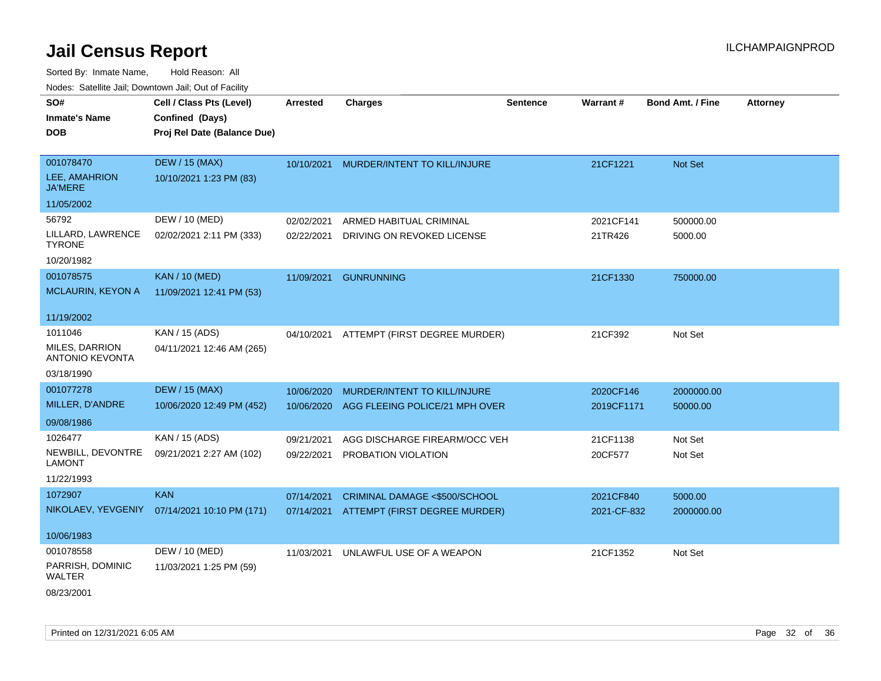| SO#                                      | Cell / Class Pts (Level)                     | <b>Arrested</b> | <b>Charges</b>                 | <b>Sentence</b> | Warrant#    | <b>Bond Amt. / Fine</b> | <b>Attorney</b> |
|------------------------------------------|----------------------------------------------|-----------------|--------------------------------|-----------------|-------------|-------------------------|-----------------|
| <b>Inmate's Name</b>                     | Confined (Days)                              |                 |                                |                 |             |                         |                 |
| <b>DOB</b>                               | Proj Rel Date (Balance Due)                  |                 |                                |                 |             |                         |                 |
|                                          |                                              |                 |                                |                 |             |                         |                 |
| 001078470                                | <b>DEW / 15 (MAX)</b>                        | 10/10/2021      | MURDER/INTENT TO KILL/INJURE   |                 | 21CF1221    | Not Set                 |                 |
| LEE, AMAHRION<br><b>JA'MERE</b>          | 10/10/2021 1:23 PM (83)                      |                 |                                |                 |             |                         |                 |
| 11/05/2002                               |                                              |                 |                                |                 |             |                         |                 |
| 56792                                    | DEW / 10 (MED)                               | 02/02/2021      | ARMED HABITUAL CRIMINAL        |                 | 2021CF141   | 500000.00               |                 |
| LILLARD, LAWRENCE<br><b>TYRONE</b>       | 02/02/2021 2:11 PM (333)                     | 02/22/2021      | DRIVING ON REVOKED LICENSE     |                 | 21TR426     | 5000.00                 |                 |
| 10/20/1982                               |                                              |                 |                                |                 |             |                         |                 |
| 001078575                                | <b>KAN / 10 (MED)</b>                        | 11/09/2021      | <b>GUNRUNNING</b>              |                 | 21CF1330    | 750000.00               |                 |
| <b>MCLAURIN, KEYON A</b>                 | 11/09/2021 12:41 PM (53)                     |                 |                                |                 |             |                         |                 |
|                                          |                                              |                 |                                |                 |             |                         |                 |
| 11/19/2002                               |                                              |                 |                                |                 |             |                         |                 |
| 1011046                                  | KAN / 15 (ADS)                               | 04/10/2021      | ATTEMPT (FIRST DEGREE MURDER)  |                 | 21CF392     | Not Set                 |                 |
| MILES, DARRION<br><b>ANTONIO KEVONTA</b> | 04/11/2021 12:46 AM (265)                    |                 |                                |                 |             |                         |                 |
| 03/18/1990                               |                                              |                 |                                |                 |             |                         |                 |
| 001077278                                | <b>DEW / 15 (MAX)</b>                        | 10/06/2020      | MURDER/INTENT TO KILL/INJURE   |                 | 2020CF146   | 2000000.00              |                 |
| MILLER, D'ANDRE                          | 10/06/2020 12:49 PM (452)                    | 10/06/2020      | AGG FLEEING POLICE/21 MPH OVER |                 | 2019CF1171  | 50000.00                |                 |
| 09/08/1986                               |                                              |                 |                                |                 |             |                         |                 |
| 1026477                                  | KAN / 15 (ADS)                               | 09/21/2021      | AGG DISCHARGE FIREARM/OCC VEH  |                 | 21CF1138    | Not Set                 |                 |
| NEWBILL, DEVONTRE                        | 09/21/2021 2:27 AM (102)                     | 09/22/2021      | PROBATION VIOLATION            |                 | 20CF577     | Not Set                 |                 |
| <b>LAMONT</b>                            |                                              |                 |                                |                 |             |                         |                 |
| 11/22/1993                               |                                              |                 |                                |                 |             |                         |                 |
| 1072907                                  | <b>KAN</b>                                   | 07/14/2021      | CRIMINAL DAMAGE <\$500/SCHOOL  |                 | 2021CF840   | 5000.00                 |                 |
|                                          | NIKOLAEV, YEVGENIY 07/14/2021 10:10 PM (171) | 07/14/2021      | ATTEMPT (FIRST DEGREE MURDER)  |                 | 2021-CF-832 | 2000000.00              |                 |
| 10/06/1983                               |                                              |                 |                                |                 |             |                         |                 |
| 001078558                                | DEW / 10 (MED)                               | 11/03/2021      | UNLAWFUL USE OF A WEAPON       |                 | 21CF1352    | Not Set                 |                 |
| PARRISH, DOMINIC<br>WALTER               | 11/03/2021 1:25 PM (59)                      |                 |                                |                 |             |                         |                 |
| 08/23/2001                               |                                              |                 |                                |                 |             |                         |                 |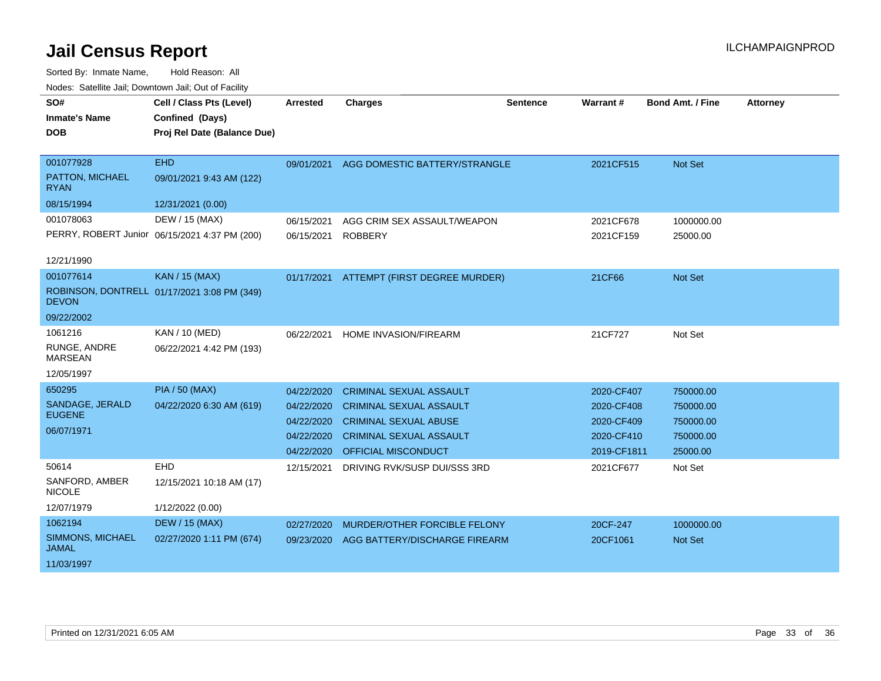| SO#                              | Cell / Class Pts (Level)                      | <b>Arrested</b> | <b>Charges</b>                 | Sentence | Warrant#    | <b>Bond Amt. / Fine</b> | <b>Attorney</b> |
|----------------------------------|-----------------------------------------------|-----------------|--------------------------------|----------|-------------|-------------------------|-----------------|
| <b>Inmate's Name</b>             | Confined (Days)                               |                 |                                |          |             |                         |                 |
| <b>DOB</b>                       | Proj Rel Date (Balance Due)                   |                 |                                |          |             |                         |                 |
|                                  |                                               |                 |                                |          |             |                         |                 |
| 001077928                        | <b>EHD</b>                                    | 09/01/2021      | AGG DOMESTIC BATTERY/STRANGLE  |          | 2021CF515   | <b>Not Set</b>          |                 |
| PATTON, MICHAEL<br><b>RYAN</b>   | 09/01/2021 9:43 AM (122)                      |                 |                                |          |             |                         |                 |
| 08/15/1994                       | 12/31/2021 (0.00)                             |                 |                                |          |             |                         |                 |
| 001078063                        | DEW / 15 (MAX)                                | 06/15/2021      | AGG CRIM SEX ASSAULT/WEAPON    |          | 2021CF678   | 1000000.00              |                 |
|                                  | PERRY, ROBERT Junior 06/15/2021 4:37 PM (200) | 06/15/2021      | <b>ROBBERY</b>                 |          | 2021CF159   | 25000.00                |                 |
| 12/21/1990                       |                                               |                 |                                |          |             |                         |                 |
| 001077614                        | KAN / 15 (MAX)                                | 01/17/2021      | ATTEMPT (FIRST DEGREE MURDER)  |          | 21CF66      | <b>Not Set</b>          |                 |
| <b>DEVON</b>                     | ROBINSON, DONTRELL 01/17/2021 3:08 PM (349)   |                 |                                |          |             |                         |                 |
| 09/22/2002                       |                                               |                 |                                |          |             |                         |                 |
| 1061216                          | KAN / 10 (MED)                                | 06/22/2021      | HOME INVASION/FIREARM          |          | 21CF727     | Not Set                 |                 |
| RUNGE, ANDRE<br><b>MARSEAN</b>   | 06/22/2021 4:42 PM (193)                      |                 |                                |          |             |                         |                 |
| 12/05/1997                       |                                               |                 |                                |          |             |                         |                 |
| 650295                           | <b>PIA / 50 (MAX)</b>                         | 04/22/2020      | <b>CRIMINAL SEXUAL ASSAULT</b> |          | 2020-CF407  | 750000.00               |                 |
| SANDAGE, JERALD                  | 04/22/2020 6:30 AM (619)                      | 04/22/2020      | <b>CRIMINAL SEXUAL ASSAULT</b> |          | 2020-CF408  | 750000.00               |                 |
| <b>EUGENE</b>                    |                                               | 04/22/2020      | <b>CRIMINAL SEXUAL ABUSE</b>   |          | 2020-CF409  | 750000.00               |                 |
| 06/07/1971                       |                                               | 04/22/2020      | <b>CRIMINAL SEXUAL ASSAULT</b> |          | 2020-CF410  | 750000.00               |                 |
|                                  |                                               | 04/22/2020      | OFFICIAL MISCONDUCT            |          | 2019-CF1811 | 25000.00                |                 |
| 50614                            | EHD                                           | 12/15/2021      | DRIVING RVK/SUSP DUI/SSS 3RD   |          | 2021CF677   | Not Set                 |                 |
| SANFORD, AMBER<br><b>NICOLE</b>  | 12/15/2021 10:18 AM (17)                      |                 |                                |          |             |                         |                 |
| 12/07/1979                       | 1/12/2022 (0.00)                              |                 |                                |          |             |                         |                 |
| 1062194                          | <b>DEW / 15 (MAX)</b>                         | 02/27/2020      | MURDER/OTHER FORCIBLE FELONY   |          | 20CF-247    | 1000000.00              |                 |
| SIMMONS, MICHAEL<br><b>JAMAL</b> | 02/27/2020 1:11 PM (674)                      | 09/23/2020      | AGG BATTERY/DISCHARGE FIREARM  |          | 20CF1061    | <b>Not Set</b>          |                 |
| 11/03/1997                       |                                               |                 |                                |          |             |                         |                 |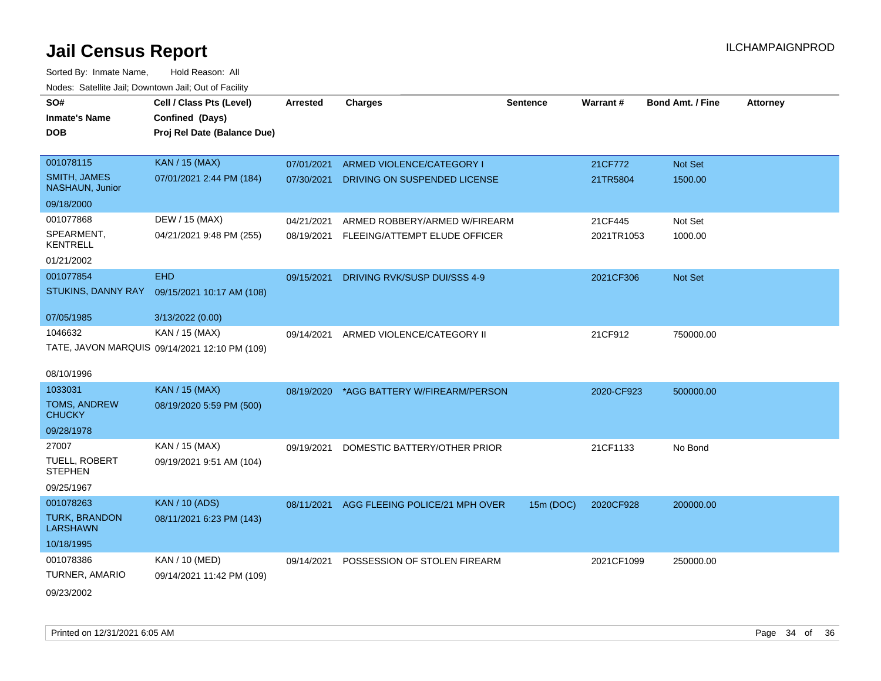| SO#                                           | Cell / Class Pts (Level)                      | <b>Arrested</b> | <b>Charges</b>                 | <b>Sentence</b> | Warrant#   | <b>Bond Amt. / Fine</b> | <b>Attorney</b> |
|-----------------------------------------------|-----------------------------------------------|-----------------|--------------------------------|-----------------|------------|-------------------------|-----------------|
| <b>Inmate's Name</b>                          | Confined (Days)                               |                 |                                |                 |            |                         |                 |
| <b>DOB</b>                                    | Proj Rel Date (Balance Due)                   |                 |                                |                 |            |                         |                 |
|                                               |                                               |                 |                                |                 |            |                         |                 |
| 001078115                                     | <b>KAN / 15 (MAX)</b>                         | 07/01/2021      | ARMED VIOLENCE/CATEGORY I      |                 | 21CF772    | <b>Not Set</b>          |                 |
| <b>SMITH, JAMES</b><br><b>NASHAUN, Junior</b> | 07/01/2021 2:44 PM (184)                      | 07/30/2021      | DRIVING ON SUSPENDED LICENSE   |                 | 21TR5804   | 1500.00                 |                 |
| 09/18/2000                                    |                                               |                 |                                |                 |            |                         |                 |
| 001077868                                     | DEW / 15 (MAX)                                | 04/21/2021      | ARMED ROBBERY/ARMED W/FIREARM  |                 | 21CF445    | Not Set                 |                 |
| SPEARMENT,<br><b>KENTRELL</b>                 | 04/21/2021 9:48 PM (255)                      | 08/19/2021      | FLEEING/ATTEMPT ELUDE OFFICER  |                 | 2021TR1053 | 1000.00                 |                 |
| 01/21/2002                                    |                                               |                 |                                |                 |            |                         |                 |
| 001077854                                     | <b>EHD</b>                                    | 09/15/2021      | DRIVING RVK/SUSP DUI/SSS 4-9   |                 | 2021CF306  | Not Set                 |                 |
| STUKINS, DANNY RAY                            | 09/15/2021 10:17 AM (108)                     |                 |                                |                 |            |                         |                 |
|                                               |                                               |                 |                                |                 |            |                         |                 |
| 07/05/1985                                    | 3/13/2022 (0.00)                              |                 |                                |                 |            |                         |                 |
| 1046632                                       | KAN / 15 (MAX)                                | 09/14/2021      | ARMED VIOLENCE/CATEGORY II     |                 | 21CF912    | 750000.00               |                 |
|                                               | TATE, JAVON MARQUIS 09/14/2021 12:10 PM (109) |                 |                                |                 |            |                         |                 |
| 08/10/1996                                    |                                               |                 |                                |                 |            |                         |                 |
| 1033031                                       | KAN / 15 (MAX)                                | 08/19/2020      | *AGG BATTERY W/FIREARM/PERSON  |                 | 2020-CF923 | 500000.00               |                 |
| TOMS, ANDREW<br><b>CHUCKY</b>                 | 08/19/2020 5:59 PM (500)                      |                 |                                |                 |            |                         |                 |
| 09/28/1978                                    |                                               |                 |                                |                 |            |                         |                 |
| 27007                                         | KAN / 15 (MAX)                                | 09/19/2021      | DOMESTIC BATTERY/OTHER PRIOR   |                 | 21CF1133   | No Bond                 |                 |
| TUELL, ROBERT<br><b>STEPHEN</b>               | 09/19/2021 9:51 AM (104)                      |                 |                                |                 |            |                         |                 |
| 09/25/1967                                    |                                               |                 |                                |                 |            |                         |                 |
| 001078263                                     | <b>KAN / 10 (ADS)</b>                         | 08/11/2021      | AGG FLEEING POLICE/21 MPH OVER | 15m (DOC)       | 2020CF928  | 200000.00               |                 |
| <b>TURK, BRANDON</b><br><b>LARSHAWN</b>       | 08/11/2021 6:23 PM (143)                      |                 |                                |                 |            |                         |                 |
| 10/18/1995                                    |                                               |                 |                                |                 |            |                         |                 |
| 001078386                                     | <b>KAN / 10 (MED)</b>                         | 09/14/2021      | POSSESSION OF STOLEN FIREARM   |                 | 2021CF1099 | 250000.00               |                 |
| TURNER, AMARIO                                | 09/14/2021 11:42 PM (109)                     |                 |                                |                 |            |                         |                 |
| 09/23/2002                                    |                                               |                 |                                |                 |            |                         |                 |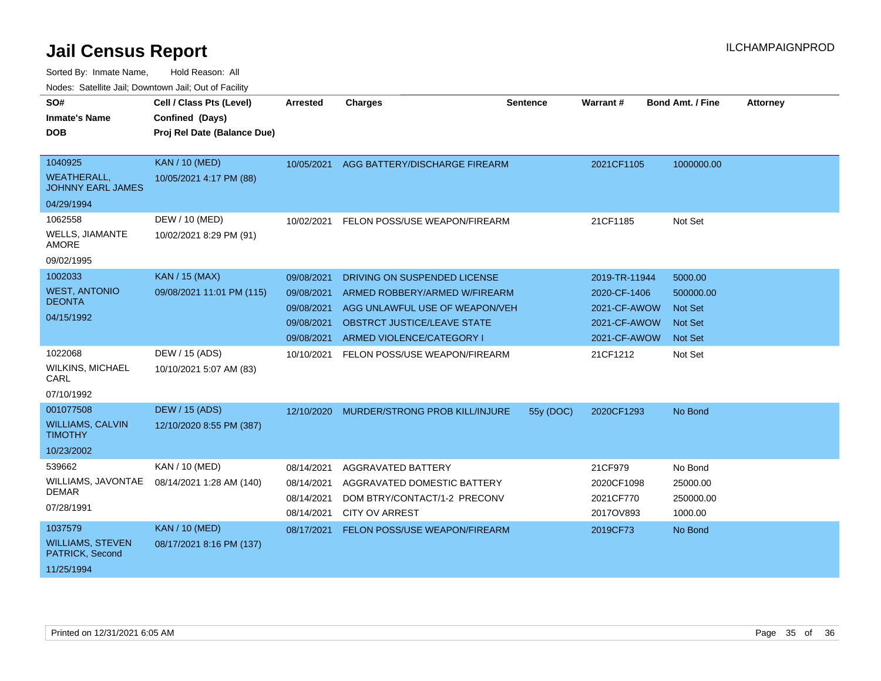Sorted By: Inmate Name, Hold Reason: All

| Nodes: Satellite Jail; Downtown Jail; Out of Facility |                             |                 |                                           |                 |               |                         |                 |
|-------------------------------------------------------|-----------------------------|-----------------|-------------------------------------------|-----------------|---------------|-------------------------|-----------------|
| SO#                                                   | Cell / Class Pts (Level)    | <b>Arrested</b> | <b>Charges</b>                            | <b>Sentence</b> | Warrant#      | <b>Bond Amt. / Fine</b> | <b>Attorney</b> |
| <b>Inmate's Name</b>                                  | Confined (Days)             |                 |                                           |                 |               |                         |                 |
| <b>DOB</b>                                            | Proj Rel Date (Balance Due) |                 |                                           |                 |               |                         |                 |
|                                                       |                             |                 |                                           |                 |               |                         |                 |
| 1040925                                               | <b>KAN / 10 (MED)</b>       | 10/05/2021      | AGG BATTERY/DISCHARGE FIREARM             |                 | 2021CF1105    | 1000000.00              |                 |
| <b>WEATHERALL,</b><br><b>JOHNNY EARL JAMES</b>        | 10/05/2021 4:17 PM (88)     |                 |                                           |                 |               |                         |                 |
| 04/29/1994                                            |                             |                 |                                           |                 |               |                         |                 |
| 1062558                                               | DEW / 10 (MED)              | 10/02/2021      | FELON POSS/USE WEAPON/FIREARM             |                 | 21CF1185      | Not Set                 |                 |
| <b>WELLS, JIAMANTE</b><br><b>AMORE</b>                | 10/02/2021 8:29 PM (91)     |                 |                                           |                 |               |                         |                 |
| 09/02/1995                                            |                             |                 |                                           |                 |               |                         |                 |
| 1002033                                               | <b>KAN / 15 (MAX)</b>       | 09/08/2021      | DRIVING ON SUSPENDED LICENSE              |                 | 2019-TR-11944 | 5000.00                 |                 |
| <b>WEST, ANTONIO</b>                                  | 09/08/2021 11:01 PM (115)   | 09/08/2021      | ARMED ROBBERY/ARMED W/FIREARM             |                 | 2020-CF-1406  | 500000.00               |                 |
| <b>DEONTA</b>                                         |                             | 09/08/2021      | AGG UNLAWFUL USE OF WEAPON/VEH            |                 | 2021-CF-AWOW  | <b>Not Set</b>          |                 |
| 04/15/1992                                            |                             | 09/08/2021      | <b>OBSTRCT JUSTICE/LEAVE STATE</b>        |                 | 2021-CF-AWOW  | <b>Not Set</b>          |                 |
|                                                       |                             | 09/08/2021      | ARMED VIOLENCE/CATEGORY I                 |                 | 2021-CF-AWOW  | <b>Not Set</b>          |                 |
| 1022068                                               | DEW / 15 (ADS)              | 10/10/2021      | FELON POSS/USE WEAPON/FIREARM             |                 | 21CF1212      | Not Set                 |                 |
| <b>WILKINS, MICHAEL</b><br>CARL                       | 10/10/2021 5:07 AM (83)     |                 |                                           |                 |               |                         |                 |
| 07/10/1992                                            |                             |                 |                                           |                 |               |                         |                 |
| 001077508                                             | <b>DEW / 15 (ADS)</b>       |                 | 12/10/2020 MURDER/STRONG PROB KILL/INJURE | 55y (DOC)       | 2020CF1293    | No Bond                 |                 |
| <b>WILLIAMS, CALVIN</b><br><b>TIMOTHY</b>             | 12/10/2020 8:55 PM (387)    |                 |                                           |                 |               |                         |                 |
| 10/23/2002                                            |                             |                 |                                           |                 |               |                         |                 |
| 539662                                                | KAN / 10 (MED)              | 08/14/2021      | <b>AGGRAVATED BATTERY</b>                 |                 | 21CF979       | No Bond                 |                 |
| WILLIAMS, JAVONTAE                                    | 08/14/2021 1:28 AM (140)    | 08/14/2021      | AGGRAVATED DOMESTIC BATTERY               |                 | 2020CF1098    | 25000.00                |                 |
| <b>DEMAR</b>                                          |                             | 08/14/2021      | DOM BTRY/CONTACT/1-2 PRECONV              |                 | 2021CF770     | 250000.00               |                 |
| 07/28/1991                                            |                             | 08/14/2021      | <b>CITY OV ARREST</b>                     |                 | 2017OV893     | 1000.00                 |                 |
| 1037579                                               | <b>KAN / 10 (MED)</b>       | 08/17/2021      | FELON POSS/USE WEAPON/FIREARM             |                 | 2019CF73      | No Bond                 |                 |
| <b>WILLIAMS, STEVEN</b><br>PATRICK, Second            | 08/17/2021 8:16 PM (137)    |                 |                                           |                 |               |                         |                 |
| 11/25/1994                                            |                             |                 |                                           |                 |               |                         |                 |